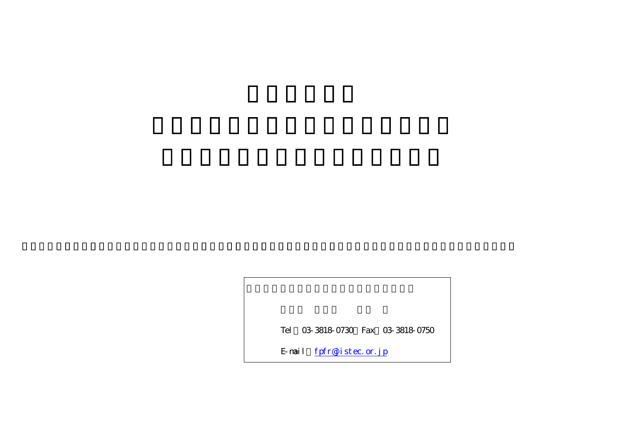Tel 03-3818-0730 Fax 03-3818-0750

E-mail fpfr@jistec.or.jp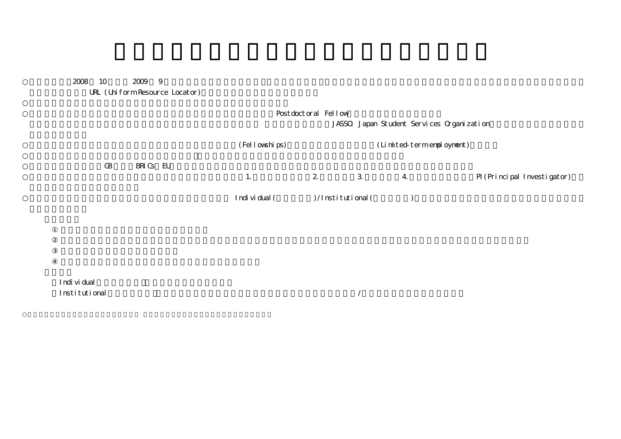## 2008 10 2009 9

URL (Uniform Resource Locator)

|          |          | Post doct or al Fellow |                      |               |                                           |                             |
|----------|----------|------------------------|----------------------|---------------|-------------------------------------------|-----------------------------|
|          |          |                        |                      |               | JASSO Japan Student Services Organization |                             |
|          |          | (Fellowships)          |                      |               | (Limited-termenpolognent)                 |                             |
| $\Omega$ | BRIGS EU | $\mathbf{2}$<br>1.     |                      | 3<br>$\bf{4}$ |                                           | PI (Principal Investigator) |
|          |          | Individual (           | $)/$ Institutional ( |               |                                           |                             |

Individual Institutional /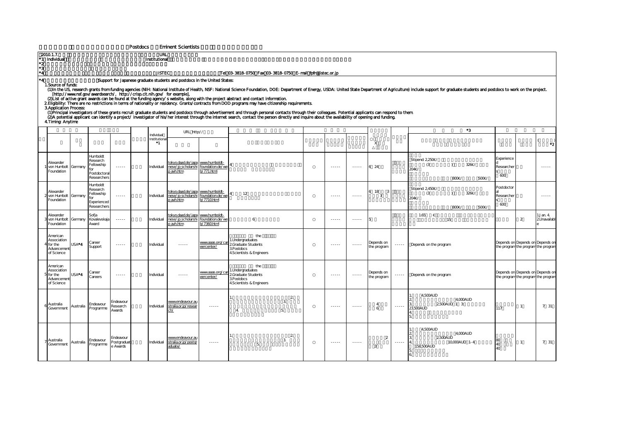Postdocs Eminent Scientists

| 2010 1.7.<br>٠2<br>*3 | *1 Individual                                                            |           |                                                                          |                                                                                                                                                      | <b>URL</b><br>Institutional |                                                                                                                                                        |                                                  |                                                                                                                                                                                                                                                                                                                                                                                                                                                                                                                                                                                                                                                                                                                                                                                    |                                |                                                                                                                                                                                                                                                                                                                                                                                                                                                                                        |               |                            |             |                                                                                                                                                                                                                                |                                |                                                                         |                        |
|-----------------------|--------------------------------------------------------------------------|-----------|--------------------------------------------------------------------------|------------------------------------------------------------------------------------------------------------------------------------------------------|-----------------------------|--------------------------------------------------------------------------------------------------------------------------------------------------------|--------------------------------------------------|------------------------------------------------------------------------------------------------------------------------------------------------------------------------------------------------------------------------------------------------------------------------------------------------------------------------------------------------------------------------------------------------------------------------------------------------------------------------------------------------------------------------------------------------------------------------------------------------------------------------------------------------------------------------------------------------------------------------------------------------------------------------------------|--------------------------------|----------------------------------------------------------------------------------------------------------------------------------------------------------------------------------------------------------------------------------------------------------------------------------------------------------------------------------------------------------------------------------------------------------------------------------------------------------------------------------------|---------------|----------------------------|-------------|--------------------------------------------------------------------------------------------------------------------------------------------------------------------------------------------------------------------------------|--------------------------------|-------------------------------------------------------------------------|------------------------|
| *4<br>۰4              | 1. Source of funds:<br><b>3 Application Process:</b><br>4 Timing Anytime |           |                                                                          |                                                                                                                                                      | <b>JISTEC</b>               | Support for Japanese graduate students and postdocs in the United States:<br>[http://www.nsf.gov/awardsearch/, http://crisp.cit.nih.gov/ for example], |                                                  | Tel 03-3818-0750 Fax 03-3818-0750 E-mail fpfr@jistec.or.jp<br>(2) List of active grant awards can be found at the funding agency s website, along with the project abstract and contact information.<br>2. Eligibility. There are no restrictions in terms of nationality or residency. Grants/contracts from DOD programs may have citizenship requirements.<br>(1) Principal investigators of these grants recruit graduate students and postdocs through advertisement and through personal contacts through their colleagues. Potential applicants can respond to them<br>(2) A potential applicant can identify a project/investigator of his/her interest through the internet search, contact the person directly and inquire about the availability of opening and funding |                                |                                                                                                                                                                                                                                                                                                                                                                                                                                                                                        |               |                            |             | (1) In the US, research grants from funding agencies (NIH: National Institute of Health, NSF: National Science Foundation, DOE: Department of Energy, USDA: United State Department of Agriculture) include support for gradua |                                |                                                                         |                        |
|                       |                                                                          |           |                                                                          |                                                                                                                                                      | Individual                  | URL http://                                                                                                                                            |                                                  |                                                                                                                                                                                                                                                                                                                                                                                                                                                                                                                                                                                                                                                                                                                                                                                    |                                |                                                                                                                                                                                                                                                                                                                                                                                                                                                                                        |               |                            |             | *3                                                                                                                                                                                                                             |                                |                                                                         |                        |
|                       |                                                                          |           |                                                                          |                                                                                                                                                      | nstitutiona<br>*1           |                                                                                                                                                        |                                                  |                                                                                                                                                                                                                                                                                                                                                                                                                                                                                                                                                                                                                                                                                                                                                                                    |                                |                                                                                                                                                                                                                                                                                                                                                                                                                                                                                        |               | $\mathsf{X}$               |             |                                                                                                                                                                                                                                |                                |                                                                         | *2.                    |
|                       | Alexander<br>von Humbolt<br>Foundation                                   | Germany   | Humboldt<br>Research<br>Fellowship<br>for<br>Postdoctoral<br>Researchers | $\frac{1}{2} \left( \frac{1}{2} \right) \left( \frac{1}{2} \right) \left( \frac{1}{2} \right) \left( \frac{1}{2} \right) \left( \frac{1}{2} \right)$ | ndividual                   | tokyo.daad.de/japa_www.humboldt-<br>nese/jp scholarshi foundation.de/we<br>p avh.htm                                                                   | b/771.html                                       |                                                                                                                                                                                                                                                                                                                                                                                                                                                                                                                                                                                                                                                                                                                                                                                    |                                | $- - - - -$                                                                                                                                                                                                                                                                                                                                                                                                                                                                            | $\cdots$      | -24                        |             | Stipend: 2,250€/<br>326€/<br>(3)<br>204€/<br>500€/<br>800€/                                                                                                                                                                    | Experience<br>Researche<br>600 |                                                                         | $\cdots$               |
|                       | Alexander<br>von Humbolt<br>Foundation                                   | Germany   | Humboldt<br>Research<br>Fellowship<br>for<br>Experienced<br>Researchers  | $\frac{1}{2} \left( \frac{1}{2} \right) \left( \frac{1}{2} \right) \left( \frac{1}{2} \right) \left( \frac{1}{2} \right) \left( \frac{1}{2} \right)$ | ndividual                   | tokyo.daad.de/japa_www.humboldt-<br>nese/ip scholarshi foundation.de/we<br>p avh.htm                                                                   | $/7710$ html                                     | 12                                                                                                                                                                                                                                                                                                                                                                                                                                                                                                                                                                                                                                                                                                                                                                                 |                                | $\begin{array}{cccccccccc} \multicolumn{2}{c}{} & \multicolumn{2}{c}{} & \multicolumn{2}{c}{} & \multicolumn{2}{c}{} & \multicolumn{2}{c}{} & \multicolumn{2}{c}{} & \multicolumn{2}{c}{} & \multicolumn{2}{c}{} & \multicolumn{2}{c}{} & \multicolumn{2}{c}{} & \multicolumn{2}{c}{} & \multicolumn{2}{c}{} & \multicolumn{2}{c}{} & \multicolumn{2}{c}{} & \multicolumn{2}{c}{} & \multicolumn{2}{c}{} & \multicolumn{2}{c}{} & \multicolumn{2}{c}{} & \multicolumn{2}{c}{} & \mult$ | 1.1.1.1       | 18<br>3                    |             | Stipend: 2,450€/<br>326€/<br>(3)<br>204€/<br>800€/<br>500€/                                                                                                                                                                    | Postdoctor<br>Researche<br>600 |                                                                         | 1.1.1.1                |
|                       | Nexander<br>von Humbolt<br>Foundation                                    | Germany   | Sofja<br>Kovalevskaja<br>Award                                           | $\frac{1}{2} \left( \frac{1}{2} \right) \left( \frac{1}{2} \right) \left( \frac{1}{2} \right) \left( \frac{1}{2} \right) \left( \frac{1}{2} \right)$ | ndividual                   | okyo.daad.de/japa<br>nese/jp scholarshi<br>avh.htm                                                                                                     | www.humboldt-<br>foundation.de/we<br>0/7360.html | 6                                                                                                                                                                                                                                                                                                                                                                                                                                                                                                                                                                                                                                                                                                                                                                                  |                                | $\begin{array}{cccccccccccccc} \multicolumn{2}{c}{} & \multicolumn{2}{c}{} & \multicolumn{2}{c}{} & \multicolumn{2}{c}{} & \multicolumn{2}{c}{} & \multicolumn{2}{c}{} & \multicolumn{2}{c}{} & \multicolumn{2}{c}{} & \multicolumn{2}{c}{} & \multicolumn{2}{c}{} & \multicolumn{2}{c}{} & \multicolumn{2}{c}{} & \multicolumn{2}{c}{} & \multicolumn{2}{c}{} & \multicolumn{2}{c}{} & \multicolumn{2}{c}{} & \multicolumn{2}{c}{} & \multicolumn{2}{c}{} & \multicolumn{2}{c}{} & \$ | $- - - - -$   |                            |             | 1.65<br>€<br>15                                                                                                                                                                                                                |                                | $\overline{2}$                                                          | Jan. 4.<br>2Unavailabl |
|                       | American<br>Association<br>for the<br>Advancemen<br>of Science           | USA*4     | Career<br>Support                                                        | $- - - - -$                                                                                                                                          | ndividual                   | $- - - - -$                                                                                                                                            | www.aaas.org/ca<br>eercenter/                    | the<br>1.Undergraduates<br>2Graduate Students<br>3. Postdocs<br>4.Scientists & Engineers                                                                                                                                                                                                                                                                                                                                                                                                                                                                                                                                                                                                                                                                                           |                                | $- - - - -$                                                                                                                                                                                                                                                                                                                                                                                                                                                                            | $- - - - -$   | Depends on<br>the program  | -----       | Depends on the program                                                                                                                                                                                                         |                                | Depends on Depends on Depends on<br>the program the program the program |                        |
|                       | American<br>Association<br>for the<br>Advancemer<br>of Science           | USA*4     | Career<br>Careers                                                        | $- - - - -$                                                                                                                                          | ndividual                   | $- - - - -$                                                                                                                                            | www.aaas.org/ca<br>eercenter/                    | the<br>1.Undergraduates<br>2Graduate Students<br>3. Postdocs<br>4.Scientists & Engineers                                                                                                                                                                                                                                                                                                                                                                                                                                                                                                                                                                                                                                                                                           |                                | $\frac{1}{2} \left( \frac{1}{2} \right) \left( \frac{1}{2} \right) \left( \frac{1}{2} \right) \left( \frac{1}{2} \right) \left( \frac{1}{2} \right)$                                                                                                                                                                                                                                                                                                                                   | $\cdots$      | Depends on<br>the program  | -----       | Depends on the program                                                                                                                                                                                                         |                                | Depends on Depends on Depends on<br>the program the program the program |                        |
|                       | Australia<br>Government                                                  | Australia | Endeavour<br>Programme                                                   | Endeavour<br><b>Research</b><br>Awards                                                                                                               | Individual                  | www.endeavour.au<br>stralia.or.jp/resear<br>:h∕                                                                                                        | $- - - - -$                                      | 4                                                                                                                                                                                                                                                                                                                                                                                                                                                                                                                                                                                                                                                                                                                                                                                  | $\overline{2}$<br>3.<br>5.     | $- - - -$                                                                                                                                                                                                                                                                                                                                                                                                                                                                              | $- - - -$     | $\boldsymbol{\Delta}$<br>6 | $- - - - -$ | 4,500AUD<br>4.000AUD<br>2,500AUD 1 3:<br>23.500AUD                                                                                                                                                                             | 117                            | 1                                                                       | 7 31                   |
|                       | Australia<br>Government                                                  | Australia | Endeavour<br>Programme                                                   | Endeavour<br>ostgradua<br>e Awards                                                                                                                   | Individual                  | <u>www.endeavour.au</u><br>stralia.or.jp/postgr<br>aduate/                                                                                             | $\cdots \cdots$                                  | 5.                                                                                                                                                                                                                                                                                                                                                                                                                                                                                                                                                                                                                                                                                                                                                                                 | $\overline{2}$<br>$\mathbf{3}$ | $\cdots \cdots \cdots$                                                                                                                                                                                                                                                                                                                                                                                                                                                                 | $- - - - - -$ | $\mathcal{D}$<br>3         | .           | 4,500AUD<br>4.000AUD<br>2500AUD<br>10,000AUD 1-4<br>158,500AUD                                                                                                                                                                 | 80<br>40<br>40                 | 1                                                                       | 7 31                   |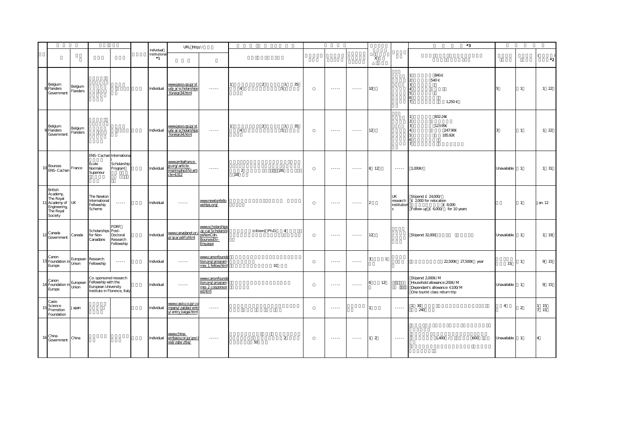|                                                                                       |                     |                                                                                                                                                              |                                            |                                           | URL http://                                                               |                                                                                                                                                                                                                                                                                                                                                                                                                                                                                        |                      |                 |                |    |                                                                                                                                                      |                                                                                                                                                                                                                                                                                                                                                                                                                                                                                        |                |                               | $^*3$                                                                                                               |                |                |                      |
|---------------------------------------------------------------------------------------|---------------------|--------------------------------------------------------------------------------------------------------------------------------------------------------------|--------------------------------------------|-------------------------------------------|---------------------------------------------------------------------------|----------------------------------------------------------------------------------------------------------------------------------------------------------------------------------------------------------------------------------------------------------------------------------------------------------------------------------------------------------------------------------------------------------------------------------------------------------------------------------------|----------------------|-----------------|----------------|----|------------------------------------------------------------------------------------------------------------------------------------------------------|----------------------------------------------------------------------------------------------------------------------------------------------------------------------------------------------------------------------------------------------------------------------------------------------------------------------------------------------------------------------------------------------------------------------------------------------------------------------------------------|----------------|-------------------------------|---------------------------------------------------------------------------------------------------------------------|----------------|----------------|----------------------|
|                                                                                       |                     |                                                                                                                                                              |                                            | Individual<br>Institutional<br>$^{\ast}1$ |                                                                           |                                                                                                                                                                                                                                                                                                                                                                                                                                                                                        |                      |                 |                |    |                                                                                                                                                      |                                                                                                                                                                                                                                                                                                                                                                                                                                                                                        | X              |                               |                                                                                                                     |                |                | $\cdot$ <sub>2</sub> |
| Belgium<br>8 Flanders<br>Government                                                   | Belgium<br>Flanders |                                                                                                                                                              |                                            | Individual                                | www.jasso.go.jp/st<br>udy a/scholarships<br>foreign34.html                | <b></b>                                                                                                                                                                                                                                                                                                                                                                                                                                                                                | $\overline{4}$       | $\overline{2}$  | 3<br>5         | 35 | $\dots$                                                                                                                                              | $\cdots \cdots$                                                                                                                                                                                                                                                                                                                                                                                                                                                                        | 10             |                               | 840€<br>540€<br>1,250€                                                                                              |                | $\overline{1}$ | $1 \quad 22$         |
| Belgium<br>Flanders<br>Government                                                     | Belgium<br>Flanders |                                                                                                                                                              |                                            | Individual                                | www.jasso.go.jp/st<br>udy a/scholarships<br>foreign34.html                | $\cdots$                                                                                                                                                                                                                                                                                                                                                                                                                                                                               | $\overline{4}$       | $\overline{a}$  | 3<br>5         | 35 | $\cdots$                                                                                                                                             | $\cdots$                                                                                                                                                                                                                                                                                                                                                                                                                                                                               | 12             |                               | 832.24€<br>123.95€<br>247.90€<br>185.92€                                                                            | $\mathcal{R}$  | $\overline{1}$ | $1 \quad 22$         |
| Bourses<br>ENS-Cachan                                                                 | France              | ENS-Cachan Internationa<br>Ecole<br>Normale<br>Superieur                                                                                                     | Scholarship<br>Program                     | Individual                                | www.ambafrance-<br>jp.org/article-<br>imprim.php3?id arti<br>$cle = 1312$ | $- - - - -$                                                                                                                                                                                                                                                                                                                                                                                                                                                                            | $\overline{2}$<br>28 |                 | 26             |    | $- - - - - -$                                                                                                                                        | $\begin{array}{cccccccccc} \multicolumn{2}{c}{} & \multicolumn{2}{c}{} & \multicolumn{2}{c}{} & \multicolumn{2}{c}{} & \multicolumn{2}{c}{} & \multicolumn{2}{c}{} & \multicolumn{2}{c}{} & \multicolumn{2}{c}{} & \multicolumn{2}{c}{} & \multicolumn{2}{c}{} & \multicolumn{2}{c}{} & \multicolumn{2}{c}{} & \multicolumn{2}{c}{} & \multicolumn{2}{c}{} & \multicolumn{2}{c}{} & \multicolumn{2}{c}{} & \multicolumn{2}{c}{} & \multicolumn{2}{c}{} & \multicolumn{2}{c}{} & \mult$ | 6 12           | $\cdots \cdots \cdots$        | 1.000€/                                                                                                             | Unavailable    | $\overline{1}$ | 1 31                 |
| British<br>Academy,<br>The Royal<br>Academy of<br>Engineering<br>The Royal<br>Society | <b>UK</b>           | The Newton<br>International<br>Fellowship<br>Scheme                                                                                                          | $\ldots$                                   | Individual                                | $\cdots \cdots$                                                           | www.newtonfello<br>wships.org/                                                                                                                                                                                                                                                                                                                                                                                                                                                         |                      |                 |                |    | $\cdots \cdots$                                                                                                                                      | $\cdots \cdots$                                                                                                                                                                                                                                                                                                                                                                                                                                                                        |                | UK<br>research<br>institutior | Stipend: £ 24,000/<br>£ 2,000 for relocation<br>£ 8,000<br>Follow-up £ 6,000/ for 10 years                          |                | $\mathbf{1}$   | Jan. 12              |
| Canada<br>Government                                                                  | Canada              | Scholarships Post-<br>for Non-<br>Canadians                                                                                                                  | PDRF<br>Doctoral<br>Research<br>Fellowship | Individual                                | www.canadanet.or.<br>o/gca/pdrf.shtml                                     | www.scholarships<br>gc.ca/Scholarshi<br>psNonCdn-<br>BoursesEtr-<br>ngaspx                                                                                                                                                                                                                                                                                                                                                                                                             |                      | (citizen) Ph.D. | $\overline{4}$ |    | $\cdots$                                                                                                                                             | $\cdots$                                                                                                                                                                                                                                                                                                                                                                                                                                                                               | 12             |                               | Stipend: 32,000                                                                                                     | Unavailable    | $\mathbf{1}$   | 1 19                 |
| Canon<br>3 Foundation in European Research<br>European Fellowship<br>Europe           |                     | Fellowship                                                                                                                                                   | $\sim$ $\sim$ $\sim$ $\sim$                | Individual                                | $\cdots$                                                                  | www.canonfounda<br>tion.org/program<br>mes 1 fellowhtm                                                                                                                                                                                                                                                                                                                                                                                                                                 |                      |                 | 10             |    | $\frac{1}{2} \left( \frac{1}{2} \right) \left( \frac{1}{2} \right) \left( \frac{1}{2} \right) \left( \frac{1}{2} \right) \left( \frac{1}{2} \right)$ | $\cdots$                                                                                                                                                                                                                                                                                                                                                                                                                                                                               | $\mathbf{1}$   |                               | 22,500€ 27,500€ year                                                                                                | 15             | -1             | 9 15                 |
| Canon<br>Europe                                                                       |                     | Co-sponsored research<br>Lanon<br>4 Foundation in European Fellowship with the<br>Furopean University<br>European University<br>Institute in Florence, Italy |                                            | Individual                                |                                                                           | www.canonfounda<br>tion.org/program<br>mes 2 cosponsor<br>ed.html                                                                                                                                                                                                                                                                                                                                                                                                                      |                      |                 |                |    | $\cdots \cdots \cdots$                                                                                                                               |                                                                                                                                                                                                                                                                                                                                                                                                                                                                                        | 12             |                               | Stipend: 2,000€/M<br>Household allowance:: 200€/M<br>Dependant's allowance: €100/M<br>One tourist class return trip | Unavailable    | $\overline{1}$ | 9 15                 |
| Casio<br>Science<br>Promotion<br>Foundation                                           | Japan               |                                                                                                                                                              |                                            | Individual                                | www.casio.co.jp/co<br>mpany/zaidan/ent<br>y/entry kaigai.html             | $\cdots \cdots$                                                                                                                                                                                                                                                                                                                                                                                                                                                                        |                      |                 |                |    | $\frac{1}{2} \left( \frac{1}{2} \right) \left( \frac{1}{2} \right) \left( \frac{1}{2} \right) \left( \frac{1}{2} \right) \left( \frac{1}{2} \right)$ |                                                                                                                                                                                                                                                                                                                                                                                                                                                                                        |                | $\ldots$                      | 30<br>240                                                                                                           | $\overline{4}$ | $\overline{a}$ | 15<br>15             |
| China<br>Government                                                                   | China               |                                                                                                                                                              |                                            | Individual                                | www.china-<br>embassy.or.jp/jpn/<br>xsjl/zglx/zfjxj/                      | $\begin{array}{cccccccccc} \multicolumn{2}{c}{} & \multicolumn{2}{c}{} & \multicolumn{2}{c}{} & \multicolumn{2}{c}{} & \multicolumn{2}{c}{} & \multicolumn{2}{c}{} & \multicolumn{2}{c}{} & \multicolumn{2}{c}{} & \multicolumn{2}{c}{} & \multicolumn{2}{c}{} & \multicolumn{2}{c}{} & \multicolumn{2}{c}{} & \multicolumn{2}{c}{} & \multicolumn{2}{c}{} & \multicolumn{2}{c}{} & \multicolumn{2}{c}{} & \multicolumn{2}{c}{} & \multicolumn{2}{c}{} & \multicolumn{2}{c}{} & \mult$ |                      | 50              | $\overline{a}$ |    | $\cdots \cdots$                                                                                                                                      | $\cdots$                                                                                                                                                                                                                                                                                                                                                                                                                                                                               | $\overline{2}$ | $\cdots \cdots$               | $1,400$ /<br>600                                                                                                    | Unavailable    | $\overline{1}$ | $\overline{4}$       |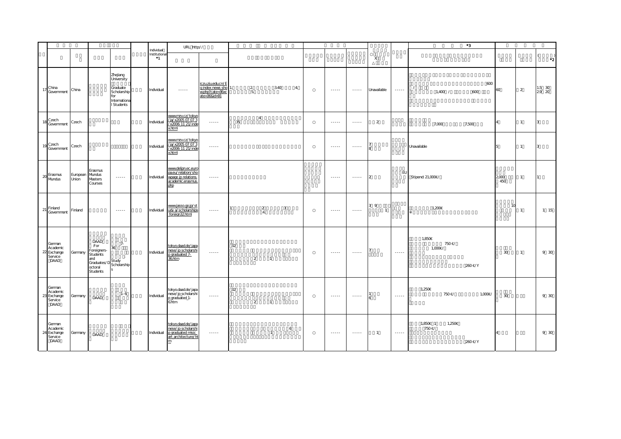|                                                      |                          |                                                                                                                   |                                                                                        |                                      | URL http://                                                                                 |                                                                         |    |                      |                |                |                                                                                                                                                                                                                                                                                                                                                                                                                                                                                        |                                                                                                                                                                                                                                                                                                                                                                                                                                                                                        |                       |                        | $^{\ast}3$                            |                |                |                                  |
|------------------------------------------------------|--------------------------|-------------------------------------------------------------------------------------------------------------------|----------------------------------------------------------------------------------------|--------------------------------------|---------------------------------------------------------------------------------------------|-------------------------------------------------------------------------|----|----------------------|----------------|----------------|----------------------------------------------------------------------------------------------------------------------------------------------------------------------------------------------------------------------------------------------------------------------------------------------------------------------------------------------------------------------------------------------------------------------------------------------------------------------------------------|----------------------------------------------------------------------------------------------------------------------------------------------------------------------------------------------------------------------------------------------------------------------------------------------------------------------------------------------------------------------------------------------------------------------------------------------------------------------------------------|-----------------------|------------------------|---------------------------------------|----------------|----------------|----------------------------------|
|                                                      |                          |                                                                                                                   |                                                                                        | Individual<br>Institutional<br>$^*1$ |                                                                                             |                                                                         |    |                      |                |                |                                                                                                                                                                                                                                                                                                                                                                                                                                                                                        |                                                                                                                                                                                                                                                                                                                                                                                                                                                                                        | $\mathsf X$           |                        |                                       |                |                | $\left($<br>$\cdot$ <sup>2</sup> |
| China<br>Government                                  | China                    |                                                                                                                   | Zhejiang<br>University<br>Graduate<br>Scholarship<br>for<br>Internationa<br>I Students | Individual                           | $\cdots \cdots$                                                                             | iczu.zju.edu.cn/E<br>g index news sho<br>wphp?cate=36xc<br>ate=36&id=91 |    | $\overline{2}$<br>5. | 3.40           | $\overline{a}$ | $\cdots \cdots$                                                                                                                                                                                                                                                                                                                                                                                                                                                                        | $\cdots$                                                                                                                                                                                                                                                                                                                                                                                                                                                                               | Unavailable           | $\cdots \cdots$        | 600<br>$1,400$ /<br>600               | 60             | 2              | $1.5$ 30<br>29 20                |
| Czech<br>18<br>Government                            | Czech                    |                                                                                                                   |                                                                                        | Individual                           | www.mzv.cz/tokyc<br>/ja/x2005 07 07 3<br>x2006 11 21/inde<br>x.html                         | $\cdots$                                                                | 35 | $\overline{4}$       |                |                | $\cdots$                                                                                                                                                                                                                                                                                                                                                                                                                                                                               | $\cdots$                                                                                                                                                                                                                                                                                                                                                                                                                                                                               | $\overline{2}$        |                        | 7,000<br>7,500                        |                | $\mathbf{1}$   | 3                                |
| 19 Czech<br>Government                               | Czech                    |                                                                                                                   |                                                                                        | Individual                           | www.mzv.cz/tokyo<br>/ja/x2005.07.07.3<br>x2006 11 21/inde<br>x.html                         | $\cdots$                                                                |    |                      |                |                | $\cdots \cdots$                                                                                                                                                                                                                                                                                                                                                                                                                                                                        | $\begin{array}{cccccccccc} \multicolumn{2}{c}{} & \multicolumn{2}{c}{} & \multicolumn{2}{c}{} & \multicolumn{2}{c}{} & \multicolumn{2}{c}{} & \multicolumn{2}{c}{} & \multicolumn{2}{c}{} & \multicolumn{2}{c}{} & \multicolumn{2}{c}{} & \multicolumn{2}{c}{} & \multicolumn{2}{c}{} & \multicolumn{2}{c}{} & \multicolumn{2}{c}{} & \multicolumn{2}{c}{} & \multicolumn{2}{c}{} & \multicolumn{2}{c}{} & \multicolumn{2}{c}{} & \multicolumn{2}{c}{} & \multicolumn{2}{c}{} & \mult$ |                       |                        | Unavailable                           |                | $\overline{1}$ | l 3                              |
| 20 Erasmus<br>Mundus                                 | European Mundus<br>Union | Erasmus<br>Masters<br>Courses                                                                                     | $\sim$ - $\sim$ - $\sim$                                                               | Individual                           | www.deljpn.ec.euro<br>pa.eu/relation/sho<br>wpage jp relations.<br>academic.erasmus.<br>php | $\cdots$                                                                |    |                      |                |                | $- - - - -$                                                                                                                                                                                                                                                                                                                                                                                                                                                                            | 1.1.1.1                                                                                                                                                                                                                                                                                                                                                                                                                                                                                | $\mathsf{L}$          | EU                     | Stipend: 21,000€/                     | 2,000<br>450   | $\mathbf{1}$   | 11                               |
| Finland<br>21<br>Government                          | Finland                  |                                                                                                                   | $\sim$ $\sim$ $\sim$ $\sim$                                                            | Individual                           | <u>www.jasso.go.jp/st</u><br>udy a/scholarships<br>foreign32html                            | $\cdots \cdots \cdots$                                                  |    | $\frac{2}{4}$        | 3              |                | $\cdots \cdots$                                                                                                                                                                                                                                                                                                                                                                                                                                                                        |                                                                                                                                                                                                                                                                                                                                                                                                                                                                                        | 3 9<br>$\overline{1}$ |                        | 1,200€                                | $\overline{1}$ | $\mathbf{1}$   | 1 15                             |
| German<br>Academic<br>22 Exchange<br>Service<br>DAAD | Germany                  | DAAD<br>:For<br>Foreigners-<br>Students<br>and<br>and<br>Graduates/D<br>Scholarship<br>octoral<br><b>Students</b> | $7-$<br>36<br>$\cdot$                                                                  | Individual                           | tokyo.daad.de/japa<br>nese/jp scholarshi<br>o graduated 7-<br>36.htm                        | $\cdots \cdots$                                                         | 32 | 2                    | $\overline{1}$ |                | $\cdots \cdots$                                                                                                                                                                                                                                                                                                                                                                                                                                                                        |                                                                                                                                                                                                                                                                                                                                                                                                                                                                                        |                       | $\cdots \cdots \cdots$ | 1,850€<br>750€/<br>1,000€/<br>260€/Y  | 30             | $\overline{1}$ | 9 30                             |
| German<br>Academic<br>23 Exchange<br>Service<br>DAAD | Germany                  | DAAD                                                                                                              | $1 - 6$                                                                                | Individual                           | tokyo.daad.de/japa<br>nese/jp_scholarshi<br>p_graduated_1-<br>6.htm                         | $\cdots$                                                                | 32 | $\overline{a}$       | $\overline{1}$ |                | $\cdots$                                                                                                                                                                                                                                                                                                                                                                                                                                                                               | $\cdots \cdots$                                                                                                                                                                                                                                                                                                                                                                                                                                                                        |                       | $\cdots$               | 1,250€<br>750€/<br>1,000€/            | 30             |                | 9 30                             |
| German<br>Academic<br>24 Exchange<br>Service<br>DAAD | Germany                  | DAAD                                                                                                              |                                                                                        | Individual                           | tokyo.daad.de/japa<br>nese/jp scholarshi<br>p graduated misic<br>art architecture/ht<br>m   | $\cdots$                                                                |    |                      | $\mathbf{1}$   | 6              | $\begin{array}{cccccccccc} \multicolumn{2}{c}{} & \multicolumn{2}{c}{} & \multicolumn{2}{c}{} & \multicolumn{2}{c}{} & \multicolumn{2}{c}{} & \multicolumn{2}{c}{} & \multicolumn{2}{c}{} & \multicolumn{2}{c}{} & \multicolumn{2}{c}{} & \multicolumn{2}{c}{} & \multicolumn{2}{c}{} & \multicolumn{2}{c}{} & \multicolumn{2}{c}{} & \multicolumn{2}{c}{} & \multicolumn{2}{c}{} & \multicolumn{2}{c}{} & \multicolumn{2}{c}{} & \multicolumn{2}{c}{} & \multicolumn{2}{c}{} & \mult$ | $\cdots \cdots$                                                                                                                                                                                                                                                                                                                                                                                                                                                                        | $\overline{1}$        | $\cdots \cdots \cdots$ | 1,850€ 1<br>1,250€<br>750€/<br>260€/Y |                |                | 9 30                             |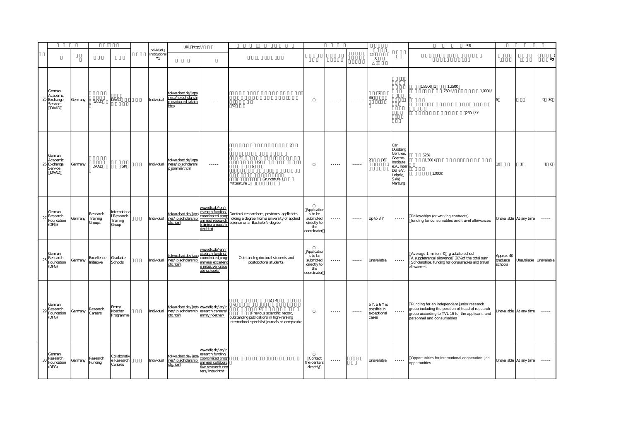|    |                                                   |         |                                |                                               |                                  | URL http://                                                                            |                                                                                                                          |                                                                                                                                              |                                                                          |                        |                                                                                                                                                                                                                                                                                                                                                                                                                                                                                        |                                                    |                                                                                                                | *3                                                                                                                                                                              |                                   |                         |                      |
|----|---------------------------------------------------|---------|--------------------------------|-----------------------------------------------|----------------------------------|----------------------------------------------------------------------------------------|--------------------------------------------------------------------------------------------------------------------------|----------------------------------------------------------------------------------------------------------------------------------------------|--------------------------------------------------------------------------|------------------------|----------------------------------------------------------------------------------------------------------------------------------------------------------------------------------------------------------------------------------------------------------------------------------------------------------------------------------------------------------------------------------------------------------------------------------------------------------------------------------------|----------------------------------------------------|----------------------------------------------------------------------------------------------------------------|---------------------------------------------------------------------------------------------------------------------------------------------------------------------------------|-----------------------------------|-------------------------|----------------------|
|    |                                                   |         |                                |                                               | Individual<br>Institutiona<br>*1 |                                                                                        |                                                                                                                          |                                                                                                                                              |                                                                          |                        |                                                                                                                                                                                                                                                                                                                                                                                                                                                                                        | X                                                  |                                                                                                                |                                                                                                                                                                                 |                                   |                         | $\cdot$ <sub>2</sub> |
| 25 | German<br>Academic<br>Exchange<br>Service<br>DAAD | Germany | DAAD                           | DAAD                                          | Individual                       | tokyo.daad.de/japa<br>nese/jp scholarshi<br>p graduated takata<br>htm                  | $\cdots$                                                                                                                 | 32                                                                                                                                           |                                                                          | $\cdots \cdots$        | $\cdots$                                                                                                                                                                                                                                                                                                                                                                                                                                                                               | $\overline{7}$<br>36                               |                                                                                                                | 1,850€ 1<br>1,250€<br>750€/<br>1,000€/<br>260€/Y                                                                                                                                |                                   |                         | 9 30                 |
| H  | German<br>Academic<br>Exchange<br>Service<br>DAAD | Germany | DAAD                           | <b>ISK</b>                                    | Individual                       | tokyo.daad.de/japa<br>nese/jp_scholarshi<br>p_sommer.htm                               | $- - - - -$                                                                                                              | $\overline{2}$<br>$\overline{2}$<br>19<br>6<br>Grundstufe 1,<br>Mttelstufe 1                                                                 |                                                                          | $\cdots \cdots$        | $\cdots \cdots \cdots$                                                                                                                                                                                                                                                                                                                                                                                                                                                                 | 6                                                  | Carl<br>Duisberg<br>Centren,<br>Goethe-<br>Institute<br>e.V., Inte<br>Dafe.V.,<br>Leipzig,<br>$S+W$<br>Marburg | 625€<br>1,300€<br>1,000€                                                                                                                                                        | 10                                | $\mathbf{1}$            | 18                   |
| 27 | German<br>Research<br>Foundation<br>(DFG)         | Germany | Research<br>Training<br>Groups | Internationa<br>Research<br>Training<br>Group | Individual                       | tokyo.daad.de./japa<br>nes/jp scholarship<br>dfahtml                                   | www.dfg.de/en/r<br>esearch funding/<br>coordinated progr<br>immes/research<br>training groups/in<br>dex.html             | Doctoral researchers, postdocs, applicants<br>holding a degree from a university of applied<br>science or a Bachelor's degree.               | Application<br>s to be<br>submitted<br>directly to<br>the<br>coordinator | $\cdots \cdots \cdots$ | $\begin{array}{cccccccccccccc} \multicolumn{2}{c}{} & \multicolumn{2}{c}{} & \multicolumn{2}{c}{} & \multicolumn{2}{c}{} & \multicolumn{2}{c}{} & \multicolumn{2}{c}{} & \multicolumn{2}{c}{} & \multicolumn{2}{c}{} & \multicolumn{2}{c}{} & \multicolumn{2}{c}{} & \multicolumn{2}{c}{} & \multicolumn{2}{c}{} & \multicolumn{2}{c}{} & \multicolumn{2}{c}{} & \multicolumn{2}{c}{} & \multicolumn{2}{c}{} & \multicolumn{2}{c}{} & \multicolumn{2}{c}{} & \multicolumn{2}{c}{} & \$ | Up to 3Y                                           | $\cdots \cdots \cdots$                                                                                         | Fellowships (or working contracts)<br>funding for consumables and travel allowances                                                                                             |                                   | Unavailable At any time | $\cdots \cdots$      |
| χ  | German<br>Research<br>Foundation<br>(DFG)         | Germany | Excellence<br>Initiative       | Graduate<br>Schools                           | Individual                       | tokyo.daad.de./japa<br>nes/jp scholarship<br>dfghtml                                   | www.dfg.de/en/r<br>esearch funding/<br>coordinated progr<br><u>immes/excellend</u><br>e initiative/gradu<br>ate schools/ | Outstanding doctoral students and<br>postdoctoral students.                                                                                  | Application<br>s to be<br>submitted<br>directly to<br>the<br>coordinator | $\cdots \cdots \cdots$ | $\cdots$                                                                                                                                                                                                                                                                                                                                                                                                                                                                               | Unavailable                                        | $\cdots \cdots \cdots$                                                                                         | Average 1 million € graduate school<br>A supplemental allowance 20% of the total sum<br>Scholarships, funding for consumables and travel<br>allowances.                         | Approx. 40<br>graduate<br>schools | Unavailable Unavailable |                      |
|    | German<br>Research<br>Foundation<br>(DFG)         | Germany | Research<br>Careers            | Emmy<br>Noether<br>Programme                  | Individual                       | tokyo.daad.de./japa www.dfg.de/en/r<br>nes/jp scholarship esearch careers/<br>dfg.html | emmy_noether/                                                                                                            | 24<br>6<br>12<br>Previous scientific record,<br>outstanding publications in high-ranking<br>international specialist journals or comparable. |                                                                          | $\cdots \cdots$        | $\ldots$                                                                                                                                                                                                                                                                                                                                                                                                                                                                               | 5Y, a 6Y is<br>possible in<br>exceptional<br>cases | $\cdots \cdots$                                                                                                | Funding for an independent junior research<br>group including the position of head of research<br>group according to TVL 15 for the applicant, and<br>personnel and consumables |                                   | Unavailable At any time | $\cdots \cdots$      |
| X  | German<br>Research<br>Foundation<br>(DFG)         | Germany | Research<br>Funding            | Collaborativ<br>e Research<br>Centres         | Individual                       | tokyo.daad.de./japa<br>nes/jp scholarship<br>dfg.html                                  | www.dfg.de/en/r<br>esearch funding/<br>coordinated prog<br>ammes/collabora<br><u>tive research ce</u><br>ters/index.html |                                                                                                                                              | Contact<br>the centers<br>directly                                       | $\cdots \cdots$        |                                                                                                                                                                                                                                                                                                                                                                                                                                                                                        | Unavailable                                        | $\cdots \cdots$                                                                                                | Opportunities for international cooperation, job<br>opportunities                                                                                                               |                                   | Unavailable At any time |                      |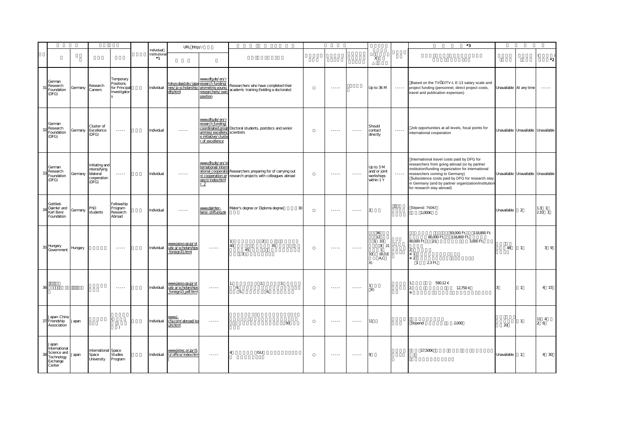|                                                                                  |         |                                                                     |                                                                                                                                                                                                                                                                                                                                                                                                                                                                                        |                                          | URL http://                                                                                                                                          |                                                                                                                                                                                                                                                                                                                                                                                                                                                                                        |                                                                                                          |                                                                                                                                                                                                                                                                                                                                                                                                                                                                                        |                                                                                                                                                                                                                                                                                                                                                                                                                                                                                        |                                                         |          | $^{\ast}3$                                                                                                                                                                                                                                                                                                                |                         |                                     |                           |
|----------------------------------------------------------------------------------|---------|---------------------------------------------------------------------|----------------------------------------------------------------------------------------------------------------------------------------------------------------------------------------------------------------------------------------------------------------------------------------------------------------------------------------------------------------------------------------------------------------------------------------------------------------------------------------|------------------------------------------|------------------------------------------------------------------------------------------------------------------------------------------------------|----------------------------------------------------------------------------------------------------------------------------------------------------------------------------------------------------------------------------------------------------------------------------------------------------------------------------------------------------------------------------------------------------------------------------------------------------------------------------------------|----------------------------------------------------------------------------------------------------------|----------------------------------------------------------------------------------------------------------------------------------------------------------------------------------------------------------------------------------------------------------------------------------------------------------------------------------------------------------------------------------------------------------------------------------------------------------------------------------------|----------------------------------------------------------------------------------------------------------------------------------------------------------------------------------------------------------------------------------------------------------------------------------------------------------------------------------------------------------------------------------------------------------------------------------------------------------------------------------------|---------------------------------------------------------|----------|---------------------------------------------------------------------------------------------------------------------------------------------------------------------------------------------------------------------------------------------------------------------------------------------------------------------------|-------------------------|-------------------------------------|---------------------------|
|                                                                                  |         |                                                                     |                                                                                                                                                                                                                                                                                                                                                                                                                                                                                        | Individual<br>Institutiona<br>$^{\ast}1$ |                                                                                                                                                      |                                                                                                                                                                                                                                                                                                                                                                                                                                                                                        |                                                                                                          |                                                                                                                                                                                                                                                                                                                                                                                                                                                                                        |                                                                                                                                                                                                                                                                                                                                                                                                                                                                                        | X                                                       |          |                                                                                                                                                                                                                                                                                                                           |                         |                                     | ∗21                       |
| German<br>Research<br>Foundation<br>(DFG)                                        | Germany | Research<br>Careers                                                 | Temporary<br>Positions<br>for Principa<br>Investigator                                                                                                                                                                                                                                                                                                                                                                                                                                 | Individual                               | tokyo.daad.de./japa esearch funding/<br>nes/jp scholarship<br>dfq.html researchers/own                                                               | www.dfg.de/en/r<br>position                                                                                                                                                                                                                                                                                                                                                                                                                                                            | Researchers who have completed their<br>academic training (holding a doctorate)                          | $\cdots$                                                                                                                                                                                                                                                                                                                                                                                                                                                                               |                                                                                                                                                                                                                                                                                                                                                                                                                                                                                        | Up to 36 M                                              | $\dots$  | Based on the TVÖD/TV-L E-13 salary scale and<br>project funding (personnel, direct project costs,<br>travel and publication expenses)                                                                                                                                                                                     | Unavailable At any time |                                     |                           |
| German<br>Research<br>Foundation<br>(DFG)                                        | Germany | Cluster of<br>Excellence<br>(DFG)                                   | $\cdots$                                                                                                                                                                                                                                                                                                                                                                                                                                                                               | Individual                               | $\cdots$                                                                                                                                             | www.dfg.de/en/r<br>esearch funding/<br>ammes/excellenc scientists<br>e initiative/cluste<br>r of excellence                                                                                                                                                                                                                                                                                                                                                                            | coordinated progr Doctoral students, postdocs and senior                                                 | $\cdots$                                                                                                                                                                                                                                                                                                                                                                                                                                                                               | $\begin{array}{cccccccccc} \bullet & \bullet & \bullet & \bullet & \bullet & \bullet \end{array}$                                                                                                                                                                                                                                                                                                                                                                                      | Should<br>contact<br>directly                           | $\cdots$ | Job opportunities at all levels, focal points for<br>international cooperation                                                                                                                                                                                                                                            |                         | Unavailable Unavailable Unavailable |                           |
| German<br>Research<br>33<br>Foundation<br>(DFG)                                  | Germany | Initiating and<br>intensifying<br>bilateral<br>cooperation<br>(DFG) | $\mathcal{L}^{\mathcal{L}}\mathcal{L}^{\mathcal{L}}\mathcal{L}^{\mathcal{L}}\mathcal{L}^{\mathcal{L}}\mathcal{L}^{\mathcal{L}}$                                                                                                                                                                                                                                                                                                                                                        | Individual                               | $\frac{1}{2} \left( \frac{1}{2} \right) \left( \frac{1}{2} \right) \left( \frac{1}{2} \right) \left( \frac{1}{2} \right) \left( \frac{1}{2} \right)$ | www.dfg.de/en/in<br>ternational/intern<br>n/cooperation pr<br>oject/index.html<br>$\overline{2}$                                                                                                                                                                                                                                                                                                                                                                                       | ational cooperatio Researchers preparing for of carrying out<br>research projects with colleagues abroad | $- - - - -$                                                                                                                                                                                                                                                                                                                                                                                                                                                                            | $\begin{array}{cccccccccc} \multicolumn{2}{c}{} & \multicolumn{2}{c}{} & \multicolumn{2}{c}{} & \multicolumn{2}{c}{} & \multicolumn{2}{c}{} & \multicolumn{2}{c}{} & \multicolumn{2}{c}{} & \multicolumn{2}{c}{} & \multicolumn{2}{c}{} & \multicolumn{2}{c}{} & \multicolumn{2}{c}{} & \multicolumn{2}{c}{} & \multicolumn{2}{c}{} & \multicolumn{2}{c}{} & \multicolumn{2}{c}{} & \multicolumn{2}{c}{} & \multicolumn{2}{c}{} & \multicolumn{2}{c}{} & \multicolumn{2}{c}{} & \mult$ | Up to 3M<br>and/or joint<br>vorkshops<br>within 1 Y     | $\cdots$ | International travel costs paid by DFG for<br>researchers from going abroad (or by partner<br>institution/funding organization for international<br>researchers coming to Germany)<br>Subsistence costs paid by DFG for research stay<br>in Germany (and by partner organization/institution<br>for research stay abroad) |                         | Unavailable Unavailable Unavailable |                           |
| Gottlieb<br>Daimler and<br>Karl Benz<br>Foundation                               | Germany | PhD<br>students                                                     | Fellowship<br>Program<br>Research<br>Abroad                                                                                                                                                                                                                                                                                                                                                                                                                                            | Individual                               | $\cdots$                                                                                                                                             | www.daimler-<br>benz-stiftung.de                                                                                                                                                                                                                                                                                                                                                                                                                                                       | Mater's degree or Diploma degree<br>30                                                                   | $- - - - -$                                                                                                                                                                                                                                                                                                                                                                                                                                                                            | $\begin{array}{cccccccccc} \multicolumn{2}{c}{} & \multicolumn{2}{c}{} & \multicolumn{2}{c}{} & \multicolumn{2}{c}{} & \multicolumn{2}{c}{} & \multicolumn{2}{c}{} & \multicolumn{2}{c}{} & \multicolumn{2}{c}{} & \multicolumn{2}{c}{} & \multicolumn{2}{c}{} & \multicolumn{2}{c}{} & \multicolumn{2}{c}{} & \multicolumn{2}{c}{} & \multicolumn{2}{c}{} & \multicolumn{2}{c}{} & \multicolumn{2}{c}{} & \multicolumn{2}{c}{} & \multicolumn{2}{c}{} & \multicolumn{2}{c}{} & \mult$ | $\mathcal{D}$                                           |          | Stipend: 750€<br>1,000€                                                                                                                                                                                                                                                                                                   | Unavailable             | 2                                   | 1.3 <sub>1</sub><br>210 1 |
| Hungary<br>35<br>Government                                                      | Hungary |                                                                     | $\frac{1}{2} \left( \frac{1}{2} \right) \left( \frac{1}{2} \right) \left( \frac{1}{2} \right) \left( \frac{1}{2} \right) \left( \frac{1}{2} \right)$                                                                                                                                                                                                                                                                                                                                   | Individual                               | www.jasso.go.jp/st<br>udy a/scholarships<br>foreign31.html                                                                                           | $\cdots$                                                                                                                                                                                                                                                                                                                                                                                                                                                                               | $\overline{2}$<br>40<br>35<br>45<br>$\overline{3}$                                                       | $- - - - -$                                                                                                                                                                                                                                                                                                                                                                                                                                                                            | $\begin{array}{cccccccccc} \multicolumn{2}{c}{} & \multicolumn{2}{c}{} & \multicolumn{2}{c}{} & \multicolumn{2}{c}{} & \multicolumn{2}{c}{} & \multicolumn{2}{c}{} & \multicolumn{2}{c}{} & \multicolumn{2}{c}{} & \multicolumn{2}{c}{} & \multicolumn{2}{c}{} & \multicolumn{2}{c}{} & \multicolumn{2}{c}{} & \multicolumn{2}{c}{} & \multicolumn{2}{c}{} & \multicolumn{2}{c}{} & \multicolumn{2}{c}{} & \multicolumn{2}{c}{} & \multicolumn{2}{c}{} & \multicolumn{2}{c}{} & \mult$ | 36<br>12<br>$1 10$<br>321<br>(B.D.E)<br>10<br>A,C<br>X) |          | 93,000 Ft. 118,800 Ft.<br>80,000 Ft.<br>118,800 Ft.<br>80,000 Ft.<br>21<br>3,000 Ft.<br>$\mathcal{P}$<br>$\overline{2}$<br>23Ft<br>$\overline{1}$                                                                                                                                                                         | 48                      | $\mathbf{1}$                        | 3 <sup>9</sup>            |
| 36                                                                               |         |                                                                     | $\begin{array}{cccccccccc} \multicolumn{2}{c}{} & \multicolumn{2}{c}{} & \multicolumn{2}{c}{} & \multicolumn{2}{c}{} & \multicolumn{2}{c}{} & \multicolumn{2}{c}{} & \multicolumn{2}{c}{} & \multicolumn{2}{c}{} & \multicolumn{2}{c}{} & \multicolumn{2}{c}{} & \multicolumn{2}{c}{} & \multicolumn{2}{c}{} & \multicolumn{2}{c}{} & \multicolumn{2}{c}{} & \multicolumn{2}{c}{} & \multicolumn{2}{c}{} & \multicolumn{2}{c}{} & \multicolumn{2}{c}{} & \multicolumn{2}{c}{} & \mult$ | Individual                               | www.jasso.go.jp/st<br>udy a/scholarships<br>foreign15.pdf.html                                                                                       | $\begin{array}{cccccccccc} \multicolumn{2}{c}{} & \multicolumn{2}{c}{} & \multicolumn{2}{c}{} & \multicolumn{2}{c}{} & \multicolumn{2}{c}{} & \multicolumn{2}{c}{} & \multicolumn{2}{c}{} & \multicolumn{2}{c}{} & \multicolumn{2}{c}{} & \multicolumn{2}{c}{} & \multicolumn{2}{c}{} & \multicolumn{2}{c}{} & \multicolumn{2}{c}{} & \multicolumn{2}{c}{} & \multicolumn{2}{c}{} & \multicolumn{2}{c}{} & \multicolumn{2}{c}{} & \multicolumn{2}{c}{} & \multicolumn{2}{c}{} & \mult$ | $\overline{2}$<br>3<br>$\overline{4}$<br>5<br>6                                                          | $\begin{array}{cccccccccc} \multicolumn{2}{c}{} & \multicolumn{2}{c}{} & \multicolumn{2}{c}{} & \multicolumn{2}{c}{} & \multicolumn{2}{c}{} & \multicolumn{2}{c}{} & \multicolumn{2}{c}{} & \multicolumn{2}{c}{} & \multicolumn{2}{c}{} & \multicolumn{2}{c}{} & \multicolumn{2}{c}{} & \multicolumn{2}{c}{} & \multicolumn{2}{c}{} & \multicolumn{2}{c}{} & \multicolumn{2}{c}{} & \multicolumn{2}{c}{} & \multicolumn{2}{c}{} & \multicolumn{2}{c}{} & \multicolumn{2}{c}{} & \mult$ | $\begin{array}{cccccccccc} \multicolumn{2}{c}{} & \multicolumn{2}{c}{} & \multicolumn{2}{c}{} & \multicolumn{2}{c}{} & \multicolumn{2}{c}{} & \multicolumn{2}{c}{} & \multicolumn{2}{c}{} & \multicolumn{2}{c}{} & \multicolumn{2}{c}{} & \multicolumn{2}{c}{} & \multicolumn{2}{c}{} & \multicolumn{2}{c}{} & \multicolumn{2}{c}{} & \multicolumn{2}{c}{} & \multicolumn{2}{c}{} & \multicolumn{2}{c}{} & \multicolumn{2}{c}{} & \multicolumn{2}{c}{} & \multicolumn{2}{c}{} & \mult$ | X)                                                      |          | 590.12€<br>12,750€                                                                                                                                                                                                                                                                                                        | 3                       | $\mathbf{1}$                        | 4 15                      |
| Japan-China<br>Friendship<br>Association                                         | Japan   |                                                                     | $\rightarrow$                                                                                                                                                                                                                                                                                                                                                                                                                                                                          | Individual                               | wwwi-<br>cfa.com/abroad/ko<br>uhi.html                                                                                                               | $\sim$ $\sim$ $\sim$ $\sim$                                                                                                                                                                                                                                                                                                                                                                                                                                                            | 50                                                                                                       | $\begin{array}{cccccccccc} \multicolumn{2}{c}{} & \multicolumn{2}{c}{} & \multicolumn{2}{c}{} & \multicolumn{2}{c}{} & \multicolumn{2}{c}{} & \multicolumn{2}{c}{} & \multicolumn{2}{c}{} & \multicolumn{2}{c}{} & \multicolumn{2}{c}{} & \multicolumn{2}{c}{} & \multicolumn{2}{c}{} & \multicolumn{2}{c}{} & \multicolumn{2}{c}{} & \multicolumn{2}{c}{} & \multicolumn{2}{c}{} & \multicolumn{2}{c}{} & \multicolumn{2}{c}{} & \multicolumn{2}{c}{} & \multicolumn{2}{c}{} & \mult$ | $- - - - -$                                                                                                                                                                                                                                                                                                                                                                                                                                                                            | 11                                                      |          | Stipend:<br>2,000                                                                                                                                                                                                                                                                                                         | 20                      | $\mathbf{1}$                        | $11 \quad 4$<br>26        |
| Japan<br>International<br>Science and<br><b>Fechnology</b><br>Exchange<br>Center | apan    | nternational Space<br>Space<br>University                           | Studies<br>Program                                                                                                                                                                                                                                                                                                                                                                                                                                                                     | Individual                               | www.jistec.or.jp/IS<br>U/office/index.htm                                                                                                            | $\cdots \cdots$                                                                                                                                                                                                                                                                                                                                                                                                                                                                        | <b>ISU</b>                                                                                               | $\cdots$                                                                                                                                                                                                                                                                                                                                                                                                                                                                               | $\cdots$                                                                                                                                                                                                                                                                                                                                                                                                                                                                               |                                                         |          | 17.500€                                                                                                                                                                                                                                                                                                                   | Unavailable             | $\mathbf{1}$                        | 4 30                      |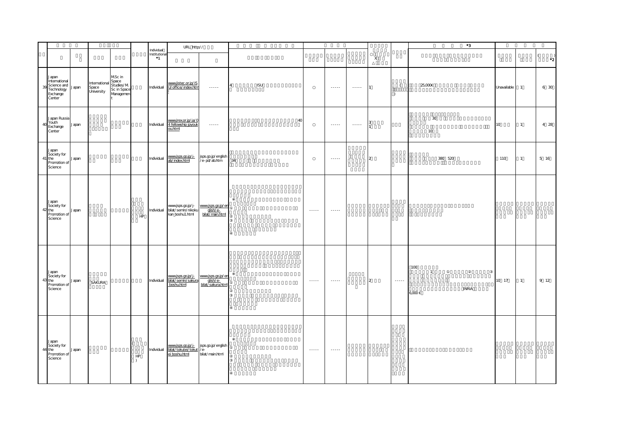|            |                                                                           |       |                                            |                                                 |                         |                                                       | URL http://                                                                                                        |                                                    |                |            |                                    |                                                                                                             |                                    |                |                       | $^*3$                                              |             |                |                                          |
|------------|---------------------------------------------------------------------------|-------|--------------------------------------------|-------------------------------------------------|-------------------------|-------------------------------------------------------|--------------------------------------------------------------------------------------------------------------------|----------------------------------------------------|----------------|------------|------------------------------------|-------------------------------------------------------------------------------------------------------------|------------------------------------|----------------|-----------------------|----------------------------------------------------|-------------|----------------|------------------------------------------|
|            |                                                                           |       |                                            |                                                 |                         | Individual<br>Institutiona<br>$\overline{\mathbf{1}}$ |                                                                                                                    |                                                    |                |            |                                    |                                                                                                             |                                    | $\mathsf{X}$   |                       |                                                    |             |                | $\overline{(\ }$<br>$\cdot$ <sup>2</sup> |
| 39         | Japan<br>International<br>Science and<br>Technology<br>Exchange<br>Center | Japan | International Space<br>Space<br>University | MSc in<br>Studies/M<br>Sc in Space<br>Managemen |                         | Individual                                            | www.jistec.or.jp/IS<br>U/office/index.htm                                                                          | $\cdots$                                           | $\overline{4}$ | <b>ISU</b> |                                    | $\begin{array}{cccccccccc} \bullet & \bullet & \bullet & \bullet & \bullet & \bullet & \bullet \end{array}$ | $\sim$ $\sim$ $\sim$ $\sim$ $\sim$ | I1             | $\left($<br>$\lambda$ | 25,000€                                            | Unavailable | $\overline{1}$ | 6 30                                     |
| $\Delta f$ | Japan Russia<br>Youth<br>Exchange<br>Center                               | Japan |                                            |                                                 |                         | Individual                                            | www.jrex.or.jp/ja/C<br>4 fellowship jpyouk<br>ou.html                                                              | $\cdots \cdots$                                    |                |            | 40                                 | $\dots$                                                                                                     | $\cdots \cdots$                    |                |                       | $30\,$<br>10 <sup>°</sup>                          | 10          | $\overline{1}$ | 4 28                                     |
|            | Japan<br>Society for<br>41 the<br>Promotion of<br>Science                 | Japan |                                            |                                                 |                         | Individual                                            | www.jsps.go.jp/j-<br>ab/index.html                                                                                 | jsps.go.jp/english<br>/e- pd/ab.htm                | 34             |            |                                    | $\sim$ - - - - -                                                                                            |                                    | $\overline{2}$ |                       | 380 520                                            | 110         | $\mathbf{1}$   | 5 16                                     |
|            | Japan<br>Society for<br>42 the<br>Promotion of<br>Science                 | Japan |                                            |                                                 | HP                      | Individual                                            | www.jsps.go.jp/j-<br>bilat/semin/nikoku<br>kan_boshu1.html                                                         | www.jsps.go.jp/en<br>bilat/main.html               |                |            | $\sim$ - - - - -                   | $\sim$ - - - - -                                                                                            |                                    |                |                       |                                                    |             |                |                                          |
| 43         | Japan<br>Society for<br>the<br>Promotion of<br>Science                    | Japan | SAKURA                                     |                                                 |                         | Individual                                            | <u>www.jsps.go.jp/j-.</u><br>bilat/semin/sakura<br>boshu.html                                                      | www.jsps.go.jp/en<br>glish/e-<br>bilat/sakura.html |                |            | $\sim$ $\sim$ $\sim$ $\sim$ $\sim$ |                                                                                                             |                                    | $\overline{2}$ | $\dots$               | 100<br>$\mathbf{1}$<br><b>INRIA</b><br>$6,000 \in$ | 10 17       | $\overline{1}$ | 9 12                                     |
|            | Japan<br>Society for<br>44 the<br>Promotion of<br>Science                 | Japan |                                            |                                                 | ${\sf HP}$<br>$\lambda$ | Individual                                            | www.jsps.go.jp/j=   jsps.go.jp/english<br><u>bilat/tokutei/tokut</u> /e-<br><u>ei boshu.html</u>   bilat/main.html |                                                    |                |            | $\sim$ $\sim$ $\sim$ $\sim$        | $\dots$                                                                                                     |                                    |                |                       |                                                    |             |                |                                          |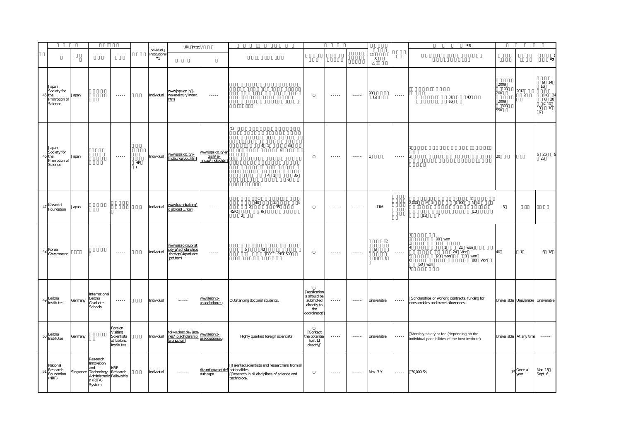|    |                                                           |           |                                                                                                        |                                                               |                     |                                     | URL http://                                                                                      |                                                    |                                                                                                           |                                                                              |                                                                                                                                                                                                                                                                                                                                                                                                                                                                                        |                                                                                                                                                                                                                                                                                                                                                                                                                                                                                        |                                                  |                        | *3                                                                                                     |                                          |                                     |                                                                 |
|----|-----------------------------------------------------------|-----------|--------------------------------------------------------------------------------------------------------|---------------------------------------------------------------|---------------------|-------------------------------------|--------------------------------------------------------------------------------------------------|----------------------------------------------------|-----------------------------------------------------------------------------------------------------------|------------------------------------------------------------------------------|----------------------------------------------------------------------------------------------------------------------------------------------------------------------------------------------------------------------------------------------------------------------------------------------------------------------------------------------------------------------------------------------------------------------------------------------------------------------------------------|----------------------------------------------------------------------------------------------------------------------------------------------------------------------------------------------------------------------------------------------------------------------------------------------------------------------------------------------------------------------------------------------------------------------------------------------------------------------------------------|--------------------------------------------------|------------------------|--------------------------------------------------------------------------------------------------------|------------------------------------------|-------------------------------------|-----------------------------------------------------------------|
|    |                                                           |           |                                                                                                        |                                                               |                     | Individual<br>Institutiona<br>$^*1$ |                                                                                                  |                                                    |                                                                                                           |                                                                              |                                                                                                                                                                                                                                                                                                                                                                                                                                                                                        |                                                                                                                                                                                                                                                                                                                                                                                                                                                                                        | $\mathsf X$                                      |                        |                                                                                                        |                                          |                                     | $\left($<br>$\cdot$ <sup>2</sup>                                |
|    | Japan<br>Society for<br>45 the<br>Promotion of<br>Science | Japan     |                                                                                                        | $\sim$ $\sim$ $\sim$ $\sim$                                   |                     | Individual                          | www.jsps.go.jp/j-<br>wakatekojin/index.<br>html                                                  | $\cdots \cdots$                                    |                                                                                                           |                                                                              | $\dots$                                                                                                                                                                                                                                                                                                                                                                                                                                                                                | $\sim$ $\sim$ $\sim$ $\sim$                                                                                                                                                                                                                                                                                                                                                                                                                                                            | $\frac{90}{12}$                                  | $\cdots \cdots$        | 31<br>43<br>16                                                                                         | 2009<br>100<br>200<br>2009<br>300<br>550 | 2012<br>$\overline{2}$              | 9 14<br>16<br>8 24<br>8 28<br>10 <sup>°</sup><br>10<br>13<br>16 |
|    | Japan<br>Society for<br>46 the<br>Promotion of<br>Science | Japan     |                                                                                                        | $\sim$ $\sim$ $\sim$ $\sim$                                   | HP<br>$\rightarrow$ | Individual                          | www.jsps.go.jp/j-<br>lindau/gaiyou.html                                                          | www.jsps.go.jp/en<br>glish/e-<br>lindau/index.html | (1)<br>$4 \quad 1$<br>35<br>6<br>4 <sub>1</sub><br>35<br>6                                                |                                                                              | $\dots$                                                                                                                                                                                                                                                                                                                                                                                                                                                                                | $\cdots \cdots$                                                                                                                                                                                                                                                                                                                                                                                                                                                                        | I1                                               | $\cdots \cdots$        | $\overline{2}$                                                                                         | 20                                       |                                     | 6 25<br>25                                                      |
|    | 47 Kazankai<br>Foundation                                 | Japan     |                                                                                                        |                                                               |                     | Individual                          | www.kazankai.org/<br>c abroad 1.html                                                             | $\cdots$                                           | 40<br>$\overline{a}$<br>$\overline{2}$<br>35<br>HSK(<br>)6                                                |                                                                              | $\begin{array}{cccccccccc} \multicolumn{2}{c}{} & \multicolumn{2}{c}{} & \multicolumn{2}{c}{} & \multicolumn{2}{c}{} & \multicolumn{2}{c}{} & \multicolumn{2}{c}{} & \multicolumn{2}{c}{} & \multicolumn{2}{c}{} & \multicolumn{2}{c}{} & \multicolumn{2}{c}{} & \multicolumn{2}{c}{} & \multicolumn{2}{c}{} & \multicolumn{2}{c}{} & \multicolumn{2}{c}{} & \multicolumn{2}{c}{} & \multicolumn{2}{c}{} & \multicolumn{2}{c}{} & \multicolumn{2}{c}{} & \multicolumn{2}{c}{} & \mult$ | $\begin{array}{cccccccccc} \multicolumn{2}{c}{} & \multicolumn{2}{c}{} & \multicolumn{2}{c}{} & \multicolumn{2}{c}{} & \multicolumn{2}{c}{} & \multicolumn{2}{c}{} & \multicolumn{2}{c}{} & \multicolumn{2}{c}{} & \multicolumn{2}{c}{} & \multicolumn{2}{c}{} & \multicolumn{2}{c}{} & \multicolumn{2}{c}{} & \multicolumn{2}{c}{} & \multicolumn{2}{c}{} & \multicolumn{2}{c}{} & \multicolumn{2}{c}{} & \multicolumn{2}{c}{} & \multicolumn{2}{c}{} & \multicolumn{2}{c}{} & \mult$ | 11M                                              |                        | 2,000 M<br>1,700<br>M<br>10<br>Y<br>12                                                                 | $5\phantom{.}$                           |                                     |                                                                 |
|    | 48 Korea<br>Government                                    |           |                                                                                                        | $\sim$ $\sim$ $\sim$ $\sim$ $\sim$                            |                     | Individual                          | www.jasso.go.jp/st<br>udy a/scholarships<br>foreign04graduate<br>pdf.html                        | $\sim$ $\sim$ $\sim$ $\sim$                        | 5<br>40<br>TOEFL:PBT 500                                                                                  |                                                                              | $\begin{array}{cccccccccc} \bullet & \bullet & \bullet & \bullet & \bullet & \bullet & \bullet \end{array}$                                                                                                                                                                                                                                                                                                                                                                            | $\cdots$                                                                                                                                                                                                                                                                                                                                                                                                                                                                               | $\overline{2}$<br>$\overline{3}$<br>$\mathbf{1}$ | $\cdots \cdots$        | 90 von<br>21 von<br>$\mathbf{1}$<br>24 Won<br>$\mathbf{1}$<br>20 vion 10 vion<br>5<br>80 Won<br>50 von | 40                                       | $\mathbf{1}$                        | 6 18                                                            |
|    | 49 Leibniz<br>Institutes                                  | Germany   | International<br>Leibniz<br>Graduate<br>Schools                                                        | $\sim$ $\sim$ $\sim$ $\sim$                                   |                     | Individual                          | $\sim$ $\sim$ $\sim$ $\sim$                                                                      | www.leibniz-<br>association.eu                     | Outstanding doctoral students.                                                                            | application<br>s should be<br>submitted<br>directly to<br>the<br>coordinator | $\ldots$                                                                                                                                                                                                                                                                                                                                                                                                                                                                               | $\cdots \cdots$                                                                                                                                                                                                                                                                                                                                                                                                                                                                        | Unavailable                                      | $\dots$                | Scholarships or working contracts; funding for<br>consumables and travel allowances.                   |                                          | Unavailable Unavailable Unavailable |                                                                 |
|    | 50 Leibniz<br>Institutes                                  | Germany   |                                                                                                        | Foreign<br>Visiting<br>Scientists<br>at Leibniz<br>Institutes |                     | Individual                          | tokyo.daad.de./japa<br>lokyo.daad.de./japa<br>nes/jp.scholarship<br>leibniz.html<br>leibniz.html |                                                    | Highly qualified foreign scientists                                                                       | Contact<br>the potential<br>host LI<br>directly                              | $\begin{array}{cccccccccc} \bullet & \bullet & \bullet & \bullet & \bullet & \bullet & \bullet \end{array}$                                                                                                                                                                                                                                                                                                                                                                            | $\cdots \cdots \cdots$                                                                                                                                                                                                                                                                                                                                                                                                                                                                 | Unavailable                                      | $\cdots \cdots \cdots$ | Monthly salary or fee (depending on the<br>individual possibilities of the host institute)             |                                          | Unavailable At any time             | $\sim$ - - - - -                                                |
| 51 | National<br>Research<br>Foundation<br>(NRF)               | Singapore | Research<br>Innovation<br>and<br>Technology Research<br>Administratio Fellowship<br>n (RITA)<br>System | <b>NRF</b>                                                    |                     | Individual                          | $\cdots \cdots$                                                                                  | rita.nrf.gov.sg/def nationalities.<br>ault.aspx    | Talented scientists and researchers from all<br>Research in all disciplines of science and<br>technology. |                                                                              |                                                                                                                                                                                                                                                                                                                                                                                                                                                                                        | $\cdots \cdots$                                                                                                                                                                                                                                                                                                                                                                                                                                                                        | Max. 3 Y                                         | $\cdots \cdots$        | 30,000 S\$                                                                                             |                                          | $15$ Once a<br>year                 | Mar. 18<br>Sept. 6                                              |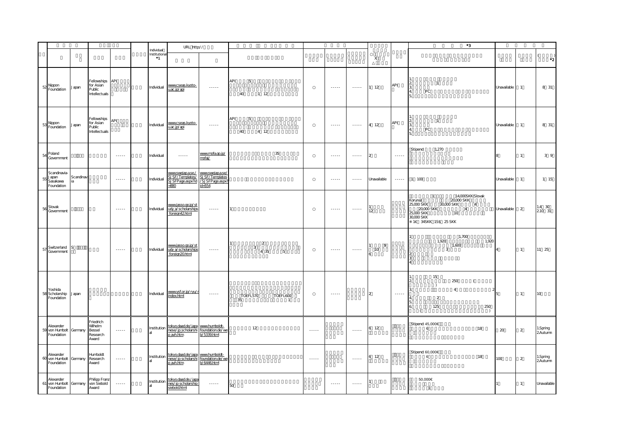|    |                                                         |                |                                                              |                             |                                      | URL http://                                                                     |                                                                     |                                              |                             |                                                                                                   |                      |                |                 | $^{\ast}3$                                                                                                                                                                  |                |                |                      |
|----|---------------------------------------------------------|----------------|--------------------------------------------------------------|-----------------------------|--------------------------------------|---------------------------------------------------------------------------------|---------------------------------------------------------------------|----------------------------------------------|-----------------------------|---------------------------------------------------------------------------------------------------|----------------------|----------------|-----------------|-----------------------------------------------------------------------------------------------------------------------------------------------------------------------------|----------------|----------------|----------------------|
|    |                                                         |                |                                                              |                             | Individual<br>Institutional<br>$^*1$ |                                                                                 |                                                                     |                                              |                             |                                                                                                   |                      | $\mathsf X$    |                 |                                                                                                                                                                             |                |                | $\cdot$ <sup>2</sup> |
|    | $52$ Nippon<br>Foundation                               | Japan          | Fellowships API<br>for Asian<br>Public<br>Intellectuals      |                             | Individual                           | www.cseas.kyoto-<br>u.ac.jp/api                                                 | $\dots$ .                                                           | API<br>5<br>$1 \t12$<br>40                   |                             | $\sim$ $\sim$ $\sim$ $\sim$                                                                       | $\cdots \cdots$      | $1 \quad 12$   | API             | $\overline{1}$<br>$\begin{array}{c} 2 \\ 3 \\ 4 \end{array}$<br>${\sf PC}$<br>15.                                                                                           | Unavailable    | $\overline{1}$ | 8 31                 |
|    | 53 Nippon<br>Foundation                                 | Japan          | Fellowships<br>for Asian<br>Public<br>Intellectuals          | API                         | Individual                           | www.cseas.kyoto-<br>u.ac.jp/api                                                 | $\dots$ .                                                           | API<br>$\overline{5}$<br>40<br>4 12          |                             | $\sim$ $\sim$ $\sim$ $\sim$                                                                       | $\cdots \cdots$      | 4 12           | API             | $\overline{1}$<br>$\begin{array}{c} 2 \\ 3 \\ 4 \end{array}$<br>PC<br>ı5                                                                                                    | Unavailable    | $\overline{1}$ | 8 31                 |
|    | $54$ Poland<br>Government                               |                |                                                              | $\ldots$                    | Individual                           | $\ldots$                                                                        | www.mofa.go.jp/<br>mofaj/                                           | 35                                           |                             | $\dots$                                                                                           | $\cdots \cdots$      | $\overline{2}$ | $\cdots \cdots$ | 1,270<br>Stipend:                                                                                                                                                           | 8              | $\mathbf{1}$   | $3\overline{9}$      |
| 55 | Scandinavia-<br>Japan<br>Sasakawa<br>Foundation         | Scandinav      |                                                              | $\sim$ $\sim$ $\sim$ $\sim$ | Individual                           | www.swejap.a.se./<br>SJSF/Templates/<br>SJSFPage.aspx?id<br>$-880$              | www.swejap.a.se/<br>SJSF/Templates<br>/SJSFPage.aspx?<br>$id = 554$ |                                              |                             | $\sim$ $\sim$ $\sim$ $\sim$                                                                       | $\cdots \cdots$      | Unavailable    | $\cdots \cdots$ | 1 100                                                                                                                                                                       | Unavailable    | $\mathbf{1}$   | 1 15                 |
|    | Slovak<br>56 Slovan<br>Government                       |                |                                                              | $\sim$ $\sim$ $\sim$ $\sim$ | Individual                           | wwwjasso.go.jp/st<br>udy a/scholarships<br>foreign42.html                       | $\cdots$                                                            |                                              |                             | $\begin{array}{cccccccccc} \bullet & \bullet & \bullet & \bullet & \bullet & \bullet \end{array}$ | $\cdots$             | 12             |                 | 14,000SKK(Slovak<br>$20,000$ SKK<br>$\overline{4}$<br>10<br>25,000 SKK<br>30,000 SKK<br>1€ 34SKK 1S\$ 25SKK                                                                 | Unavailable    | 2              | $1.4$ 30<br>210 31   |
| 57 | Switzerland<br>Government                               | S              |                                                              | $\sim$ $\sim$ $\sim$ $\sim$ | Individual                           | www.jasso.go.jp/st<br>udy a/scholarships<br>foreign20.html                      | $\sim$ $\sim$ $\sim$ $\sim$                                         | $\overline{a}$<br>$\mathbf{3}$<br>4 3 5<br>5 |                             | $\cdots$                                                                                          |                      | 9<br>10<br>6   |                 | 1,700<br>1,920<br>1,920<br>1,600<br>$\overline{3}$<br>3                                                                                                                     | $\overline{4}$ | $\mathbf{1}$   | 11 25                |
|    | Yoshida<br>58 Scholarship<br>Foundation                 | Japan          |                                                              |                             | Individual                           | wwwysf.or.jp/ryu/r<br>index.html                                                | $\sim$ 1000 $\sim$                                                  | TOEFL600<br>TOEFL570<br>35<br>$\overline{1}$ |                             | $\sim$ $\sim$ $\sim$ $\sim$                                                                       |                      | $\overline{a}$ | $\cdots$        | 15<br>250<br>$\overline{ }$<br>$\lambda$<br>$\overline{4}$<br>$\mathbf{B}$<br>2<br>$\overline{2}$<br>$\overline{4}$<br>5.<br>125<br>250<br>6<br>$\sqrt{2}$<br>$\rightarrow$ | 5              | $\mathbf{1}$   | 10 <sub>o</sub>      |
| 59 | Alexander<br>von Humbolt<br>Foundation                  | Germany Bessel | Friedrich<br>Wilhelm<br>Research<br>Award                    | $\sim$ $\sim$ $\sim$ $\sim$ |                                      | Institution tokyo.daad.de/japa www.humboldt-<br>nese/jp scholarshi<br>p avh.htm | foundation.de/we<br>b/5339.html                                     | 12                                           | $\sim$ $\sim$ $\sim$ $\sim$ |                                                                                                   | $\sim$ $\sim$ $\sim$ | 6 12           |                 | Stipend: 45,000€<br>18<br>6                                                                                                                                                 | $\infty$       | $\overline{2}$ | 1.Spring<br>2Autumn  |
| 60 | Alexander<br>von Humbolt Germany Research<br>Foundation |                | Humboldt<br>Award                                            | $\sim$ $\sim$ $\sim$ $\sim$ |                                      | Institution tokyo.daad.de/japa www.humboldt-<br>p avh.htm                       | b/6446.html                                                         |                                              | $\sim$ - $\sim$ - $\sim$    |                                                                                                   | $\dots$ .            | 6 12           |                 | Stipend: 60,000€<br>6<br>18                                                                                                                                                 | 100            | $\overline{2}$ | 1.Spring<br>2Autumn  |
|    | Alexander<br>Foundation                                 |                | Philipp Franz<br>61 von Humbolt Germany von Siebold<br>Award |                             |                                      | Institution tokyo.daad.de./japa<br>siebold.html                                 | $\cdots \cdots \cdots$                                              | 50                                           |                             | $\cdots$                                                                                          |                      |                |                 | 50,000€<br>$\overline{1}$                                                                                                                                                   |                | $\mathbf{1}$   | Unavailable          |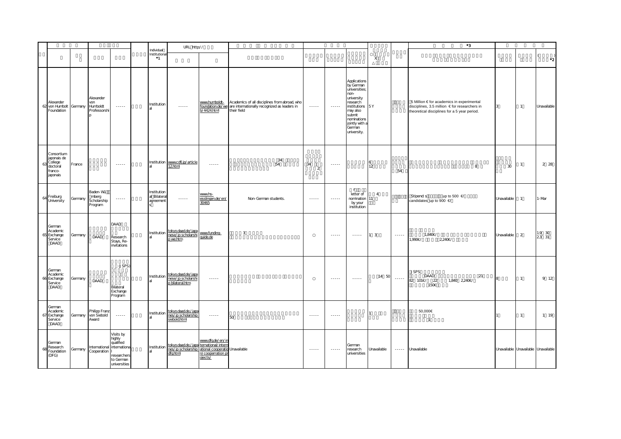|                                                                               |         |                                              |                                                                                                             |                                          | URL http://                                                                                                                                          |                                                                                                                                                                                                                                                                                                                                                                                                                                                                                        |                                                                                                                               |                                                                                                               |                                                                                                                                                                                                                                                                                                                                                                                                                                                                                        |                                                                                                                                                                                                                                                                                                                                                                                                                                                                                        |                               |                 | $^{\ast}3$                                                                                                                                 |                                     |                |                             |
|-------------------------------------------------------------------------------|---------|----------------------------------------------|-------------------------------------------------------------------------------------------------------------|------------------------------------------|------------------------------------------------------------------------------------------------------------------------------------------------------|----------------------------------------------------------------------------------------------------------------------------------------------------------------------------------------------------------------------------------------------------------------------------------------------------------------------------------------------------------------------------------------------------------------------------------------------------------------------------------------|-------------------------------------------------------------------------------------------------------------------------------|---------------------------------------------------------------------------------------------------------------|----------------------------------------------------------------------------------------------------------------------------------------------------------------------------------------------------------------------------------------------------------------------------------------------------------------------------------------------------------------------------------------------------------------------------------------------------------------------------------------|----------------------------------------------------------------------------------------------------------------------------------------------------------------------------------------------------------------------------------------------------------------------------------------------------------------------------------------------------------------------------------------------------------------------------------------------------------------------------------------|-------------------------------|-----------------|--------------------------------------------------------------------------------------------------------------------------------------------|-------------------------------------|----------------|-----------------------------|
|                                                                               |         |                                              |                                                                                                             | Individual<br>Institutional<br>$^*1$     |                                                                                                                                                      |                                                                                                                                                                                                                                                                                                                                                                                                                                                                                        |                                                                                                                               |                                                                                                               |                                                                                                                                                                                                                                                                                                                                                                                                                                                                                        |                                                                                                                                                                                                                                                                                                                                                                                                                                                                                        | X                             |                 |                                                                                                                                            |                                     |                | - (<br>$\cdot$ <sup>2</sup> |
| Alexander<br>62 von Humbolt Germany<br>Foundation                             |         | Alexander<br>von<br>Humboldt<br>Professorshi | $\begin{array}{cccccccccc} \bullet & \bullet & \bullet & \bullet & \bullet & \bullet & \bullet \end{array}$ | Institution                              | $\frac{1}{2} \left( \frac{1}{2} \right) \left( \frac{1}{2} \right) \left( \frac{1}{2} \right) \left( \frac{1}{2} \right) \left( \frac{1}{2} \right)$ | www.humboldt-<br>0/4424.html                                                                                                                                                                                                                                                                                                                                                                                                                                                           | Academics of all disciplines from abroad, who<br>foundation.de/we are internationally recognized as leaders in<br>their field | $\sim$ $\sim$ $\sim$ $\sim$                                                                                   | $\sim$ $\sim$ $\sim$ $\sim$                                                                                                                                                                                                                                                                                                                                                                                                                                                            | Applications<br>by German<br>universities;<br>non-<br>university<br>research<br>institutions 5Y<br>may also<br>submit<br>nominations<br>jointly with a<br>German<br>university.                                                                                                                                                                                                                                                                                                        |                               |                 | 5 Million € for academics in experimental<br>disciplines, 3.5 million € for researchers in<br>theoretical disciplines for a 5 year period. | 3                                   | $\overline{1}$ | Unavailable                 |
| Consortium<br>japonais de<br>College<br>63<br>doctoral<br>franco-<br>japonais | France  |                                              | $\sim$ $\sim$ $\sim$ $\sim$                                                                                 |                                          | Institution www.cdfj.jp/article<br>12html                                                                                                            | $\cdots \cdots$                                                                                                                                                                                                                                                                                                                                                                                                                                                                        | $\frac{34}{54}$                                                                                                               | 34<br>$\overline{2}$                                                                                          | $\dots$                                                                                                                                                                                                                                                                                                                                                                                                                                                                                |                                                                                                                                                                                                                                                                                                                                                                                                                                                                                        | 12                            | 54              | 8                                                                                                                                          | $30\,$                              | $\mathbf{1}$   | 2 2 8                       |
| Freiburg<br>64<br>University                                                  | Germany | Baden-Wü<br>mberg<br>Scholarship<br>Program  | $\dots$                                                                                                     | Institution<br>al Bilateral<br>agreement | $\sim$ $\sim$ $\sim$ $\sim$                                                                                                                          | www.hs-<br>esslingen.de/en/<br>30465                                                                                                                                                                                                                                                                                                                                                                                                                                                   | Non-German students.                                                                                                          | 1.1.1.1                                                                                                       | $\sim$ $\sim$ $\sim$ $\sim$                                                                                                                                                                                                                                                                                                                                                                                                                                                            | f<br>letter of<br>nomination 11<br>by your<br>institution                                                                                                                                                                                                                                                                                                                                                                                                                              | $\overline{4}$                |                 | up to 500 $\in$<br>Stipend: s<br>candidates up to 900 €                                                                                    | Unavailable                         | $\overline{1}$ | 1-Mar                       |
| German<br>Academic<br>65 Exchange<br>Service<br>DAAD                          | Germany | DAAD                                         | DAAD<br>Research<br>Stays, Re-<br>invitations                                                               | <b>Institution</b>                       | tokyo.daad.de/japa<br>nese/jp scholarshi<br>p we.htm                                                                                                 | www.funding-<br>quide.de                                                                                                                                                                                                                                                                                                                                                                                                                                                               | $\overline{3}$                                                                                                                |                                                                                                               | $\begin{array}{cccccccccc} \multicolumn{2}{c}{} & \multicolumn{2}{c}{} & \multicolumn{2}{c}{} & \multicolumn{2}{c}{} & \multicolumn{2}{c}{} & \multicolumn{2}{c}{} & \multicolumn{2}{c}{} & \multicolumn{2}{c}{} & \multicolumn{2}{c}{} & \multicolumn{2}{c}{} & \multicolumn{2}{c}{} & \multicolumn{2}{c}{} & \multicolumn{2}{c}{} & \multicolumn{2}{c}{} & \multicolumn{2}{c}{} & \multicolumn{2}{c}{} & \multicolumn{2}{c}{} & \multicolumn{2}{c}{} & \multicolumn{2}{c}{} & \mult$ | $\begin{array}{cccccccccc} \multicolumn{2}{c}{} & \multicolumn{2}{c}{} & \multicolumn{2}{c}{} & \multicolumn{2}{c}{} & \multicolumn{2}{c}{} & \multicolumn{2}{c}{} & \multicolumn{2}{c}{} & \multicolumn{2}{c}{} & \multicolumn{2}{c}{} & \multicolumn{2}{c}{} & \multicolumn{2}{c}{} & \multicolumn{2}{c}{} & \multicolumn{2}{c}{} & \multicolumn{2}{c}{} & \multicolumn{2}{c}{} & \multicolumn{2}{c}{} & \multicolumn{2}{c}{} & \multicolumn{2}{c}{} & \multicolumn{2}{c}{} & \mult$ | $\overline{\mathbf{3}}$<br>11 | $\cdots \cdots$ | 1,840€/<br>1,990€/<br>2,240€/                                                                                                              | Unavailable                         | 2              | 1.9 30<br>23 31             |
| German<br>Academic<br>66 Exchange<br>Service<br>DAAD                          | Germany | DAAD                                         | (JSPS)<br>Bilateral<br>Exchange<br>Program                                                                  |                                          | Institution<br>al nese/jp.scholarshi<br>p bilateral.htm                                                                                              | $\cdots$                                                                                                                                                                                                                                                                                                                                                                                                                                                                               |                                                                                                                               |                                                                                                               | $\sim$ $\sim$ $\sim$ $\sim$                                                                                                                                                                                                                                                                                                                                                                                                                                                            | $\cdots$                                                                                                                                                                                                                                                                                                                                                                                                                                                                               | 14 50                         | 1.1.1.1         | <b>JSPS</b><br>DAAD<br>21<br>82 101€/ 22<br>1,840 2,240€/<br>150€                                                                          |                                     | $\mathbf{1}$   | 9 12                        |
| German<br>Academic<br>Exchange<br>67<br>Service<br>DAAD                       | Germany | Philipp Franz<br>von Siebold<br>Award        | 1.1.1.1                                                                                                     | Institution<br>аL                        | tokyo.daad.de./japa<br>nes/jp.scholarship<br>siebold.html                                                                                            | $\begin{array}{cccccccccc} \multicolumn{2}{c}{} & \multicolumn{2}{c}{} & \multicolumn{2}{c}{} & \multicolumn{2}{c}{} & \multicolumn{2}{c}{} & \multicolumn{2}{c}{} & \multicolumn{2}{c}{} & \multicolumn{2}{c}{} & \multicolumn{2}{c}{} & \multicolumn{2}{c}{} & \multicolumn{2}{c}{} & \multicolumn{2}{c}{} & \multicolumn{2}{c}{} & \multicolumn{2}{c}{} & \multicolumn{2}{c}{} & \multicolumn{2}{c}{} & \multicolumn{2}{c}{} & \multicolumn{2}{c}{} & \multicolumn{2}{c}{} & \mult$ | 50                                                                                                                            | $- - - - -$                                                                                                   | 1.1.1.1                                                                                                                                                                                                                                                                                                                                                                                                                                                                                |                                                                                                                                                                                                                                                                                                                                                                                                                                                                                        |                               |                 | 50,000€<br>$\overline{1}$                                                                                                                  |                                     | $\overline{1}$ | 1 19                        |
| German<br>Research<br>68<br>Foundation<br>(DFG)                               | Germany | International internationa<br>Cooperation    | Visits by<br>highly<br>qualified<br>researchers<br>to German<br>universities                                | Institution                              | tokyo.daad.de./japa ternational/intern<br>nes/jp scholarship<br>dfghtml                                                                              | www.dfg.de/en/in<br>ational cooperatio Unavailable<br>vcooperration p<br>ojects/                                                                                                                                                                                                                                                                                                                                                                                                       |                                                                                                                               | $\frac{1}{2} \frac{1}{2} \frac{1}{2} \frac{1}{2} \frac{1}{2} \frac{1}{2} \frac{1}{2} \frac{1}{2} \frac{1}{2}$ | $\frac{1}{2} \left( \frac{1}{2} \right) \left( \frac{1}{2} \right) \left( \frac{1}{2} \right) \left( \frac{1}{2} \right) \left( \frac{1}{2} \right)$                                                                                                                                                                                                                                                                                                                                   | German<br>research<br>universities                                                                                                                                                                                                                                                                                                                                                                                                                                                     | Unavailable                   | $\cdots$        | Unavailable                                                                                                                                | Unavailable Unavailable Unavailable |                |                             |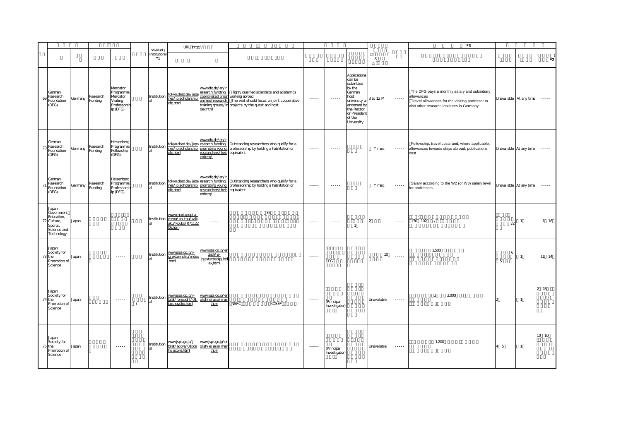|                                 |                                                       |         |                     |                                                                          |           |                                      | URL http://                                                        |                                                                                                       |                                                                                                                                                                 |                                                                                                                                                      |                             |                                                                                                                                                       |                           |                        | *3                                                                                                                                                          |                         |                         |                             |
|---------------------------------|-------------------------------------------------------|---------|---------------------|--------------------------------------------------------------------------|-----------|--------------------------------------|--------------------------------------------------------------------|-------------------------------------------------------------------------------------------------------|-----------------------------------------------------------------------------------------------------------------------------------------------------------------|------------------------------------------------------------------------------------------------------------------------------------------------------|-----------------------------|-------------------------------------------------------------------------------------------------------------------------------------------------------|---------------------------|------------------------|-------------------------------------------------------------------------------------------------------------------------------------------------------------|-------------------------|-------------------------|-----------------------------|
|                                 |                                                       |         |                     |                                                                          |           | Individual<br>Institutional<br>$^*1$ |                                                                    |                                                                                                       |                                                                                                                                                                 |                                                                                                                                                      |                             |                                                                                                                                                       | $\boldsymbol{\mathsf{X}}$ |                        |                                                                                                                                                             |                         |                         | $\cdot$ <sub>2</sub>        |
| German<br>(DFG)                 | Research<br>Foundation                                | Germany | Research<br>Funding | Mercator<br>Programme<br>Mercator<br>Visiting<br>Professorsh<br>ip (DFG) |           | Institution                          | tokyo.daad.de./japa<br>nes/jp scholarship<br>dfghtml               | www.dfg.de/en/r<br>esearch funding/<br>coordinated progr working abroad<br>ammes/research<br>dex.html | Highly qualified scientists and academics<br>The visit should focus on joint cooperative<br>training groups/in projects by the guest and host                   | $\cdots \cdots$                                                                                                                                      | $\cdots$                    | Applications<br>can be<br>submitted<br>by the<br>German<br>host<br>university or<br>endorsed by<br>the Rector<br>or President<br>of the<br>University | 3 to 12 M                 | $\cdots \cdots$        | The DFG pays a monthly salary and subsidiary<br>allowances<br>Travel allowances for the visiting professor to<br>visit other research institutes in Germany |                         | Unavailable At any time | $\sim$ $\sim$ $\sim$ $\sim$ |
| German<br>(DFG)                 | Research<br>Foundation                                | Germany | Research<br>Funding | Heisenberg<br>Programme<br>Fellowship<br>(DFG)                           |           | Institution                          | dfahtml                                                            | www.dfg.de/en/r<br>researchers/heis equivalent<br>enberg/                                             | tokyo.daad.de./japa esearch funding/ Outstanding researchers who qualify for a<br>nes/jp scholarship_promoting young_professorship by holding a habilitation or | 1.1.1.1                                                                                                                                              |                             |                                                                                                                                                       | Y max.                    | $\cdots$               | Fellowship, travel costs and, where applicable,<br>allowances towards stays abroad, publications<br>cost                                                    | Unavailable At any time |                         | $\sim$ $\sim$ $\sim$ $\sim$ |
| German<br>(DFG)                 | Research<br>Foundation                                | Germany | Research<br>Funding | Heisenberg<br>Programme:<br>Professorsh<br>ip (DFG)                      |           | Institution                          | dfg.html                                                           | www.dfg.de/en/r<br>researchers/heis equivalent<br>enberg/                                             | tokyo.daad.de./japa esearch_funding/ Outstanding researchers who qualify for a<br>nes/jp scholarship promoting young professorship by holding a habilitation or | $\frac{1}{2} \left( \frac{1}{2} \right) \left( \frac{1}{2} \right) \left( \frac{1}{2} \right) \left( \frac{1}{2} \right) \left( \frac{1}{2} \right)$ | $\cdots$                    |                                                                                                                                                       | Y max.                    | $\cdots \cdots$        | Salary according to the W2 (or W3) salary level<br>for professors                                                                                           |                         | Unavailable At any time | $\sim$ $\sim$ $\sim$ $\sim$ |
| Japan<br>72 Culture,<br>Sports, | Government<br>Education,<br>Science and<br>Technology | Japan   |                     |                                                                          |           | Institution                          | www.mext.go.jp/a-<br>menu/koutou/kaik<br>aku/koubo/07112<br>06.htm | $\cdots$                                                                                              | 35                                                                                                                                                              | $\cdots$                                                                                                                                             | $\cdots$                    | $\overline{1}$                                                                                                                                        |                           | $\cdots \cdots \cdots$ | 170 102 /                                                                                                                                                   | 72                      | $\mathbf{1}$            | 1 18                        |
| Japan<br>the<br>Science         | Society for<br>Promotion of                           | Japan   |                     | $\sim$ $\sim$ $\sim$ $\sim$                                              |           | Institution                          | www.jsps.go.jp/j-<br>ig externship/index<br>.html                  | www.jsps.go.jp/en<br>dish/e-<br>ig externship/ind<br>ex,html                                          |                                                                                                                                                                 | 1.1.1.1                                                                                                                                              | <b>DFG</b>                  |                                                                                                                                                       | 10                        | $\cdots \cdots$        | 1.500                                                                                                                                                       | 6<br>5                  | $\mathbf{1}$            | 11 14                       |
| Japan<br>the<br>Science         | Society for<br>Promotion of                           | Japan   |                     | $\cdots$                                                                 | $\lambda$ | Institution                          | www.jsps.go.jp/j-<br>bilat/foresight/01<br>boshuyoko.html          | www.jsps.go.jp/en<br>dish/e/asia/main<br>htm                                                          | <b>NSFC</b><br>KOSEF                                                                                                                                            | $\frac{1}{2} \left( \frac{1}{2} \right) \left( \frac{1}{2} \right) \left( \frac{1}{2} \right) \left( \frac{1}{2} \right) \left( \frac{1}{2} \right)$ | (Principal<br>Investigator) |                                                                                                                                                       | Unavailable               | $\cdots \cdots$        | 3<br>3,000                                                                                                                                                  | $\mathcal{D}$           | $\mathbf{1}$            | 2 28                        |
| Japan<br>the<br>Science         | Society for<br>Promotion of                           | Japan   |                     | $\sim$ $\sim$ $\sim$ $\sim$                                              |           | Institution                          | www.jsps.go.jp/j-<br>bilat/acore/01bos<br>hu acore.html            | www.jsps.go.jp/en<br>glish/e/asia/mair<br>.htm                                                        |                                                                                                                                                                 | $\cdots$                                                                                                                                             | (Principal<br>Investigator) |                                                                                                                                                       | Unavailable               | $\cdots$               | 1,200                                                                                                                                                       | $4\overline{5}$         | $\mathbf{1}$            | 10 10                       |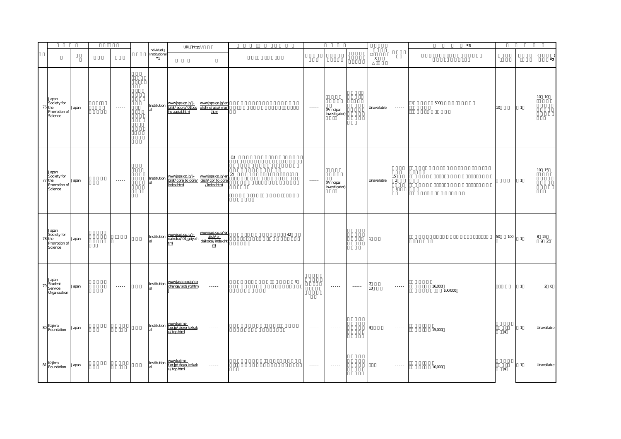|                                                           |       |                             |                                      | URL http://                                                                                |                                                                           |                       |                                                                                                             |                             |                 |                 |                         | $^{\ast}3$              |                 |                |                                                  |
|-----------------------------------------------------------|-------|-----------------------------|--------------------------------------|--------------------------------------------------------------------------------------------|---------------------------------------------------------------------------|-----------------------|-------------------------------------------------------------------------------------------------------------|-----------------------------|-----------------|-----------------|-------------------------|-------------------------|-----------------|----------------|--------------------------------------------------|
|                                                           |       |                             | Individual<br>Institutional<br>$^*1$ |                                                                                            |                                                                           |                       |                                                                                                             |                             |                 | X               |                         |                         |                 |                | $\left($<br>$\cdot$ <sup>2</sup>                 |
| Japan<br>Society for<br>76 the<br>Promotion of<br>Science | Japan | $\sim$ $\sim$ $\sim$ $\sim$ | Institution                          | www.jsps.go.jp/j-<br>bilat/acore/O1bos glish/e/asia/main<br>hu.aaplat.html .htm            |                                                                           |                       | $\sim$ $\sim$ $\sim$ $\sim$                                                                                 | (Principal<br>Investigator) |                 | Unavailable     | $\ldots \ldots$         | $500\,$<br>$\mathbf{1}$ | 10 <sup>°</sup> | $\overline{1}$ | 10 10                                            |
| Japan<br>Society for<br>77 the<br>Promotion of<br>Science | Japan | $\sim$ $\sim$ $\sim$ $\sim$ | Institution                          | www.jsps.go.jp/j- www.jsps.go.jp/en<br>bilat/core to core/ glish/cor to core<br>index.html | $\frac{wwwjsps.gov.jp/en}{\text{disk}/\text{cm}}^{(2)}$<br>$/$ index.html | (1)<br>$\overline{1}$ | $\begin{array}{cccccccccc} \bullet & \bullet & \bullet & \bullet & \bullet & \bullet & \bullet \end{array}$ | (Principal<br>Investigator) |                 | Unavailable     | 15<br>2<br>$\mathbf{1}$ |                         |                 | $\overline{1}$ | 10 15                                            |
| Japan<br>Society for<br>78 the<br>Promotion of<br>Science | Japan |                             | Institution                          | www.jsps.go.jp/j-<br>daikokai/01 gaiyo.h<br>tml                                            | www.jsps.go.jp/en<br>daikokai/index.ht<br>$\mathbf m$                     | 42                    | $\sim$ $\sim$ $\sim$ $\sim$ $\sim$                                                                          |                             |                 |                 | $\cdots \cdots$         |                         | 50<br>100       | $\overline{1}$ | $\begin{array}{cc} 8 & 25 \\ 9 & 25 \end{array}$ |
| Japan<br>79 Student<br>Organization                       | Japan | $\sim$ $\sim$ $\sim$ $\sim$ | Institution                          | www.jasso.go.jp/ex<br>change/sgtj rg.htm                                                   | $\cdots \cdots$                                                           | $\mathbf{3}$          |                                                                                                             | $\dots$                     | $\cdots \cdots$ | 10 <sub>o</sub> | $\cdots \cdots$         | 16,000<br>100,000       |                 | $\overline{1}$ | 26                                               |
| 80 Kajima<br>Foundation                                   | Japan |                             | Institution<br>аL                    | www.kajima-<br>f.or.jp/zigyo keikak<br>u/top.html                                          | $\cdots \cdots$                                                           |                       | $\sim$ $\sim$ $\sim$ $\sim$ $\sim$                                                                          | $\cdots \cdots$             |                 | 3               | $\cdots \cdots$         | 15,000                  | $\overline{4}$  | $\overline{1}$ | Unavailable                                      |
| 81 Kajima<br>Foundation                                   | Japan |                             | Institution                          | www.kajima-<br>f.or.jp/zigyo_keikak<br>u/top.html                                          | $\dots$                                                                   |                       | $\sim$ $\sim$ $\sim$ $\sim$                                                                                 | $\ldots$ .                  |                 |                 | $\cdots \cdots$         | 10,000                  | $\overline{4}$  | $\overline{1}$ | Unavailable                                      |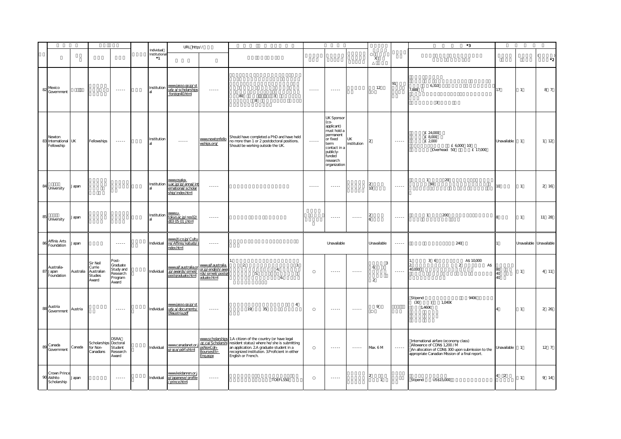|    |                                             |         |                                                                |                                                                |                                          | URL http://                                                                |                                                                             |                                                                                                                                                                                                                                                |                             |                                                                                                                                                            |                                                                                                                                                                                                                                                                                                                                                                                                                                                                                        |                                       |                 | $^{\ast}3$                                                                                                                                                                  |                 |                         |                      |
|----|---------------------------------------------|---------|----------------------------------------------------------------|----------------------------------------------------------------|------------------------------------------|----------------------------------------------------------------------------|-----------------------------------------------------------------------------|------------------------------------------------------------------------------------------------------------------------------------------------------------------------------------------------------------------------------------------------|-----------------------------|------------------------------------------------------------------------------------------------------------------------------------------------------------|----------------------------------------------------------------------------------------------------------------------------------------------------------------------------------------------------------------------------------------------------------------------------------------------------------------------------------------------------------------------------------------------------------------------------------------------------------------------------------------|---------------------------------------|-----------------|-----------------------------------------------------------------------------------------------------------------------------------------------------------------------------|-----------------|-------------------------|----------------------|
|    |                                             |         |                                                                |                                                                | Individual<br>Institutiona<br>$\ddot{ }$ |                                                                            |                                                                             |                                                                                                                                                                                                                                                |                             |                                                                                                                                                            |                                                                                                                                                                                                                                                                                                                                                                                                                                                                                        | X                                     |                 |                                                                                                                                                                             |                 |                         | $\cdot$ <sub>2</sub> |
| 82 | Mexico<br>Government                        |         |                                                                | $\sim$ $\sim$ $\sim$ $\sim$                                    | Institution                              | www.jasso.go.jp/st<br>udy a/scholarships<br>foreign40.html                 | $\cdots \cdots \cdots$                                                      | 80<br>3<br>8                                                                                                                                                                                                                                   | $\cdots \cdots$             | $\cdots$                                                                                                                                                   |                                                                                                                                                                                                                                                                                                                                                                                                                                                                                        | 12                                    | 91              | 6,310<br>7,888<br>$\overline{3}$                                                                                                                                            | 17              | $\mathbf{1}$            | 8 7                  |
|    | Newton<br>83 International UK<br>Fellowship |         | Fellowships                                                    | $\sim$ $\sim$ $\sim$ $\sim$                                    | Institution                              | $\cdots \cdots$                                                            | www.newtonfello<br>wships.org/                                              | Should have completed a PhD and have held<br>no more than 1 or 2 postdoctoral positions.<br>Should be working outside the UK.                                                                                                                  | $\sim$ $\sim$ $\sim$ $\sim$ | <b>UK Sponsor</b><br>(CO-<br>applicant)<br>must hold a<br>permanent<br>or fixed<br>term<br>contact in a<br>publicly-<br>funded<br>research<br>organization | UK<br>institution                                                                                                                                                                                                                                                                                                                                                                                                                                                                      |                                       | $\cdots \cdots$ | £ 24,000<br>£ 8,000<br>£ 2,000<br>£ 6,000 10<br>Overhead: 50<br>£ 17,000                                                                                                    | Unavailable     | $\overline{1}$          | $1 \quad 12$         |
| 84 | University                                  | Japan   |                                                                |                                                                | Institution                              | wwwosaka-<br>u.ac.jp/jp/annai/int<br>ernational/scholar<br>ship/index.html | $\cdots$                                                                    |                                                                                                                                                                                                                                                | $\cdots$                    | $\cdots$                                                                                                                                                   |                                                                                                                                                                                                                                                                                                                                                                                                                                                                                        | 10                                    | 1.1.1.1         | 20<br>$\mathbf{1}$<br>$90$                                                                                                                                                  | 10 <sup>1</sup> | $\overline{1}$          | 2 16                 |
| 85 | University                                  | Japan   |                                                                |                                                                | Institution                              | WWW.LI-<br>tokyo.ac.jp/res02/<br>d03.05.01.j.html                          | $\cdots \cdots \cdots$                                                      |                                                                                                                                                                                                                                                |                             | $\begin{array}{cccccccccc} \bullet & \bullet & \bullet & \bullet & \bullet & \bullet & \bullet \end{array}$                                                | $\cdots \cdots \cdots$                                                                                                                                                                                                                                                                                                                                                                                                                                                                 |                                       | $\cdots$        | 200<br>$\mathbf{1}$                                                                                                                                                         |                 | $\mathbf{1}$            | 11 28                |
| 86 | Affinis Arts<br>Foundation                  | Japan   |                                                                |                                                                | Individual                               | www.jti.co.jp/Cultu<br>re/Affinis/katudo/<br>ndex.html                     | $\cdots$                                                                    |                                                                                                                                                                                                                                                |                             | Unavailable                                                                                                                                                |                                                                                                                                                                                                                                                                                                                                                                                                                                                                                        | Unavailable                           | $\cdots$        | 240                                                                                                                                                                         |                 | Unavailable Unavailable |                      |
| 87 | Australia-<br>Japan<br>Foundation           |         | Sir Neil<br>Currie<br>Australia Australian<br>Studies<br>Award | Post-<br>Graduate<br>Study and<br>Research<br>Program<br>Award | Individual                               | www.ajf.australia.or<br>.jp/avards/simeil/<br>postgraduate.html            | www.aif.australia.<br>or.jp/english/awa<br>rds/simeil/postgr<br>aduate.html | $\overline{2}$<br>3.<br>4.<br>$5.$<br>6.                                                                                                                                                                                                       |                             | $\cdots$                                                                                                                                                   | $\cdots$                                                                                                                                                                                                                                                                                                                                                                                                                                                                               | $\overline{3}$<br>6<br>$\overline{a}$ | 1.1.1.1         | 36<br>A\$ 10,000<br>$\overline{2}$<br>A\$<br>40,000                                                                                                                         | 40<br>40        | $\mathbf{1}$            | 4 11                 |
|    | 88 Austria<br>Government                    | Austria |                                                                | $\sim$ - - - - -                                               | Individual                               | www.jasso.go.jp/st<br>udy a/documents/<br>O <sub>austria.pdf</sub>         | $\cdots$                                                                    | $\overline{4}$<br>19<br>35                                                                                                                                                                                                                     |                             | $\cdots$                                                                                                                                                   | $\begin{array}{cccccccccc} \multicolumn{2}{c}{} & \multicolumn{2}{c}{} & \multicolumn{2}{c}{} & \multicolumn{2}{c}{} & \multicolumn{2}{c}{} & \multicolumn{2}{c}{} & \multicolumn{2}{c}{} & \multicolumn{2}{c}{} & \multicolumn{2}{c}{} & \multicolumn{2}{c}{} & \multicolumn{2}{c}{} & \multicolumn{2}{c}{} & \multicolumn{2}{c}{} & \multicolumn{2}{c}{} & \multicolumn{2}{c}{} & \multicolumn{2}{c}{} & \multicolumn{2}{c}{} & \multicolumn{2}{c}{} & \multicolumn{2}{c}{} & \mult$ | 9                                     |                 | Stipend:<br>940€<br>(30)<br>1,040€<br>$\lambda$<br>1,460€                                                                                                                   |                 | $\mathbf{1}$            | 2 26                 |
| 89 | Canada<br>Government                        | Canada  | Scholarships Doctoral<br>for Non-<br>Canadians                 | DSRA<br>Student<br>Research<br>Award                           | Individual                               | www.canadanet.or.<br>p/gca/pdrf.shtml                                      | <u>xsNonCdn-</u><br>BoursesEtr-<br>Engaspx                                  | www.scholarships 1.A citizen of the country (or have legal<br>.gc.ca/Scholarshi resident status) where he/she is submitting<br>an application. 2A graduate student in a<br>recognized institution. 3Proficient in either<br>English or French. |                             | $\cdots$                                                                                                                                                   | $\cdots \cdots$                                                                                                                                                                                                                                                                                                                                                                                                                                                                        | Max. 6 M                              | $\cdots\cdots$  | International airfare (economy class)<br>Allowance of CDN\$ 1,200 /M<br>An allocation of CDN\$ 300 upon submission to the<br>appropriate Canadian Mssion of a final report. | Unavailable     | $\overline{1}$          | $12 \quad 7$         |
|    | Crown Prince<br>90 Akihito<br>Scholarship   | Japan   |                                                                | $\sim$ - - - -                                                 | Individual                               | www.keidanren.or.j<br>p/japanese/profile<br>/prince.html                   | $\cdots \cdots$                                                             | <b>TOEFL550</b>                                                                                                                                                                                                                                |                             | $\sim$ - - - - -                                                                                                                                           |                                                                                                                                                                                                                                                                                                                                                                                                                                                                                        | $\overline{1}$                        |                 | US\$15,000<br>Stipend:                                                                                                                                                      | $\overline{2}$  | $\mathbf{1}$            | 9 14                 |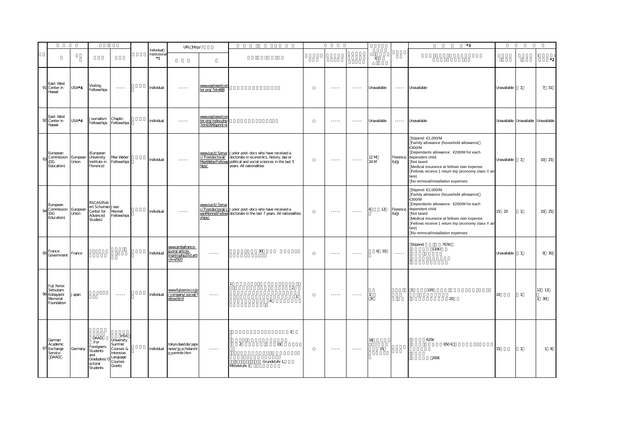|                                                                |                   |                                                                                                                      |                                                                                                               |                                     | URL http://                                                                                                                                                                                                                                                                                                                                                                                                                                                                            |                                                          |                                                                                                                                                                                                             |                                                                                                                                                      |                                                                                                                                                                                                                                                                                                                                                                                                                                                                                        |              |                        | $^{\ast}3$                                                                                                                                                                                                                                                                                     |                                     |                |                      |
|----------------------------------------------------------------|-------------------|----------------------------------------------------------------------------------------------------------------------|---------------------------------------------------------------------------------------------------------------|-------------------------------------|----------------------------------------------------------------------------------------------------------------------------------------------------------------------------------------------------------------------------------------------------------------------------------------------------------------------------------------------------------------------------------------------------------------------------------------------------------------------------------------|----------------------------------------------------------|-------------------------------------------------------------------------------------------------------------------------------------------------------------------------------------------------------------|------------------------------------------------------------------------------------------------------------------------------------------------------|----------------------------------------------------------------------------------------------------------------------------------------------------------------------------------------------------------------------------------------------------------------------------------------------------------------------------------------------------------------------------------------------------------------------------------------------------------------------------------------|--------------|------------------------|------------------------------------------------------------------------------------------------------------------------------------------------------------------------------------------------------------------------------------------------------------------------------------------------|-------------------------------------|----------------|----------------------|
|                                                                |                   |                                                                                                                      |                                                                                                               | Individual<br>Institutiona<br>$^*1$ |                                                                                                                                                                                                                                                                                                                                                                                                                                                                                        |                                                          |                                                                                                                                                                                                             |                                                                                                                                                      |                                                                                                                                                                                                                                                                                                                                                                                                                                                                                        | X            |                        |                                                                                                                                                                                                                                                                                                |                                     |                | $\cdot$ <sub>2</sub> |
| East-West<br>Center in<br>91<br>Havaii                         | USA*4             | Visiting<br>Fellowships                                                                                              | $\frac{1}{2} \frac{1}{2} \frac{1}{2} \frac{1}{2} \frac{1}{2} \frac{1}{2} \frac{1}{2} \frac{1}{2} \frac{1}{2}$ | Individual                          | $\begin{array}{cccccccccc} \multicolumn{2}{c}{} & \multicolumn{2}{c}{} & \multicolumn{2}{c}{} & \multicolumn{2}{c}{} & \multicolumn{2}{c}{} & \multicolumn{2}{c}{} & \multicolumn{2}{c}{} & \multicolumn{2}{c}{} & \multicolumn{2}{c}{} & \multicolumn{2}{c}{} & \multicolumn{2}{c}{} & \multicolumn{2}{c}{} & \multicolumn{2}{c}{} & \multicolumn{2}{c}{} & \multicolumn{2}{c}{} & \multicolumn{2}{c}{} & \multicolumn{2}{c}{} & \multicolumn{2}{c}{} & \multicolumn{2}{c}{} & \mult$ | <u>www.eastwestcer</u><br>ter.org/?id=488                |                                                                                                                                                                                                             | $- - - - -$                                                                                                                                          | $- - - - -$                                                                                                                                                                                                                                                                                                                                                                                                                                                                            | Unavailable  | $\cdots$               | Unavailable                                                                                                                                                                                                                                                                                    | Unavailable                         | $\overline{1}$ | 7 31                 |
| East-West<br>92 Center in<br>Havaii                            | USA*4             | Journalism<br>ellowships Fellowships                                                                                 | Chaplin                                                                                                       | Individual                          |                                                                                                                                                                                                                                                                                                                                                                                                                                                                                        | www.eastwestcer<br>ter.org/index.php<br>?id=1094&print=" |                                                                                                                                                                                                             | $\frac{1}{2} \left( \frac{1}{2} \right) \left( \frac{1}{2} \right) \left( \frac{1}{2} \right) \left( \frac{1}{2} \right) \left( \frac{1}{2} \right)$ | $\cdots$                                                                                                                                                                                                                                                                                                                                                                                                                                                                               | Unavailable  | $\cdots \cdots \cdots$ | Unavailable                                                                                                                                                                                                                                                                                    | Unavailable Unavailable Unavailable |                |                      |
| European<br>Commission<br>93<br>(DG<br>Education)              | European<br>Union | (European<br>University<br>Institute in<br>Florence)                                                                 | Max Weber<br>Fellowships                                                                                      | Individual                          | $\sim$ $\sim$ $\sim$ $\sim$                                                                                                                                                                                                                                                                                                                                                                                                                                                            | hips/                                                    | www.iue.it/Serva Junior post-docs who have received a<br>:/Postdoctoral/ doctorate in economics, history, law or<br>VaxWeberFellows political and social sciences in the last 5<br>years. All nationalities | $\cdots$                                                                                                                                             | $\cdots$                                                                                                                                                                                                                                                                                                                                                                                                                                                                               | 12 M<br>24 M | Florence,<br>Ita y     | Stipend: €2,000/M<br>Family allowance (household allowance :<br>€300/M<br>Dependants allowance: €200/M for each<br>dependent child<br>Not taxed<br>Medical insurance at fellows own expense<br>Fellows receive 1 return trip (economy class Y air<br>fare)<br>No removal/installation expenses | Unavailable                         | $\overline{1}$ | 10 25                |
| European<br>Commission<br>94<br>(DG<br>Education)              | European<br>Union | RSCAS(Rob<br>ert Schuman Jean<br>Center for<br>Advanced<br>Studies)                                                  | Monnet<br>Fellowships                                                                                         | Individual                          | $\sim$ $\sim$ $\sim$ $\sim$                                                                                                                                                                                                                                                                                                                                                                                                                                                            | www.iue.it/Serva<br>ships/                               | c/Postdoctoral/J Junior post-docs who have received a<br>eanMonnetFellow doctorate in the last 7 years. All nationalities                                                                                   | $\frac{1}{2} \left( \frac{1}{2} \right) \left( \frac{1}{2} \right) \left( \frac{1}{2} \right) \left( \frac{1}{2} \right) \left( \frac{1}{2} \right)$ | $\cdots$                                                                                                                                                                                                                                                                                                                                                                                                                                                                               | 12           | Florence<br>Ita y      | Stipend: €2,000/M<br>Family allowance (household allowance :<br>€300/M<br>Dependants allowance: €200/M for each<br>dependent child<br>Not taxed<br>Medical insurance at fellows own expense<br>Fellows receive 1 return trip (economy class Y air<br>fare)<br>No removal/installation expenses | 15 20                               | $\mathbf{1}$   | 10 25                |
| France<br>95<br>Government                                     | France            |                                                                                                                      |                                                                                                               | Individual                          | www.ambafrance-<br>jp.org/article-<br>imprim.php3?id arti<br>cle=2920                                                                                                                                                                                                                                                                                                                                                                                                                  | $\cdots$                                                 | $30\,$                                                                                                                                                                                                      | $- - - - -$                                                                                                                                          | $\begin{array}{cccccccccc} \multicolumn{2}{c}{} & \multicolumn{2}{c}{} & \multicolumn{2}{c}{} & \multicolumn{2}{c}{} & \multicolumn{2}{c}{} & \multicolumn{2}{c}{} & \multicolumn{2}{c}{} & \multicolumn{2}{c}{} & \multicolumn{2}{c}{} & \multicolumn{2}{c}{} & \multicolumn{2}{c}{} & \multicolumn{2}{c}{} & \multicolumn{2}{c}{} & \multicolumn{2}{c}{} & \multicolumn{2}{c}{} & \multicolumn{2}{c}{} & \multicolumn{2}{c}{} & \multicolumn{2}{c}{} & \multicolumn{2}{c}{} & \mult$ | 6 10         | 22222                  | Stipend:<br>767€<br>110€/                                                                                                                                                                                                                                                                      | Unavailable                         | $\overline{1}$ | 9 30                 |
| Fuji Xerox<br>Setsutaro<br>Kobayashi<br>Vemorial<br>Foundation | Japan             |                                                                                                                      | $\sim$ $\sim$ $\sim$ $\sim$                                                                                   | Individual                          | www.fujixerox.co.jp<br>/company/social/t<br>ellowhtml                                                                                                                                                                                                                                                                                                                                                                                                                                  | $\cdots \cdots$                                          | $\overline{2}$<br>3<br>4 <sup>1</sup>                                                                                                                                                                       | $\cdots \cdots$                                                                                                                                      | $\cdots \cdots$                                                                                                                                                                                                                                                                                                                                                                                                                                                                        | X            |                        | 120<br>$20\,$                                                                                                                                                                                                                                                                                  | 10                                  |                | 12 13<br>30          |
| German<br>Academic<br>Exchange<br>Service<br>DAAD              | Germany           | DAAD<br>:For<br>oreigners-<br>Students<br>and<br>anu<br>Graduates/D<br>cotoral Courses<br>octoral<br><b>Students</b> | <b>HSK</b><br>University<br>Summer<br>Courses &<br>Intensive<br>Grants                                        |                                     | tokyo.daad.de/japa<br>Individual nese/jp_scholarshi<br>p_sommer.htm                                                                                                                                                                                                                                                                                                                                                                                                                    | $\dots$                                                  | $\overline{2}$<br>$\overline{2}$<br>19<br>Grundstufe 1,<br>Mttelstufe 1                                                                                                                                     | $\dots$                                                                                                                                              | $\cdots \cdots$                                                                                                                                                                                                                                                                                                                                                                                                                                                                        | 18<br>25     |                        | 625€<br>650€<br>200€                                                                                                                                                                                                                                                                           | 15                                  | $\overline{1}$ | 18                   |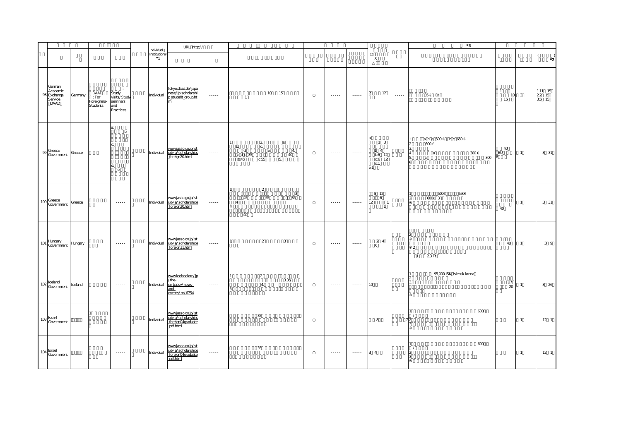|                                                      |         |                                          |                                                                      |                                      | URL http://                                                               |                             |                                                                       |                                           |                |                                    |                                                                |         | *3                                                                                                               |                          |                         |                                  |
|------------------------------------------------------|---------|------------------------------------------|----------------------------------------------------------------------|--------------------------------------|---------------------------------------------------------------------------|-----------------------------|-----------------------------------------------------------------------|-------------------------------------------|----------------|------------------------------------|----------------------------------------------------------------|---------|------------------------------------------------------------------------------------------------------------------|--------------------------|-------------------------|----------------------------------|
|                                                      |         |                                          |                                                                      | Individual<br>Institutional<br>$^*1$ |                                                                           |                             |                                                                       |                                           |                |                                    | $\boldsymbol{\mathsf{X}}$                                      |         |                                                                                                                  |                          |                         | $\left($<br>$\cdot$ <sup>2</sup> |
| German<br>Academic<br>98 Exchange<br>Service<br>DAAD | Germany | DAAD<br>: For<br>Foreigners-<br>Students | $\sim 10^6$<br>Study<br>visits/Study<br>seminars<br>and<br>Practices | Individual                           | tokyo.daad.de/japa<br>nese/jp_scholarshi<br>p_student_group.ht<br>m       | $\sim$ $\sim$ $\sim$ $\sim$ | $\overline{1}$                                                        | 10 15                                     | <b>Section</b> | $\sim$ $\sim$ $\sim$ $\sim$ $\sim$ | 12                                                             | $\dots$ | 35 € D/                                                                                                          | $\mathbf{1}$<br>10<br>15 | $\overline{\mathbf{3}}$ | $1.11$ 15<br>$\frac{22}{35}$ 15  |
| 99 Greece<br>Government                              | Greece  |                                          | a:<br>b<br>ď<br>e:                                                   | Individual                           | www.jasso.go.jp/st<br>udy a/scholarships<br>foreign20.html                | $\cdots$                    | $\overline{2}$<br>C:<br>b:<br>$\mathbf d$<br>a d e 35<br>c:55<br>b:45 | a:<br>$e$ :<br>$\overline{4}$<br>40<br>5. | $\cdots$       | $-22222$                           | $1 \quad 3$<br>$1 \quad 4$<br>b:6 12<br>$C:6$ 12<br>d:1<br>e:1 |         | a d e 500€ b c 650€<br>600€<br>$\mathcal{D}$<br>$\mathbf{R}$<br>300€<br>$\mathbf{A}$<br>a<br>300<br>5.<br>a<br>€ | 40<br>EU<br>8            | $\overline{1}$          | 3 31                             |
| $100 \frac{\text{Greece}}{2}$<br>Government          | Greece  |                                          | $\sim$ $\sim$ $\sim$ $\sim$ $\sim$                                   | Individual                           | wwwjasso.go.jp/st<br>udy a/scholarships<br>foreign20.html                 |                             | 2<br>55<br>45<br>$\overline{4}$<br>40                                 | $\overline{\mathbf{3}}$<br>$35\,$         | $\cdots$       | $\cdots$                           | 6 12<br>6<br>12<br>$\overline{1}$<br>$\overline{1}$            |         | 500€<br>650€<br>$600E$ 3                                                                                         | 40                       | $\mathbf{1}$            | 3 31                             |
| 101 Hungary<br>Government                            | Hungary |                                          | $\sim$ $\sim$ $\sim$ $\sim$                                          | Individual                           | www.jasso.go.jp/st<br>udy a/scholarships<br>foreign31.html                |                             | $\overline{2}$<br>$\mathbf{1}$                                        | 3                                         |                | $\cdots \cdots$                    | 2 4<br>$\mathsf{X}$                                            |         | $\overline{2}$<br>23Ft<br>$\overline{1}$                                                                         | 48                       | $\overline{1}$          | 3 <sup>9</sup>                   |
| 102 celand<br>Government                             | Iceland |                                          | $\sim$ - - - - -                                                     | Individual                           | www.iceland.org/jp<br>/the-<br>embassy/news-<br>and-<br>events/nr/6754    | $\cdots \cdots \cdots$      | $\overline{2}$<br>4.                                                  | 3.35                                      |                | $\cdots \cdots \cdots$             | 10                                                             |         | 95,000 ISK islensk krona                                                                                         | 27<br>20                 | -1                      | 3 26                             |
| $103$ Israel<br>Government                           |         |                                          | $\sim$ $\sim$ $\sim$ $\sim$                                          | Individual                           | www.jasso.go.jp/st<br>udy a/scholarships<br>foreign04graduate             | $\cdots \cdots \cdots$      | 35                                                                    |                                           | $\dots$        | $\cdots \cdots$                    | 8                                                              |         | 600                                                                                                              |                          | $\overline{1}$          | $12-1$                           |
| $104 \frac{\text{Israel}}{\text{C}}$<br>Government   |         |                                          | $\sim$ $\sim$ $\sim$ $\sim$ $\sim$                                   | Individual                           | www.jasso.go.jp/st<br>udy a/scholarships<br>foreign04graduate<br>pdf.html | $\cdots \cdots \cdots$      | 35                                                                    |                                           |                | $\sim$ $\sim$ $\sim$ $\sim$ $\sim$ | $3\quad 4$                                                     |         | 600                                                                                                              |                          | $\mathbf{1}$            | 12 <sub>1</sub>                  |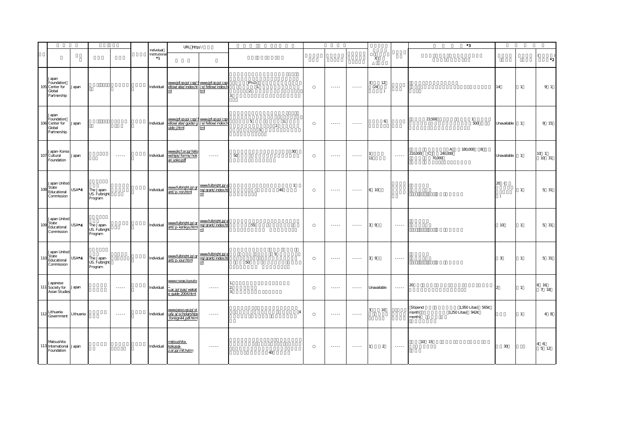|     |                                                                                     |                   |                                        |                                                                                                             |                                           | URL http://                                                                                 |                                              |                                |                      |                                                                                                                                                                                                                                                                                                                                                                                                                                                                                        |                                                                                                                                                                                                                                                                                                                                                                                                                                                                                        |                                         |                                                                                                             | $^{\ast}3$                                                          |                       |                |                                                   |
|-----|-------------------------------------------------------------------------------------|-------------------|----------------------------------------|-------------------------------------------------------------------------------------------------------------|-------------------------------------------|---------------------------------------------------------------------------------------------|----------------------------------------------|--------------------------------|----------------------|----------------------------------------------------------------------------------------------------------------------------------------------------------------------------------------------------------------------------------------------------------------------------------------------------------------------------------------------------------------------------------------------------------------------------------------------------------------------------------------|----------------------------------------------------------------------------------------------------------------------------------------------------------------------------------------------------------------------------------------------------------------------------------------------------------------------------------------------------------------------------------------------------------------------------------------------------------------------------------------|-----------------------------------------|-------------------------------------------------------------------------------------------------------------|---------------------------------------------------------------------|-----------------------|----------------|---------------------------------------------------|
|     |                                                                                     |                   |                                        |                                                                                                             | Individual<br>Institutional<br>$^{\ast}1$ |                                                                                             |                                              |                                |                      |                                                                                                                                                                                                                                                                                                                                                                                                                                                                                        |                                                                                                                                                                                                                                                                                                                                                                                                                                                                                        | X                                       |                                                                                                             |                                                                     |                       |                | $\cdot$ <sup>2</sup>                              |
|     | Japan<br>Foundation<br>105 Center for<br>Global<br>Partnership                      | Japan             |                                        |                                                                                                             | Individual                                | www.jpf.go.jp/cgp/f<br>ellow/abe/index.ht /e/fellow/index.ht<br>m                           | tml                                          | Ph.D.<br>-1.<br>$\overline{2}$ |                      |                                                                                                                                                                                                                                                                                                                                                                                                                                                                                        | $\begin{array}{cccccccccc} \multicolumn{2}{c}{} & \multicolumn{2}{c}{} & \multicolumn{2}{c}{} & \multicolumn{2}{c}{} & \multicolumn{2}{c}{} & \multicolumn{2}{c}{} & \multicolumn{2}{c}{} & \multicolumn{2}{c}{} & \multicolumn{2}{c}{} & \multicolumn{2}{c}{} & \multicolumn{2}{c}{} & \multicolumn{2}{c}{} & \multicolumn{2}{c}{} & \multicolumn{2}{c}{} & \multicolumn{2}{c}{} & \multicolumn{2}{c}{} & \multicolumn{2}{c}{} & \multicolumn{2}{c}{} & \multicolumn{2}{c}{} & \mult$ | 12<br>$\mathbf{R}$<br>(24)<br>$\lambda$ |                                                                                                             |                                                                     | 14                    | $\mathbf{1}$   | $9 - 1$                                           |
|     | Japan<br>Foundation<br>106 Center for<br>Global<br>Partnership                      | Japan             |                                        |                                                                                                             | Individual                                | www.jpf.go.jp/cap/f www.jpf.go.jp/cap<br>ellow/abe/quide/g /e/fellow/index.h<br>uide j.html | tml                                          | 5<br>$\mathfrak{Z}$            | 1.<br>$\overline{2}$ | $- - - - -$                                                                                                                                                                                                                                                                                                                                                                                                                                                                            | $- - - - - -$                                                                                                                                                                                                                                                                                                                                                                                                                                                                          | 6                                       |                                                                                                             | 23,500<br>$\mathbf{1}$<br>500                                       | Unavailable           | $\overline{1}$ | 9 15                                              |
|     | Japan-Korea<br>107 Cultural<br>Foundation                                           | Japan             |                                        | $\sim$ $\sim$ $\sim$ $\sim$                                                                                 | Individual                                | www.jkcf.or.jp/fello<br>wships/forms/hok<br>an yoko.pdf                                     |                                              | 50                             | 30                   | $\cdots$                                                                                                                                                                                                                                                                                                                                                                                                                                                                               | $\begin{array}{cccccccccc} \multicolumn{2}{c}{} & \multicolumn{2}{c}{} & \multicolumn{2}{c}{} & \multicolumn{2}{c}{} & \multicolumn{2}{c}{} & \multicolumn{2}{c}{} & \multicolumn{2}{c}{} & \multicolumn{2}{c}{} & \multicolumn{2}{c}{} & \multicolumn{2}{c}{} & \multicolumn{2}{c}{} & \multicolumn{2}{c}{} & \multicolumn{2}{c}{} & \multicolumn{2}{c}{} & \multicolumn{2}{c}{} & \multicolumn{2}{c}{} & \multicolumn{2}{c}{} & \multicolumn{2}{c}{} & \multicolumn{2}{c}{} & \mult$ | 11                                      | $\cdots$                                                                                                    | 180,000 B<br>A<br>240,000<br>210,000 C<br>70,000                    | Unavailable           | $\overline{1}$ | 10 1<br>10 31                                     |
| 108 | Japan United<br>State<br>Educational<br>Commission                                  | USA*4             | The Japan-<br>US. Fulbright<br>Program |                                                                                                             | Individual                                | www.fulbright.jp/gr<br>ant/p-ron.html                                                       | www.fulbright.jp/6<br>ng/grant/index.ht<br>m |                                | $\overline{1}$<br>40 | $\cdots$                                                                                                                                                                                                                                                                                                                                                                                                                                                                               | $\cdots$                                                                                                                                                                                                                                                                                                                                                                                                                                                                               | 6 10                                    |                                                                                                             |                                                                     | 20 (<br>$\rightarrow$ | $\mathbf{1}$   | 5 31                                              |
|     | Japan United<br>$109 \frac{\text{State}}{\text{Rate}}$<br>Educational<br>Commission | USA*4             | The Japan-<br>US. Fulbright<br>Program |                                                                                                             | Individual                                | www.fulbright.jp/gr www.fulbright.jp/e<br>ant/p-kenkyu.html my/grant/index.html             |                                              | 55                             |                      | $\cdots \cdots \cdots$                                                                                                                                                                                                                                                                                                                                                                                                                                                                 | $\cdots \cdots$                                                                                                                                                                                                                                                                                                                                                                                                                                                                        | 39                                      | $\begin{array}{cccccccccc} \bullet & \bullet & \bullet & \bullet & \bullet & \bullet & \bullet \end{array}$ |                                                                     | 10                    | $\mathbf{1}$   | 5 31                                              |
| 110 | Japan United<br>State<br>Educational<br>Commission                                  | USA <sup>*4</sup> | The Japan-<br>US. Fulbright<br>Program |                                                                                                             | Individual                                | www.fulbright.jp/gr<br>  http://grant/index.html<br>  http://grant/index.ht                 | m                                            | 50                             | $\overline{5}$       | $\cdots \cdots$                                                                                                                                                                                                                                                                                                                                                                                                                                                                        | $\cdots$                                                                                                                                                                                                                                                                                                                                                                                                                                                                               | 39                                      | $\cdots \cdots$                                                                                             |                                                                     | 3                     | $\mathbf{1}$   | 5 31                                              |
|     | Japanese<br>111 Society for<br><b>Asian Studies</b>                                 | Japan             |                                        | $\begin{array}{cccccccccc} \bullet & \bullet & \bullet & \bullet & \bullet & \bullet & \bullet \end{array}$ | Individual                                | www.cseas.kyouto<br>u.ac.jp/jsas/wakat<br>e quide 2004.html                                 | $\cdots \cdots \cdots$                       |                                |                      |                                                                                                                                                                                                                                                                                                                                                                                                                                                                                        | $\cdots \cdots \cdots$                                                                                                                                                                                                                                                                                                                                                                                                                                                                 | Unavailable                             | $\cdots \cdots \cdots$                                                                                      | 20                                                                  |                       | $\overline{1}$ | 6 16<br>7 18                                      |
|     | 112 Lithuania<br>Government                                                         | Lithuania         |                                        | $\sim$ - - - - -                                                                                            | Individual                                | www.jasso.go.jp/st<br>udy a/scholarships<br>foreign44 pdf.html                              | $\sim$ $\sim$ $\sim$ $\sim$                  |                                | $\overline{4}$       | $\begin{array}{cccccccccc} \multicolumn{2}{c}{} & \multicolumn{2}{c}{} & \multicolumn{2}{c}{} & \multicolumn{2}{c}{} & \multicolumn{2}{c}{} & \multicolumn{2}{c}{} & \multicolumn{2}{c}{} & \multicolumn{2}{c}{} & \multicolumn{2}{c}{} & \multicolumn{2}{c}{} & \multicolumn{2}{c}{} & \multicolumn{2}{c}{} & \multicolumn{2}{c}{} & \multicolumn{2}{c}{} & \multicolumn{2}{c}{} & \multicolumn{2}{c}{} & \multicolumn{2}{c}{} & \multicolumn{2}{c}{} & \multicolumn{2}{c}{} & \mult$ | $\begin{array}{cccccccccc} \bullet & \bullet & \bullet & \bullet & \bullet & \bullet \end{array}$                                                                                                                                                                                                                                                                                                                                                                                      | 10                                      |                                                                                                             | 1,950 Litas(565€<br>Stipend:<br>3,250 Litas(942€<br>month<br>month) |                       | $\mathbf{1}$   | 48                                                |
|     | Matsushita<br>113 International<br>Foundation                                       | Japan             |                                        |                                                                                                             | Individual                                | matsushita-<br>kokusai-<br>z.or.jp/mif.hytm                                                 | $\cdots$                                     |                                | 40                   | $\cdots$                                                                                                                                                                                                                                                                                                                                                                                                                                                                               | $\cdots$                                                                                                                                                                                                                                                                                                                                                                                                                                                                               | $\overline{2}$                          | $\cdots$                                                                                                    | 10 15                                                               | $30\,$                |                | $\begin{smallmatrix}4&&6\\&5&12\end{smallmatrix}$ |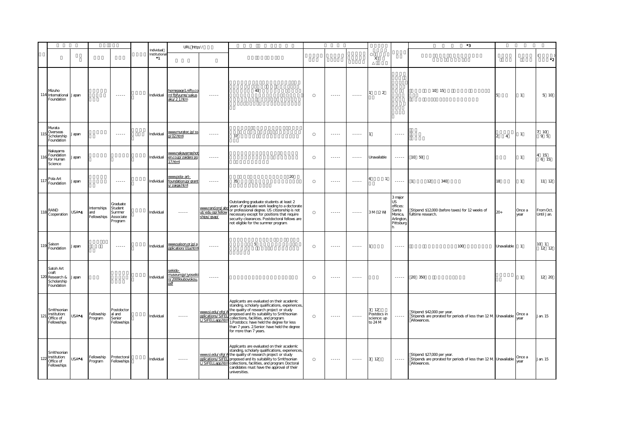|     |                                                               |                    |                                  |                                                                                                                                                                                                                                                                                                                                                                                                                                                                                        |                                     | URL http://                                            |                                                         |                                                                                                                                                                                                                                                                                                                                                            |                                                                                                                                                                                                                                                                                                                                                                                                                                                                                        |                                                                                                                                                                                                                                                                                                                                                                                                                                                                                        |                                               |                                                                                | $^{\ast}3$                                                                                                    |                                 |                |                         |
|-----|---------------------------------------------------------------|--------------------|----------------------------------|----------------------------------------------------------------------------------------------------------------------------------------------------------------------------------------------------------------------------------------------------------------------------------------------------------------------------------------------------------------------------------------------------------------------------------------------------------------------------------------|-------------------------------------|--------------------------------------------------------|---------------------------------------------------------|------------------------------------------------------------------------------------------------------------------------------------------------------------------------------------------------------------------------------------------------------------------------------------------------------------------------------------------------------------|----------------------------------------------------------------------------------------------------------------------------------------------------------------------------------------------------------------------------------------------------------------------------------------------------------------------------------------------------------------------------------------------------------------------------------------------------------------------------------------|----------------------------------------------------------------------------------------------------------------------------------------------------------------------------------------------------------------------------------------------------------------------------------------------------------------------------------------------------------------------------------------------------------------------------------------------------------------------------------------|-----------------------------------------------|--------------------------------------------------------------------------------|---------------------------------------------------------------------------------------------------------------|---------------------------------|----------------|-------------------------|
|     |                                                               |                    |                                  |                                                                                                                                                                                                                                                                                                                                                                                                                                                                                        | Individual<br>Institutiona<br>$^*1$ |                                                        |                                                         |                                                                                                                                                                                                                                                                                                                                                            |                                                                                                                                                                                                                                                                                                                                                                                                                                                                                        |                                                                                                                                                                                                                                                                                                                                                                                                                                                                                        | X                                             |                                                                                |                                                                                                               |                                 |                | $\cdot$ <sub>2</sub>    |
|     | Mzuho<br>International<br>Foundation                          | Japan              |                                  | $\cdots \cdots \cdots$                                                                                                                                                                                                                                                                                                                                                                                                                                                                 | Individual                          | homepage1.nifty.co<br>m/fbifyume/sakus<br>aku/21.htm   | $\cdots \cdots$                                         | 40                                                                                                                                                                                                                                                                                                                                                         | 1.1.1.1                                                                                                                                                                                                                                                                                                                                                                                                                                                                                | $\cdots$                                                                                                                                                                                                                                                                                                                                                                                                                                                                               | 2                                             |                                                                                | 10 15                                                                                                         |                                 | $\mathbf{1}$   | 5 10                    |
|     | Murata<br>Overseas<br>Scholarship<br>Foundation               | apan               |                                  | 1.1.1.1                                                                                                                                                                                                                                                                                                                                                                                                                                                                                | Individual                          | www.muratec.jp/ss<br>p/02html                          | 1.1.1.1                                                 | 37                                                                                                                                                                                                                                                                                                                                                         | $\cdots$                                                                                                                                                                                                                                                                                                                                                                                                                                                                               | $\cdots$                                                                                                                                                                                                                                                                                                                                                                                                                                                                               |                                               | $\ldots$                                                                       |                                                                                                               | $\overline{4}$<br>$\mathcal{P}$ | $\mathbf{1}$   | 10<br>9 5               |
|     | Nakayama<br>Foundation<br>for Human<br>Science                | apan               |                                  |                                                                                                                                                                                                                                                                                                                                                                                                                                                                                        | Individual                          | www.nakayamashot<br>en.co.jp/zaidan/pg<br>17.html      | $\cdots \cdots$                                         |                                                                                                                                                                                                                                                                                                                                                            | 1.1.1.1                                                                                                                                                                                                                                                                                                                                                                                                                                                                                | $\cdots$                                                                                                                                                                                                                                                                                                                                                                                                                                                                               | Unavailable                                   |                                                                                | 10 50                                                                                                         |                                 | $\mathbf{1}$   | 4 15<br>6 15            |
| 11  | Pola Art<br>Foundation                                        | Japan              |                                  | $\cdots \cdots$                                                                                                                                                                                                                                                                                                                                                                                                                                                                        | Individual                          | www.pola-art-<br>foundation.jp/grant<br>s/zaigai.html  | 1.1.1.1                                                 | 20<br>35                                                                                                                                                                                                                                                                                                                                                   | 1.1.1.1                                                                                                                                                                                                                                                                                                                                                                                                                                                                                | $\cdots$                                                                                                                                                                                                                                                                                                                                                                                                                                                                               | $\overline{1}$                                | $\cdots$                                                                       | 12<br>340<br>$\overline{1}$                                                                                   | 18                              | $\mathbf{1}$   | $11 \t12$               |
| 118 | RAND<br>Cooperation                                           | $USA^*$ 4          | nternships<br>and<br>Fellowships | Graduate<br>Student<br>Summer<br>Associate<br>rogram                                                                                                                                                                                                                                                                                                                                                                                                                                   | Individual                          |                                                        | www.rand.org/ab<br>ut/edu op/fellow<br>ships/gsap/      | Outstanding graduate students at least 2<br>years of graduate work leading to a doctorate<br>or professional degree. US citizenship is not<br>necessary except for positions that require<br>security clearances. Postdoctoral fellows are<br>not eligible for the summer program.                                                                         | $\begin{array}{cccccccccc} \multicolumn{2}{c}{} & \multicolumn{2}{c}{} & \multicolumn{2}{c}{} & \multicolumn{2}{c}{} & \multicolumn{2}{c}{} & \multicolumn{2}{c}{} & \multicolumn{2}{c}{} & \multicolumn{2}{c}{} & \multicolumn{2}{c}{} & \multicolumn{2}{c}{} & \multicolumn{2}{c}{} & \multicolumn{2}{c}{} & \multicolumn{2}{c}{} & \multicolumn{2}{c}{} & \multicolumn{2}{c}{} & \multicolumn{2}{c}{} & \multicolumn{2}{c}{} & \multicolumn{2}{c}{} & \multicolumn{2}{c}{} & \mult$ | $\cdots$                                                                                                                                                                                                                                                                                                                                                                                                                                                                               | 3 M (12 W)                                    | 3 major<br><b>US</b><br>offices:<br>Santa<br>Monica,<br>Arlington<br>Pittsburg | Stipend: \$12,000 (before taxes) for 12 weeks of<br>fulltime research.                                        | $20+$                           | Once a<br>vear | From Oct.<br>Until Jan. |
|     | 119 <sup>Saison</sup><br>Foundation                           | Japan              |                                  | $\begin{array}{cccccccccc} \multicolumn{2}{c}{} & \multicolumn{2}{c}{} & \multicolumn{2}{c}{} & \multicolumn{2}{c}{} & \multicolumn{2}{c}{} & \multicolumn{2}{c}{} & \multicolumn{2}{c}{} & \multicolumn{2}{c}{} & \multicolumn{2}{c}{} & \multicolumn{2}{c}{} & \multicolumn{2}{c}{} & \multicolumn{2}{c}{} & \multicolumn{2}{c}{} & \multicolumn{2}{c}{} & \multicolumn{2}{c}{} & \multicolumn{2}{c}{} & \multicolumn{2}{c}{} & \multicolumn{2}{c}{} & \multicolumn{2}{c}{} & \mult$ | Individual                          | www.saison.or.jp/a<br>pplication/01a.html              | $\cdots$                                                | 5                                                                                                                                                                                                                                                                                                                                                          | $- - - - -$                                                                                                                                                                                                                                                                                                                                                                                                                                                                            | $\begin{array}{cccccccccc} \multicolumn{2}{c}{} & \multicolumn{2}{c}{} & \multicolumn{2}{c}{} & \multicolumn{2}{c}{} & \multicolumn{2}{c}{} & \multicolumn{2}{c}{} & \multicolumn{2}{c}{} & \multicolumn{2}{c}{} & \multicolumn{2}{c}{} & \multicolumn{2}{c}{} & \multicolumn{2}{c}{} & \multicolumn{2}{c}{} & \multicolumn{2}{c}{} & \multicolumn{2}{c}{} & \multicolumn{2}{c}{} & \multicolumn{2}{c}{} & \multicolumn{2}{c}{} & \multicolumn{2}{c}{} & \multicolumn{2}{c}{} & \mult$ |                                               | $\sim$ $\sim$ $\sim$ $\sim$                                                    | 100                                                                                                           | Unavailable                     | $\mathbf{1}$   | $10-1$<br>12 12         |
| 120 | Satoh Art<br>craft<br>Research &<br>Scholarship<br>Foundation | Japan              |                                  |                                                                                                                                                                                                                                                                                                                                                                                                                                                                                        | Individual                          | sekido-<br>museum.jp/jyoseik<br>n/2009ouboyokou<br>pdf | $\cdots$                                                |                                                                                                                                                                                                                                                                                                                                                            | $\cdots \cdots$                                                                                                                                                                                                                                                                                                                                                                                                                                                                        | $\cdots \cdots$                                                                                                                                                                                                                                                                                                                                                                                                                                                                        |                                               | $\cdots \cdots$                                                                | 20 350                                                                                                        |                                 | $\mathbf{1}$   | 12 20                   |
| 121 | Smithsonian<br>Institution:<br>Office of<br>Fellowships       | USA <sup>*</sup> 4 | ellowship<br>rogram              | Postdoctor<br>al and<br>Senior<br>Fellowships                                                                                                                                                                                                                                                                                                                                                                                                                                          | Individual                          | $\cdots \cdots$                                        | www.si.edu/ofg/A<br>pplications/SIFEL<br>/SIFELLapp.htm | Applicants are evaluated on their academic<br>standing, scholarly qualifications, experiences,<br>the quality of research project or study<br>proposed and its suitability to Smithsonian<br>collections, facilities, and program.<br>1. Postdocs: have held the degree for less<br>than 7 years. 2 Senior: have held the degree<br>for more than 7 years. | $\cdots$                                                                                                                                                                                                                                                                                                                                                                                                                                                                               | $\cdots$                                                                                                                                                                                                                                                                                                                                                                                                                                                                               | 3 12<br>Postdocs in<br>science: up<br>to 24 M | $\cdots$                                                                       | Stipend: \$42,000 per year.<br>Stipends are prorated for periods of less than 12 M Unavailable<br>Allowances. |                                 | Once a<br>vear | Jan. 15                 |
| 122 | Smithsonian<br>Institution:<br>Office of<br>Fellowships       | USA*4              | ellowship<br>rogram              | Protectoral<br>Fellowships                                                                                                                                                                                                                                                                                                                                                                                                                                                             | Individual                          | $\cdots \cdots$                                        | L/SIFELLapp.htm                                         | Applicants are evaluated on their academic<br>standing, scholarly qualifications, experiences,<br>www.si.edu/ofg/A the quality of research project or study<br>pplications/SIFEL proposed and its suitability to Smithsonian<br>collections, facilities, and program. Doctoral<br>candidates must have the approval of their<br>universities.              | 1.1.1.1                                                                                                                                                                                                                                                                                                                                                                                                                                                                                | $\cdots \cdots \cdots$                                                                                                                                                                                                                                                                                                                                                                                                                                                                 | 3 12                                          | $\cdots$                                                                       | Stipend: \$27,000 per year.<br>Stipends are prorated for periods of less than 12 M Unavailable<br>Allowances. |                                 | Once a<br>year | Jan. 15                 |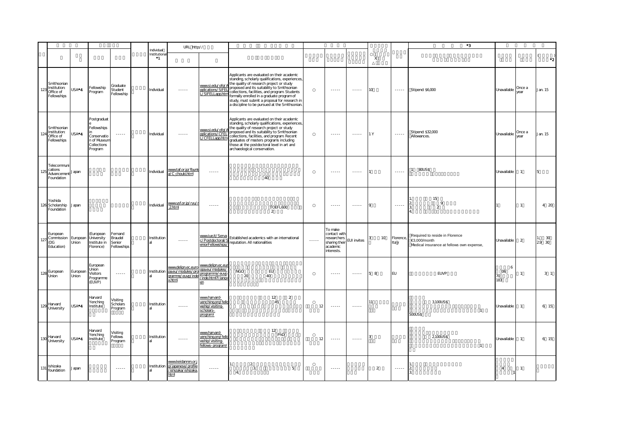|     |                                                         |                    |                                                                                    |                                             |                                     | URL http://                                                                                                                                                                                                                                                                                                                                                                                                                                                                            |                                                                                |                                                                                                                                                                                                                                                                                                                                                                                              |          |                                                                                                                           |                    |                 |                   | $^{\ast}3$                                                                                  |                            |                |                                               |
|-----|---------------------------------------------------------|--------------------|------------------------------------------------------------------------------------|---------------------------------------------|-------------------------------------|----------------------------------------------------------------------------------------------------------------------------------------------------------------------------------------------------------------------------------------------------------------------------------------------------------------------------------------------------------------------------------------------------------------------------------------------------------------------------------------|--------------------------------------------------------------------------------|----------------------------------------------------------------------------------------------------------------------------------------------------------------------------------------------------------------------------------------------------------------------------------------------------------------------------------------------------------------------------------------------|----------|---------------------------------------------------------------------------------------------------------------------------|--------------------|-----------------|-------------------|---------------------------------------------------------------------------------------------|----------------------------|----------------|-----------------------------------------------|
|     |                                                         |                    |                                                                                    |                                             | Individual<br>Institutiona<br>$^*1$ |                                                                                                                                                                                                                                                                                                                                                                                                                                                                                        |                                                                                |                                                                                                                                                                                                                                                                                                                                                                                              |          |                                                                                                                           |                    | $\times$        |                   |                                                                                             |                            |                | *2                                            |
| 123 | Smithsonian<br>Institution:<br>Office of<br>Fellowships | USA*4              | Fellowship<br>Program                                                              | Graduate<br>Student<br>Fellowship           | Individual                          |                                                                                                                                                                                                                                                                                                                                                                                                                                                                                        | www.si.edu/ofg/A<br>pplications/SIFEL<br>/SIFELLapp.htm                        | Applicants are evaluated on their academic<br>standing, scholarly qualifications, experiences,<br>the quality of research project or study<br>proposed and its suitability to Smithsonian<br>collections, facilities, and program. Students<br>formally enrolled in a graduate program of<br>study, must submit a proposal for research in<br>a discipline to be pursued at the Smithsonian. |          | $\omega = \omega = \omega$                                                                                                | 1.1.1.1            | 10 <sub>o</sub> | $\cdots \cdots$   | Stipend: \$6,000                                                                            | Unavailable                | Once a<br>vear | Jan. 15                                       |
| 12  | Smithsonian<br>Institution:<br>Office of<br>Fellowships | USA <sup>*</sup> 4 | Postgraduat<br>Fellowships<br>Conservatio<br>n of Museum<br>Collections<br>Program | $\cdots \cdots \cdots$                      | Individual                          |                                                                                                                                                                                                                                                                                                                                                                                                                                                                                        | www.si.edu/ofg/A<br>pplications/CFEL<br>/CFELLapp.htm                          | Applicants are evaluated on their academic<br>standing, scholarly qualifications, experiences<br>the quality of research project or study<br>proposed and its suitability to Smithsonian<br>collections, facilities, and program. Recent<br>graduates of masters programs including<br>those at the postdoctoral level in art and<br>archaeological conservation.                            |          | $\frac{1}{2} \left( \frac{1}{2} \right) \left( \frac{1}{2} \right) \left( \frac{1}{2} \right) \left( \frac{1}{2} \right)$ | 1.1.1.1            | 1Y              | 1.1.1.1           | Stipend: \$32,000<br>Allowances.                                                            | Unavailable                | Once a<br>year | Jan. 15                                       |
| 125 | Telecommun<br>cations<br>Advancemen<br>Foundation       | Japan              |                                                                                    |                                             | Individual                          | www.taf.or.jp/fbunk<br>a/C_chouki.html                                                                                                                                                                                                                                                                                                                                                                                                                                                 |                                                                                | 40                                                                                                                                                                                                                                                                                                                                                                                           |          | $\cdots$                                                                                                                  | 1.1.1.1            |                 |                   | 80US\$                                                                                      | Unavailable                | $\mathbf{1}$   | 5                                             |
|     | Yoshida<br>126 Scholarship<br>Foundation                | Japan              |                                                                                    |                                             | Individual                          | www.ysf.or.jp/ryu/<br>2html                                                                                                                                                                                                                                                                                                                                                                                                                                                            | 1.1.1.1                                                                        | TOEFL600<br>2                                                                                                                                                                                                                                                                                                                                                                                |          | $\cdots$                                                                                                                  | $\cdots$           |                 | $\cdots$          | 15<br>9<br>$\overline{a}$                                                                   |                            | $\mathbf{1}$   | 4 20                                          |
| 127 | European<br>Commission<br>(DG<br>Education)             | European<br>Union  | (European<br><b>University</b><br>Institute in<br>Florence)                        | Fernand<br>Braudel<br>Senior<br>Fellowships | Institution                         | $\begin{array}{cccccccccc} \multicolumn{2}{c}{} & \multicolumn{2}{c}{} & \multicolumn{2}{c}{} & \multicolumn{2}{c}{} & \multicolumn{2}{c}{} & \multicolumn{2}{c}{} & \multicolumn{2}{c}{} & \multicolumn{2}{c}{} & \multicolumn{2}{c}{} & \multicolumn{2}{c}{} & \multicolumn{2}{c}{} & \multicolumn{2}{c}{} & \multicolumn{2}{c}{} & \multicolumn{2}{c}{} & \multicolumn{2}{c}{} & \multicolumn{2}{c}{} & \multicolumn{2}{c}{} & \multicolumn{2}{c}{} & \multicolumn{2}{c}{} & \mult$ | www.iue.it/Serva<br>:/Postdoctoral/<br>eniorFellowships/                       | Established academics with an international<br>reputation. All nationalities                                                                                                                                                                                                                                                                                                                 | $\cdots$ | To make<br>contact with<br>researchers<br>sharing their<br>academic<br>interests.                                         | <b>EUI</b> invites | 10              | Florence<br>Ita y | Required to reside in Florence<br>€3,000/month<br>Medical insurance at fellows own expense, | Unavailable                | $\overline{2}$ | $\begin{array}{c} 30 \\ 30 \end{array}$<br>29 |
|     | 128 European<br>Union                                   | European<br>Union  | European<br>Union<br>Visitors<br>Programme<br>(EUVP)                               | $\cdots \cdots$                             | Institution                         | www.delipn.ec.euro<br>pa.eu/modules/pro<br>gramme/euvp/inde<br>x.html                                                                                                                                                                                                                                                                                                                                                                                                                  | www.delipn.ec.eu<br>opa.eu/modules/<br>programme/euvp<br>inde.html?I lang-     | <b>NGO</b><br>EU<br>40<br>20                                                                                                                                                                                                                                                                                                                                                                 |          | 1.1.1.1                                                                                                                   | $\cdots$           | 5 8             | <b>EU</b>         | EUVP                                                                                        | 6<br>$\infty$<br>70<br>183 |                | 3 <sub>1</sub>                                |
| 129 | Harvard<br>University                                   | USA*4              | Harvard<br>Yenching<br>Institute                                                   | Visiting<br>Scholars<br>Program             | Institution                         | $- - - - -$                                                                                                                                                                                                                                                                                                                                                                                                                                                                            | www.harvard-<br>yenching.org/fello<br>wship/visiting-<br>scholars-<br>program/ | 12<br>$\overline{2}$<br>45                                                                                                                                                                                                                                                                                                                                                                   | 12       | $\cdots$                                                                                                                  | $- - - - -$        | 11              |                   | 3,100US\$<br>$\overline{1}$<br>$500US$ \$                                                   | Unavailable                | $\overline{1}$ | 6 15                                          |
|     | 130 Harvard<br>University                               | USA*4              | Harvard<br>Yenching<br>Institute                                                   | Visiting<br>Fellows<br>Program              | Institution                         | $\begin{array}{cccccccccc} \multicolumn{2}{c}{} & \multicolumn{2}{c}{} & \multicolumn{2}{c}{} & \multicolumn{2}{c}{} & \multicolumn{2}{c}{} & \multicolumn{2}{c}{} & \multicolumn{2}{c}{} & \multicolumn{2}{c}{} & \multicolumn{2}{c}{} & \multicolumn{2}{c}{} & \multicolumn{2}{c}{} & \multicolumn{2}{c}{} & \multicolumn{2}{c}{} & \multicolumn{2}{c}{} & \multicolumn{2}{c}{} & \multicolumn{2}{c}{} & \multicolumn{2}{c}{} & \multicolumn{2}{c}{} & \multicolumn{2}{c}{} & \mult$ | www.harvard-<br>venching.org/fell<br>Aship/visiting-<br>fellows-program/       | 12<br>PhD                                                                                                                                                                                                                                                                                                                                                                                    | 12       | $- - - - -$                                                                                                               | $- - - - -$        |                 |                   | 2,100US\$<br>$\overline{1}$                                                                 | Unavailable                | $\mathbf{1}$   | 6 15                                          |
| 131 | Ishizaka<br>foundation                                  | Japan              |                                                                                    | $\cdots$                                    |                                     | www.keidanren.or.<br>Institution p/japanese/profile<br>/ishizaka/ishizaka.<br>html                                                                                                                                                                                                                                                                                                                                                                                                     | $\cdots \cdots$                                                                | $\overline{2}$<br>3.<br>$\overline{5}$<br>$\overline{a}$                                                                                                                                                                                                                                                                                                                                     |          | $\dots$                                                                                                                   |                    | $\overline{2}$  | $\cdots \cdots$   | $\mathcal{D}$                                                                               | $\overline{4}$             | $\mathbf{1}$   |                                               |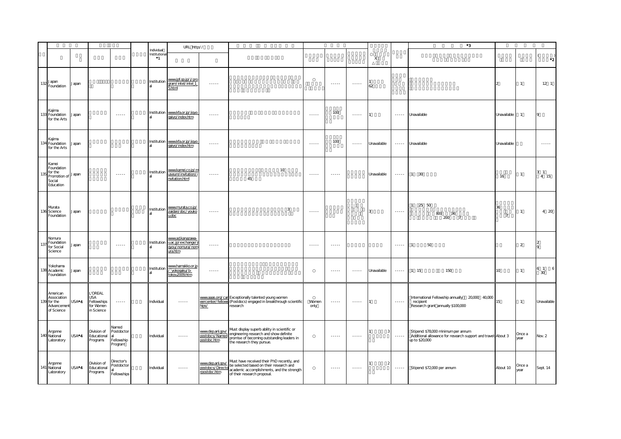|     |                                                                             |       |                                                          |                                              |                                          | URL http://                                                          |                                                      |                                                                                                                                                                    |                             |                             |                                                                                                   |             |                 | $^{\ast}3$                                                                                                             |                      |                |                        |
|-----|-----------------------------------------------------------------------------|-------|----------------------------------------------------------|----------------------------------------------|------------------------------------------|----------------------------------------------------------------------|------------------------------------------------------|--------------------------------------------------------------------------------------------------------------------------------------------------------------------|-----------------------------|-----------------------------|---------------------------------------------------------------------------------------------------|-------------|-----------------|------------------------------------------------------------------------------------------------------------------------|----------------------|----------------|------------------------|
|     |                                                                             |       |                                                          |                                              | Individual<br>Institutiona<br>$^{\ast}1$ |                                                                      |                                                      |                                                                                                                                                                    |                             |                             |                                                                                                   | X           |                 |                                                                                                                        |                      |                | $\cdot$ <sub>2</sub>   |
|     | $132 \frac{\text{Japan}}{\text{Even}}$<br>Foundation                        | Japan |                                                          |                                              | Institution                              | www.jpf.go.jp/j/pro<br>gram/intel/intel_1<br>5.html                  | $\cdots \cdots$                                      |                                                                                                                                                                    |                             | $\cdots \cdots$             | $\cdots$                                                                                          | 62          |                 |                                                                                                                        |                      | $\overline{1}$ | $12-1$                 |
|     | Kajima<br>133 Foundation<br>for the Arts                                    | Japan |                                                          | 1.1.1.1                                      |                                          | Institution www.kfa.or.jp/jigyo<br>gaiyo/index.htm                   | 1.1.1.1                                              |                                                                                                                                                                    | 1.1.1.1                     | 100                         | $\begin{array}{cccccccccc} \bullet & \bullet & \bullet & \bullet & \bullet & \bullet \end{array}$ |             | $\cdots$        | Unavailable                                                                                                            | Unavailable          | $\overline{1}$ | $\circ$                |
|     | Kajima<br>134 Foundation<br>for the Arts                                    | Japan |                                                          |                                              |                                          | Institution www.kfa.or.jp/jigyo<br>gaiyo/index.htm                   | $\cdots \cdots$                                      |                                                                                                                                                                    | $\sim$ $\sim$ $\sim$ $\sim$ | 100                         | $\cdots$                                                                                          | Unavailable |                 | Unavailable                                                                                                            | Unavailable          |                | $\dots$                |
| 135 | Kamei<br>Foundation<br>for the<br>Promotion of Japan<br>Social<br>Education |       |                                                          | $\sim$ $\sim$ $\sim$ $\sim$                  | Institution                              | www.kamei.co.jp/m<br>useum/invitation/i<br>nvitation.html            | $\cdots \cdots$                                      | 10<br>45                                                                                                                                                           | $\sim$ $\sim$ $\sim$ $\sim$ | $\sim$ $\sim$ $\sim$ $\sim$ |                                                                                                   | Unavailable | $\cdots \cdots$ | 1 30                                                                                                                   | 16                   | $\overline{1}$ | 3 <sub>1</sub><br>4 15 |
|     | Murata<br>136 Science<br>Foundation                                         | Japan |                                                          |                                              | Institution                              | www.murata.co.jp/<br>zaidan/doc/youko<br>$u$ .doc                    | 1.1.1.1                                              | 3                                                                                                                                                                  | $\cdots$                    |                             |                                                                                                   | 3           | 1.1.1.1         | 1 25 50<br>800<br>36<br>200<br>$\overline{7}$                                                                          | 36<br>$\overline{7}$ | $\overline{1}$ | 4 20                   |
| 137 | Nomura<br>Foundation<br>for Social<br>Science                               | Japan |                                                          | $\cdots$                                     | Institution                              | www.ad.kanazawa-<br>u.ac.jp/exchange/j<br>gyou/nomura/nom<br>ura.htm | $\cdots \cdots \cdots$                               |                                                                                                                                                                    | $\frac{1}{2}$               | $\cdots \cdots$             |                                                                                                   |             | $\cdots$        | 50                                                                                                                     |                      | $\overline{2}$ | $\circ$                |
|     | Yokohama<br>138 Academic<br>Foundation                                      | Japan |                                                          |                                              | Institution                              | <u>www.hamakko.or.jp</u><br>/ yokogaku/b-<br>tokou2009.htm           | $\cdots \cdots$                                      |                                                                                                                                                                    |                             | 1.1.1.1                     | $\begin{array}{cccccccccc} \bullet & \bullet & \bullet & \bullet & \bullet & \bullet \end{array}$ | Unavailable |                 | 150<br>1 15                                                                                                            | 10                   | $\mathbf{1}$   | 6 1<br>6<br>30         |
| 139 | American<br>Association<br>for the<br>Advancement<br>of Science             | USA*4 | L'OREAL<br>USA<br>Fellowships<br>for Women<br>in Science | $\cdots \cdots$                              | Individual                               | <b></b>                                                              | hips/                                                | www.aaas.org/car Exceptionally talented young women<br>eercenter/fellows (Postdocs) engaged in breakthrough scientific<br>research                                 | Women<br>only               | $\cdots \cdots \cdots$      | $\cdots$                                                                                          |             | $\cdots \cdots$ | International Fellowship annually 20,000 40,000<br>recipient<br>Research grant annually \$100,000                      |                      | $\overline{1}$ | Unavailable            |
|     | Argonne<br>140 National<br>Laboratory                                       | USA*4 | Division of<br>Educational<br>Programs                   | Vamed<br>Postdoctor<br>Fellowship<br>Program | Individual                               | $\cdots \cdots \cdots$                                               | www.dep.anl.gov/<br>postdocs/Named<br>postdoc.htm    | Must display superb ability in scientific or<br>engineering research and show definite<br>promise of becoming outstanding leaders in<br>the research they pursue.  |                             | 1.1.1.1                     | 1.1.1.1                                                                                           | 3           | $\cdots$        | Stipend: \$78,000 minimum per annum<br>Additional allowance for research support and travel: About 3<br>up to \$20,000 |                      | Once a<br>year | Nov. 2                 |
|     | Argonne<br>141 National<br>Laboratory                                       | USA*4 | Division of<br>Educational<br>Programs                   | Director's<br>Postdoctor<br>Fellowships      | Individual                               |                                                                      | www.dep.anl.gov/<br>postdocs/Directo<br>rpostdoc.htm | Must have received their PhD recently, and<br>be selected based on their research and<br>academic accomplishments, and the strength<br>of their research proposal. |                             | $\cdots$                    | $\begin{array}{cccccccccc} \bullet & \bullet & \bullet & \bullet & \bullet & \bullet \end{array}$ |             |                 | Stipend: \$72,000 per annum                                                                                            | About 10             | Once a<br>year | Sept. 14               |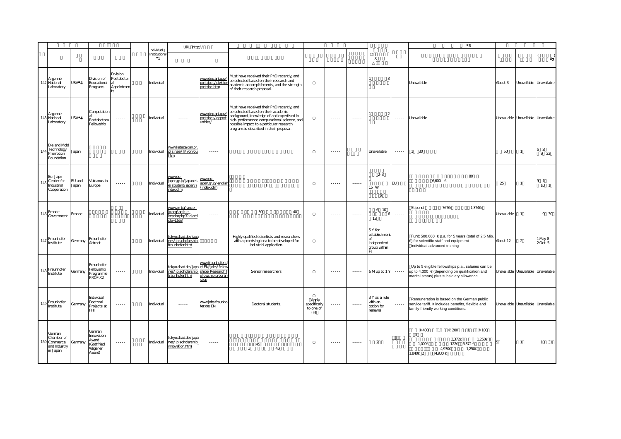|     |                                                              |                    |                                                                  |                                                                                                             |                                   | URL http://                                                                                    |                                                     |                                                                                                                                                                                                                                                                       |                                                  |                                                                                                                                                                                                                                                                                                                                                                                                                                                                                        |                 |                                                        |                        | $^{\ast}3$                                                                                                                                        |                                     |                         |                        |
|-----|--------------------------------------------------------------|--------------------|------------------------------------------------------------------|-------------------------------------------------------------------------------------------------------------|-----------------------------------|------------------------------------------------------------------------------------------------|-----------------------------------------------------|-----------------------------------------------------------------------------------------------------------------------------------------------------------------------------------------------------------------------------------------------------------------------|--------------------------------------------------|----------------------------------------------------------------------------------------------------------------------------------------------------------------------------------------------------------------------------------------------------------------------------------------------------------------------------------------------------------------------------------------------------------------------------------------------------------------------------------------|-----------------|--------------------------------------------------------|------------------------|---------------------------------------------------------------------------------------------------------------------------------------------------|-------------------------------------|-------------------------|------------------------|
|     |                                                              |                    |                                                                  |                                                                                                             | Individual<br>Institutional<br>*1 |                                                                                                |                                                     |                                                                                                                                                                                                                                                                       |                                                  |                                                                                                                                                                                                                                                                                                                                                                                                                                                                                        |                 | X                                                      |                        |                                                                                                                                                   |                                     |                         | $\cdot$ <sub>2</sub>   |
|     | Argonne<br>142 National<br>Laboratory                        | USA <sup>*</sup> 4 | Division of<br>Educational<br>Programs                           | Division<br>Postdoctor<br>Appointmen                                                                        | Individual                        | $\cdots \cdots$                                                                                | www.dep.anl.gov<br>postdocs/division<br>postdoc.htm | Must have received their PhD recently, and<br>be selected based on their research and<br>academic accomplishments, and the strength<br>of their research proposal.                                                                                                    |                                                  | $- - - - -$                                                                                                                                                                                                                                                                                                                                                                                                                                                                            | $\cdots$        |                                                        | $\cdots$               | Unavailable                                                                                                                                       | About 3                             | Unavailable Unavailable |                        |
|     | Argonne<br>143 National<br>Laboratory                        | USA*4              | Computation<br>Postdoctoral<br>Fellowship                        |                                                                                                             | Individual                        | $- - - - -$                                                                                    | www.dep.anl.gov.<br>postdocs/opport<br>unities/     | Must have received their PhD recently, and<br>be selected based on their academic<br>background, knowledge of and expertised in<br>high-performance computational science, and<br>possible impact to a particular research<br>program as described in their proposal. |                                                  | $- - - - -$                                                                                                                                                                                                                                                                                                                                                                                                                                                                            | $- - - - -$     |                                                        | $- - - - -$            | Unavailable                                                                                                                                       | Unavailable Unavailable Unavailable |                         |                        |
| 14  | Die and Mold<br>Technology<br>Promotion<br>Foundation        | Japan              |                                                                  |                                                                                                             | Individual                        | www.katazaidan.or.<br>p/sinsei/h/yoryou<br>ıtm                                                 | $\cdots$                                            |                                                                                                                                                                                                                                                                       |                                                  | $\begin{array}{cccccccccc} \multicolumn{2}{c}{} & \multicolumn{2}{c}{} & \multicolumn{2}{c}{} & \multicolumn{2}{c}{} & \multicolumn{2}{c}{} & \multicolumn{2}{c}{} & \multicolumn{2}{c}{} & \multicolumn{2}{c}{} & \multicolumn{2}{c}{} & \multicolumn{2}{c}{} & \multicolumn{2}{c}{} & \multicolumn{2}{c}{} & \multicolumn{2}{c}{} & \multicolumn{2}{c}{} & \multicolumn{2}{c}{} & \multicolumn{2}{c}{} & \multicolumn{2}{c}{} & \multicolumn{2}{c}{} & \multicolumn{2}{c}{} & \mult$ |                 | Unavailable                                            | $\cdots \cdots$        | $1 \quad 30$                                                                                                                                      | $50\,$                              |                         | 6 <sub>2</sub><br>9 22 |
|     | Eu-Japn<br>Center for<br>Industrial<br>Cooperation           | EU and<br>Japan    | /ulcanus in<br>Europe                                            | $\begin{array}{cccccccccc} \bullet & \bullet & \bullet & \bullet & \bullet & \bullet & \bullet \end{array}$ | Individual                        | www.eu-<br>apan.gr.jp/japanes<br>e/student/japan/i<br>ndex.cfm                                 | www.eu-<br>japan.gr.jp/english<br>/index.cfm        | $\mathsf{I}$                                                                                                                                                                                                                                                          |                                                  | $\cdots$                                                                                                                                                                                                                                                                                                                                                                                                                                                                               | $\cdots \cdots$ | $2 - 3$<br>15 W<br>8                                   | EU                     | 80<br>$6600 \in$                                                                                                                                  | 25                                  | $\mathbf{1}$            | 91<br>10 <sub>1</sub>  |
| 146 | France<br>Government                                         | France             |                                                                  |                                                                                                             | Individual                        | www.ambafrance-<br>jp.org/article-<br>imprim.php3?id art<br>cle=1663                           | $\cdots$                                            | $30\,$<br>40                                                                                                                                                                                                                                                          |                                                  | $\begin{array}{cccccccccc} \multicolumn{2}{c}{} & \multicolumn{2}{c}{} & \multicolumn{2}{c}{} & \multicolumn{2}{c}{} & \multicolumn{2}{c}{} & \multicolumn{2}{c}{} & \multicolumn{2}{c}{} & \multicolumn{2}{c}{} & \multicolumn{2}{c}{} & \multicolumn{2}{c}{} & \multicolumn{2}{c}{} & \multicolumn{2}{c}{} & \multicolumn{2}{c}{} & \multicolumn{2}{c}{} & \multicolumn{2}{c}{} & \multicolumn{2}{c}{} & \multicolumn{2}{c}{} & \multicolumn{2}{c}{} & \multicolumn{2}{c}{} & \mult$ | $\cdots \cdots$ | 6 10<br>12                                             | $\cdots \cdots \cdots$ | Stipend:<br>767€/<br>1.374C                                                                                                                       | Unavailable                         |                         | 9 30                   |
|     | 147 Fraunhofer<br>Institute                                  | Germany            | Fraunhofer<br>Attract                                            | $\cdots \cdots$                                                                                             | Individual                        | tokyo.daad.de./japa<br>nes/jp scholarship<br>fraunhofer.html                                   |                                                     | Highly qualified scientists and researchers<br>with a promising idea to be developed for<br>industrial application.                                                                                                                                                   |                                                  | $\begin{array}{cccccccccc} \multicolumn{2}{c}{} & \multicolumn{2}{c}{} & \multicolumn{2}{c}{} & \multicolumn{2}{c}{} & \multicolumn{2}{c}{} & \multicolumn{2}{c}{} & \multicolumn{2}{c}{} & \multicolumn{2}{c}{} & \multicolumn{2}{c}{} & \multicolumn{2}{c}{} & \multicolumn{2}{c}{} & \multicolumn{2}{c}{} & \multicolumn{2}{c}{} & \multicolumn{2}{c}{} & \multicolumn{2}{c}{} & \multicolumn{2}{c}{} & \multicolumn{2}{c}{} & \multicolumn{2}{c}{} & \multicolumn{2}{c}{} & \mult$ | $\cdots$        | 5Y for<br>establishment<br>independent<br>group within | 1.1.1.1                | Fund: 500,000 € p.a. for 5 years (total of 2.5 Mio<br>€ for scientific staff and equipment<br>Individual advanced training                        | About 12                            | $\overline{2}$          | 1.May 8<br>20ct. 5     |
|     | 148 Fraunhofer<br>Institute                                  | Germany            | Fraunhofer<br>ellowship<br>Programme<br>PROF.X2                  | $\cdots$                                                                                                    | Individual                        | tokyo.daad.de./japa e/EN/jobs/fellov<br>nes/jp scholarship_ships/Research f<br>fraunhofer.html | www.fraunhofer.d<br>ellowship progran<br>s.jsp      | Senior researchers                                                                                                                                                                                                                                                    |                                                  | $\cdots$                                                                                                                                                                                                                                                                                                                                                                                                                                                                               | 1.1.1.1         | 6 Mup to 1 Y                                           | $\cdots$               | Up to 5 eligible fellowships p.a., salaries can be<br>up to 4,300 € (depending on qualification and<br>marital status) plus subsidiary allowance. | Unavailable Unavailable Unavailable |                         |                        |
|     | 149 Fraunhofer<br>Institute                                  | Germany            | Individual<br>Doctoral<br>Projects at<br><b>FHI</b>              | $\sim$ $\sim$ $\sim$ $\sim$                                                                                 | Individual                        | $\cdots$                                                                                       | www.jobs.fraunho<br>fer.de/EN                       | Doctoral students.                                                                                                                                                                                                                                                    | Apply<br>specifically<br>to one of<br><b>FHI</b> | $\sim$ $\sim$ $\sim$ $\sim$                                                                                                                                                                                                                                                                                                                                                                                                                                                            | $\cdots$        | 3 Y as a rule<br>with an<br>option for<br>renewal      | 1.1.1.1                | Remuneration is based on the German public<br>service tariff. It includes benefits, flexible and<br>family-friendly working conditions.           | Unavailable Unavailable Unavailable |                         |                        |
| 150 | German<br>Chamber of<br>Commerce<br>and Industry<br>in Japan | Germany            | German<br>Innovation<br>Award<br>(Gottfried<br>Wagener<br>Award) | $- - - - -$                                                                                                 | Individual                        | tokyo.daad.de./japa<br>nes/jp scholarship<br>innovation.html                                   | $\cdots$                                            | 45<br>3<br>45                                                                                                                                                                                                                                                         |                                                  | $- - - - -$                                                                                                                                                                                                                                                                                                                                                                                                                                                                            | $- - - - -$     | $\overline{2}$                                         |                        | 100<br>200<br>400<br>$\overline{1}$<br>$\overline{1}$<br>3<br>3,372€<br>1,250€<br>1,000€<br>122€ 3,372€<br>4,930€<br>1,250€<br>.840€ 2<br>4.930€  | 15                                  | $\mathbf{1}$            | 10 31                  |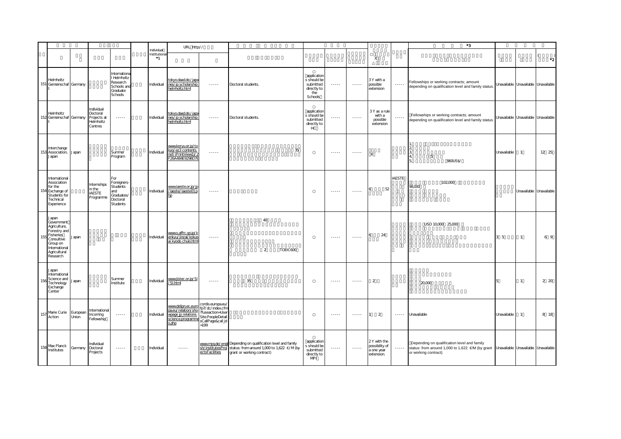|     |                                                                                                                                         |                   |                                                               |                                                                                                                                                      |                                          | URL http://                                                                                   |                                                                                                                                                                                                                                                                                                                                                                                                                                                                                        |                                                                                                                                          |          |                                                                           |                                                                                                                                                                                                                                                                                                                                                                                                                                                                                        |                                                                                                   |                                                           |                        | $^{\ast}3$                                                                                                              |                                     |                                     |                         |
|-----|-----------------------------------------------------------------------------------------------------------------------------------------|-------------------|---------------------------------------------------------------|------------------------------------------------------------------------------------------------------------------------------------------------------|------------------------------------------|-----------------------------------------------------------------------------------------------|----------------------------------------------------------------------------------------------------------------------------------------------------------------------------------------------------------------------------------------------------------------------------------------------------------------------------------------------------------------------------------------------------------------------------------------------------------------------------------------|------------------------------------------------------------------------------------------------------------------------------------------|----------|---------------------------------------------------------------------------|----------------------------------------------------------------------------------------------------------------------------------------------------------------------------------------------------------------------------------------------------------------------------------------------------------------------------------------------------------------------------------------------------------------------------------------------------------------------------------------|---------------------------------------------------------------------------------------------------|-----------------------------------------------------------|------------------------|-------------------------------------------------------------------------------------------------------------------------|-------------------------------------|-------------------------------------|-------------------------|
|     |                                                                                                                                         |                   |                                                               |                                                                                                                                                      | Individual<br>Institutiona<br>$^{\ast}1$ |                                                                                               |                                                                                                                                                                                                                                                                                                                                                                                                                                                                                        |                                                                                                                                          |          |                                                                           |                                                                                                                                                                                                                                                                                                                                                                                                                                                                                        |                                                                                                   | X                                                         |                        |                                                                                                                         |                                     |                                     | $\cdot$ <sub>2</sub>    |
| 151 | Helmholtz<br>Gemeinschaf Germany                                                                                                        |                   |                                                               | Internationa<br>I Helmholtz<br>Research<br>Schools and<br>Graduate<br>Schools                                                                        | Individual                               | tokyo.daad.de./japa<br>nes/jp scholarship<br>helmholtz.html                                   | $\cdots$                                                                                                                                                                                                                                                                                                                                                                                                                                                                               | Doctoral students.                                                                                                                       |          | application<br>s should be<br>submitted<br>directly to<br>the<br>Schools  | $\cdots$                                                                                                                                                                                                                                                                                                                                                                                                                                                                               | $\begin{array}{cccccccccc} \bullet & \bullet & \bullet & \bullet & \bullet & \bullet \end{array}$ | 3Y with a<br>possible<br>extension                        |                        | Fellowships or working contracts; amount<br>depending on qualification level and family status.                         | Unavailable Unavailable Unavailable |                                     |                         |
|     | Helmholtz<br>152 Gemeinschaf Germany                                                                                                    |                   | Individual<br>Doctoral<br>Projects at<br>Helmholtz<br>Centres | $\cdots$                                                                                                                                             | Individual                               | tokyo.daad.de./japa<br>nes/jp scholarship<br>helmholtz.html                                   | $\cdots$                                                                                                                                                                                                                                                                                                                                                                                                                                                                               | Doctoral students.                                                                                                                       |          | application<br>s should be<br>submitted<br>directly to<br>HC <sup>-</sup> | $\sim$ $\sim$ $\sim$ $\sim$                                                                                                                                                                                                                                                                                                                                                                                                                                                            | $\cdots$                                                                                          | 3 Y as a rule<br>with a<br>possible<br>extension          |                        | Fellowships or working contracts; amount<br>depending on qualification level and family status                          |                                     | Unavailable Unavailable Unavailable |                         |
|     | Interchange<br>153 Association,<br>Japan                                                                                                | Japan             |                                                               | Summer<br>Program                                                                                                                                    | Individual                               | www.koryu.or.jp/to<br>kyo/ez3 contents.<br>nsf/(PrintView1)/<br>26A484E9298D7E                | $\cdots \cdots$                                                                                                                                                                                                                                                                                                                                                                                                                                                                        |                                                                                                                                          | 35       |                                                                           | $\cdots$                                                                                                                                                                                                                                                                                                                                                                                                                                                                               | $\cdots$                                                                                          | X                                                         |                        | 13<br>5<br>$\overline{4}$<br>960US\$/                                                                                   | Unavailable                         | $\mathbf{1}$                        | 12 25                   |
|     | International<br>Association<br>for the<br>154 Exchange of<br>Students for<br>Technical<br>Experience                                   |                   | Internships<br>in the<br><b>IAESTE</b><br>Programme           | For<br>Foreigners<br><b>Students</b><br>and<br>Graduates/<br>Doctoral<br><b>Students</b>                                                             | Individual                               | www.iaeste.or.jp/jp<br>/iaeste/iaeste01.p<br>hp                                               | $\cdots$                                                                                                                                                                                                                                                                                                                                                                                                                                                                               |                                                                                                                                          |          |                                                                           | $\cdots$                                                                                                                                                                                                                                                                                                                                                                                                                                                                               | $\cdots$                                                                                          | 52                                                        | <b>IAESTE</b>          | 102,000<br>98,000                                                                                                       |                                     |                                     | Unavailable Unavailable |
| 155 | Japan<br>Government<br>Agriculture,<br>Forestry and<br>Fisheries<br>Consultive<br>Group on<br>International<br>Agricultural<br>Research | Japan             |                                                               |                                                                                                                                                      | Individual                               | www.s.affrc.go.jp/k<br>enkyu/jinzai/kokus<br>ai kyodo chuki.html                              | $\cdots \cdots \cdots$                                                                                                                                                                                                                                                                                                                                                                                                                                                                 | 40<br>2                                                                                                                                  | TOEIC600 |                                                                           | $\begin{array}{cccccccccc} \multicolumn{2}{c}{} & \multicolumn{2}{c}{} & \multicolumn{2}{c}{} & \multicolumn{2}{c}{} & \multicolumn{2}{c}{} & \multicolumn{2}{c}{} & \multicolumn{2}{c}{} & \multicolumn{2}{c}{} & \multicolumn{2}{c}{} & \multicolumn{2}{c}{} & \multicolumn{2}{c}{} & \multicolumn{2}{c}{} & \multicolumn{2}{c}{} & \multicolumn{2}{c}{} & \multicolumn{2}{c}{} & \multicolumn{2}{c}{} & \multicolumn{2}{c}{} & \multicolumn{2}{c}{} & \multicolumn{2}{c}{} & \mult$ | $\begin{array}{cccccccccc} \bullet & \bullet & \bullet & \bullet & \bullet & \bullet \end{array}$ | 24                                                        |                        | USD 10,000 25,000                                                                                                       | 3 <sub>5</sub>                      | $\mathbf{1}$                        | 6 9                     |
| 156 | Japan<br>International<br>Science and<br>Technology<br>Exchange<br>Center                                                               | Japan             |                                                               | Summer<br>Institute                                                                                                                                  | Individual                               | www.jistec.or.jp/SI<br>/SI.html                                                               | $\begin{array}{cccccccccc} \multicolumn{2}{c}{} & \multicolumn{2}{c}{} & \multicolumn{2}{c}{} & \multicolumn{2}{c}{} & \multicolumn{2}{c}{} & \multicolumn{2}{c}{} & \multicolumn{2}{c}{} & \multicolumn{2}{c}{} & \multicolumn{2}{c}{} & \multicolumn{2}{c}{} & \multicolumn{2}{c}{} & \multicolumn{2}{c}{} & \multicolumn{2}{c}{} & \multicolumn{2}{c}{} & \multicolumn{2}{c}{} & \multicolumn{2}{c}{} & \multicolumn{2}{c}{} & \multicolumn{2}{c}{} & \multicolumn{2}{c}{} & \mult$ | 35                                                                                                                                       |          |                                                                           | $\frac{1}{2} \left( \frac{1}{2} \right) \left( \frac{1}{2} \right) \left( \frac{1}{2} \right) \left( \frac{1}{2} \right) \left( \frac{1}{2} \right)$                                                                                                                                                                                                                                                                                                                                   | $- - - - - -$                                                                                     | $\overline{2}$                                            |                        | 20,000                                                                                                                  | 5                                   | $\mathbf{1}$                        | 2 20                    |
| 157 | Marie Curie<br>Action                                                                                                                   | European<br>Union | International<br>Incoming<br>Fellowship                       |                                                                                                                                                      | Individual                               | www.deljpn.ec.euro<br>pa.eu/relation/sho<br>wpage jp relations.<br>science.programme<br>s.php | cordis.europa.eu/<br>fp7/dc/index.cfm<br>fuseaction=User<br>Site.PeopleDetail<br>sCallPage&call_id<br>$=199$                                                                                                                                                                                                                                                                                                                                                                           |                                                                                                                                          |          |                                                                           | $\cdots$                                                                                                                                                                                                                                                                                                                                                                                                                                                                               | $\cdots \cdots \cdots$                                                                            | $\overline{2}$                                            | $\cdots \cdots \cdots$ | Unavailable                                                                                                             | Unavailable                         | $\mathbf{1}$                        | 8 18                    |
| 158 | Max Planck<br>Institutes                                                                                                                | Germany           | Individual<br>Doctoral<br>Projects                            | $\frac{1}{2} \left( \frac{1}{2} \right) \left( \frac{1}{2} \right) \left( \frac{1}{2} \right) \left( \frac{1}{2} \right) \left( \frac{1}{2} \right)$ | Individual                               | $\cdots$                                                                                      | sh/institutesProj<br>ectsFacilities                                                                                                                                                                                                                                                                                                                                                                                                                                                    | www.mpg.de/engli Depending on qualification level and family<br>status: from around 1,000 to 1,622 €/M (by<br>grant or working contract) |          | application<br>s should be<br>submitted<br>directly to<br><b>MPI</b>      | $\cdots$                                                                                                                                                                                                                                                                                                                                                                                                                                                                               | $\cdots$                                                                                          | 2Y with the<br>possibility of<br>a one year<br>extension. | $\cdots \cdots$        | Depending on qualification level and family<br>status: from around 1,000 to 1,622 €/M (by grant<br>or working contract) | Unavailable Unavailable Unavailable |                                     |                         |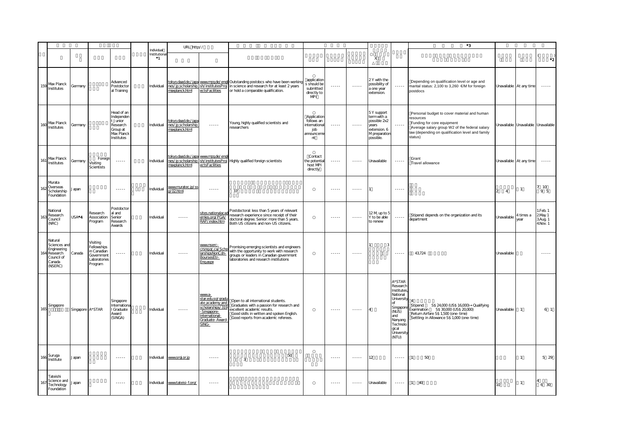|     |                                                                                       |                  |                                                                                 |                                                                                          |                                  | URL http://                                                                                        |                                                                                                                              |                                                                                                                                                                                                             |                                                                      |                        |                             |                                                                                                   |                                                                                                                                                                                                                                                                                                                                                                                                                                                                                        | *3                                                                                                                                                                                                     |             |                                     |                                            |
|-----|---------------------------------------------------------------------------------------|------------------|---------------------------------------------------------------------------------|------------------------------------------------------------------------------------------|----------------------------------|----------------------------------------------------------------------------------------------------|------------------------------------------------------------------------------------------------------------------------------|-------------------------------------------------------------------------------------------------------------------------------------------------------------------------------------------------------------|----------------------------------------------------------------------|------------------------|-----------------------------|---------------------------------------------------------------------------------------------------|----------------------------------------------------------------------------------------------------------------------------------------------------------------------------------------------------------------------------------------------------------------------------------------------------------------------------------------------------------------------------------------------------------------------------------------------------------------------------------------|--------------------------------------------------------------------------------------------------------------------------------------------------------------------------------------------------------|-------------|-------------------------------------|--------------------------------------------|
|     |                                                                                       |                  |                                                                                 |                                                                                          | Individual<br>Institutiona<br>*1 |                                                                                                    |                                                                                                                              |                                                                                                                                                                                                             |                                                                      |                        |                             | $\mathsf{X}$                                                                                      |                                                                                                                                                                                                                                                                                                                                                                                                                                                                                        |                                                                                                                                                                                                        |             |                                     | $\cdot$ <sub>2</sub>                       |
|     | 159 Max Planck<br>Institutes                                                          | Germany          |                                                                                 | Advanced<br>Postdoctor<br>al Training                                                    | Individual                       | maxplanck.html                                                                                     | ectsFacilities                                                                                                               | tokyo.daad.de./japa www.mpq.de/engli Outstanding postdocs who have been working<br>nes/jp scholarship sh/institutesProj in science and research for at least 2 years<br>or hold a comparable qualification. | application<br>s should be<br>submitted<br>directly to<br>MPI        |                        |                             | 2Y with the<br>possibility of<br>a one year<br>extension.                                         | $\cdots \cdots$                                                                                                                                                                                                                                                                                                                                                                                                                                                                        | Depending on qualification level or age and<br>marital status: 2,100 to 3,260 €/M for foreign<br>postdocs                                                                                              |             | Unavailable At any time             | $\cdots$                                   |
|     | 160 Max Planck<br>Institutes                                                          | Germany          |                                                                                 | Head of an<br>Independer<br>t Junior<br>Research<br>Group at<br>Max Planck<br>Institutes | Individual                       | okyo.daad.de./japa<br>nes/jp scholarship<br>maxplanck.html                                         | 1.1.1.1                                                                                                                      | Young, highly qualified scientists and<br>researchers                                                                                                                                                       | Application<br>follows an<br>international<br>job<br>announcem<br>nt | 1.1.1.1                | $\sim$ $\sim$ $\sim$ $\sim$ | 5 Y support<br>term with a<br>possible 2x2<br>vears<br>extension. 6<br>M preparation<br>possible. |                                                                                                                                                                                                                                                                                                                                                                                                                                                                                        | Personal budget to cover material and human<br>resources<br>Funding for core equipment<br>Average salary group W2 of the federal salary<br>law (depending on qualification level and family<br>status) |             | Unavailable Unavailable Unavailable |                                            |
| 161 | Max Planck<br>Institutes                                                              | Germany          | Foreign<br>Visiting<br>Scientists                                               | $\cdots$                                                                                 | Individual                       | <u>okyo.daad.de./japa_www.mpq.de/eng</u><br>nes/jp scholarship sh/institutesProj<br>maxplanck.html | ectsFacilities                                                                                                               | Highly qualified foreign scientists                                                                                                                                                                         | Contact<br>the potentia<br>host MPI<br>directly                      |                        |                             | Unavailable                                                                                       | $\cdots$                                                                                                                                                                                                                                                                                                                                                                                                                                                                               | Grant<br>Travel allowance                                                                                                                                                                              |             | Unavailable At any time             | $\sim$ - - - -                             |
| 162 | Murata<br>Overseas<br>Scholarship<br>Foundation                                       | apan             |                                                                                 | $- - - - -$                                                                              | Individual                       | www.muratec.jp/ss<br>o/02html                                                                      | $- - - - -$                                                                                                                  | 37                                                                                                                                                                                                          |                                                                      | $- - - - -$            | 1.1.1.1                     |                                                                                                   | $\begin{array}{cccccccccc} \multicolumn{2}{c}{} & \multicolumn{2}{c}{} & \multicolumn{2}{c}{} & \multicolumn{2}{c}{} & \multicolumn{2}{c}{} & \multicolumn{2}{c}{} & \multicolumn{2}{c}{} & \multicolumn{2}{c}{} & \multicolumn{2}{c}{} & \multicolumn{2}{c}{} & \multicolumn{2}{c}{} & \multicolumn{2}{c}{} & \multicolumn{2}{c}{} & \multicolumn{2}{c}{} & \multicolumn{2}{c}{} & \multicolumn{2}{c}{} & \multicolumn{2}{c}{} & \multicolumn{2}{c}{} & \multicolumn{2}{c}{} & \mult$ |                                                                                                                                                                                                        | $2 \quad 4$ | $\mathbf{1}$                        | $7 - 10$<br>95                             |
| 163 | National<br>Research<br>Council<br>(NRC)                                              | USA*4            | Research<br>Association<br>Program                                              | Postdoctor<br>al and<br>Senior<br>Research<br>Avvards                                    | Individual                       | $\cdots \cdots$                                                                                    | sites.nationalaca<br>emies.org/PGA/<br>RAP/index.htm                                                                         | Postdoctoral: less than 5 years of relevant<br>research experience since receipt of their<br>doctoral degree. Senior: more than 5 years.<br>Both US citizens and non-US citizens.                           |                                                                      | $\cdots$               | $- - - - -$                 | 12 M up to 5<br>Y to be able<br>to renew                                                          | 1.1.1.1                                                                                                                                                                                                                                                                                                                                                                                                                                                                                | Stipend: depends on the organization and its<br>department                                                                                                                                             | Unavailable | 4 times a<br>vear                   | 1.Feb. 1<br>2May 1<br>3Aug. 1<br>4. Nov. 1 |
| 164 | Natural<br>Sciences and<br>Engineering<br>Research<br>Council of<br>Canada<br>(NSERC) | Canada           | Visiting<br>Fellowships<br>in Canadian<br>Government<br>Laboratories<br>Program | $\cdots \cdots$                                                                          | Individual                       | $\cdots$                                                                                           | www.nserc-<br>crsnggc.ca/Sch<br>larshipsNonCdn-<br>BoursesEtr-<br>Engaspx                                                    | Promising emerging scientists and engineers<br>with the opportunity to work with research<br>groups or leaders in Canadian government<br>laboratories and research institutions                             |                                                                      | $\cdots$               | $\cdots$                    | 3                                                                                                 |                                                                                                                                                                                                                                                                                                                                                                                                                                                                                        | 43,724                                                                                                                                                                                                 | Unavailable |                                     | $\cdots$                                   |
| 165 | Singapore                                                                             | Singapore A*STAR |                                                                                 | Singapore<br>Internation<br>I Graduate<br>Award<br>(SINGA)                               | Individual                       | $\cdots \cdots$                                                                                    | www.a-<br>star.edu.sg/gradu<br>ate academy and<br>scholarships/319<br>Singapore-<br>nternational-<br>Graduate-Award<br>SING- | Open to all international students.<br>Graduates with a passion for research and<br>excellent academic results.<br>Good skills in written and spoken English.<br>Good reports from academic referees.       |                                                                      | $\cdots \cdots \cdots$ | $- - - - -$                 |                                                                                                   | A*STAR<br>Research<br>Institutes<br>National<br>University<br>Singapor<br>(NUS)<br>$\overline{a}$ nd<br>Nanyano<br>Technolo<br>gical<br><b>University</b><br>(NTU)                                                                                                                                                                                                                                                                                                                     | $\Lambda$<br>Stipend:<br>S\$ 24,000 (US\$ 16,000) Qualifying<br>Examination 5\$30,000 (US\$20,000)<br>Return Airfare S\$ 1,500 (one-time)<br>Settling- in Allowance S\$ 1,000 (one- time)              | Unavailable | $\mathbf{1}$                        | 6 <sub>1</sub>                             |
|     | 166 Suruga<br>Institute                                                               | apan             |                                                                                 | $\cdots \cdots$                                                                          | Individual                       | www.srgi.or.jp                                                                                     |                                                                                                                              | 50<br>3                                                                                                                                                                                                     |                                                                      | $\cdots$               | $\cdots \cdots$             | 12                                                                                                | $\cdots \cdots$                                                                                                                                                                                                                                                                                                                                                                                                                                                                        | 50<br>$\mathbf{1}$                                                                                                                                                                                     |             | $\mathbf{1}$                        | 5 29                                       |
| 167 | Tateishi<br>Science and<br>Technology<br>Foundation                                   | Japan            |                                                                                 | $\cdots \cdots$                                                                          | Individual                       | www.tateisi-f.org/                                                                                 | 1.1.1.1                                                                                                                      |                                                                                                                                                                                                             |                                                                      | 1.1.1.1                | 1.1.1.1                     | Unavailable                                                                                       | $\cdots \cdots$                                                                                                                                                                                                                                                                                                                                                                                                                                                                        | 40<br>$\mathbf{1}$                                                                                                                                                                                     | 10          | $\mathbf{1}$                        | 6 30                                       |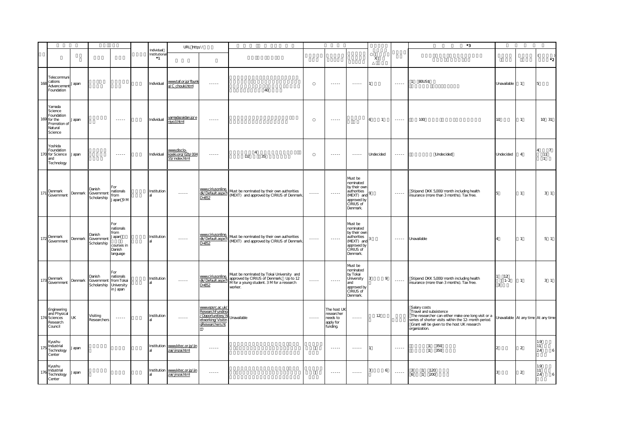|     |                                                                                      |           |                                     |                                                                        |                                     | URL http://                                                                                                                                          |                                                                                                |                                                                                                                                              |                                                                                                                                                      |                                                               |                                                                                                           |                           |                 | *3                                                                                                                                                                                                                   |                                     |                |                                             |
|-----|--------------------------------------------------------------------------------------|-----------|-------------------------------------|------------------------------------------------------------------------|-------------------------------------|------------------------------------------------------------------------------------------------------------------------------------------------------|------------------------------------------------------------------------------------------------|----------------------------------------------------------------------------------------------------------------------------------------------|------------------------------------------------------------------------------------------------------------------------------------------------------|---------------------------------------------------------------|-----------------------------------------------------------------------------------------------------------|---------------------------|-----------------|----------------------------------------------------------------------------------------------------------------------------------------------------------------------------------------------------------------------|-------------------------------------|----------------|---------------------------------------------|
|     |                                                                                      |           |                                     |                                                                        | Individual<br>Institutiona<br>$^*1$ |                                                                                                                                                      |                                                                                                |                                                                                                                                              |                                                                                                                                                      |                                                               |                                                                                                           | $\boldsymbol{\mathsf{X}}$ |                 |                                                                                                                                                                                                                      |                                     |                | $\cdot$ <sub>2</sub>                        |
| 165 | Telecommuni<br>cations<br>Advancement<br>Foundation                                  | Japan     |                                     |                                                                        | Individual                          | www.taf.or.jp/fbunk<br>a/C chouki.html                                                                                                               | $\cdots$                                                                                       | 40                                                                                                                                           |                                                                                                                                                      | $\sim$ $\sim$ $\sim$ $\sim$                                   | $\cdots$                                                                                                  |                           | $\cdots \cdots$ | 80US\$                                                                                                                                                                                                               | Unavailable                         | $\overline{1}$ | 5                                           |
|     | Yamada<br>Science<br>Foundation<br>169 for the<br>Promotion of<br>Natural<br>Science | Japan     |                                     | $\cdots$                                                               | Individual                          | yamadazaidan.jp/e<br>njyo3.html                                                                                                                      | $\cdots$                                                                                       |                                                                                                                                              |                                                                                                                                                      | $\cdots$                                                      |                                                                                                           | $\overline{1}$<br>6       | $\cdots$        | 100                                                                                                                                                                                                                  | 10                                  | $\mathbf{1}$   | 10 31                                       |
|     | Yoshida<br>Foundation<br>170 for Science<br>and<br>Technology                        | Japan     |                                     | $\cdots \cdots$                                                        | Individual                          | www.disclo-<br>koeki.org/02b/004<br>55/index.html                                                                                                    | $\cdots \cdots$                                                                                | $\overline{4}$<br>35<br>D <sub>2</sub>                                                                                                       |                                                                                                                                                      | $\cdots$                                                      | $\cdots$                                                                                                  | Undecided                 | $\cdots \cdots$ | Undecided                                                                                                                                                                                                            | Undecided                           | $\overline{4}$ | $\overline{7}$<br>4<br>11<br>$\overline{1}$ |
| 171 | Denmark<br>Government                                                                | Denmark   | Danish<br>Government<br>Scholarship | For<br>nationals<br>from<br>Japan 9 M                                  | Institution                         |                                                                                                                                                      | www.ciriusonline.<br>dk/Default.aspx?l<br>$D = 852$                                            | Must be nominated by their own authorities<br>(MEXT) and approved by CIRIUS of Denmark.                                                      | $\cdots \cdots$                                                                                                                                      | $\sim$ $\sim$ $\sim$ $\sim$                                   | Must be<br>nominated<br>by their own<br>authorities<br>(MEXT) and<br>approved by<br>CIRIUS of<br>Denmark. |                           | $\cdots \cdots$ | Stipend: DKK 5,000/month including health<br>insurance (more than 3 months). Tax free.                                                                                                                               | 5                                   | $\mathbf{1}$   | 3 <sub>1</sub>                              |
| 172 | Denmark<br>Government                                                                | Denmark   | Danish<br>Government<br>Scholarship | For<br>nationals<br>from<br>J apan<br>courses in<br>Danish<br>language | Institution                         | $\frac{1}{2} \left( \frac{1}{2} \right) \left( \frac{1}{2} \right) \left( \frac{1}{2} \right) \left( \frac{1}{2} \right) \left( \frac{1}{2} \right)$ | www.ciriusonline.<br>$D = 852$                                                                 | Must be nominated by their own authorities<br>(MEXT) and approved by CIRIUS of Denmark.                                                      | $\frac{1}{2} \left( \frac{1}{2} \right) \left( \frac{1}{2} \right) \left( \frac{1}{2} \right) \left( \frac{1}{2} \right) \left( \frac{1}{2} \right)$ | $\cdots$                                                      | Must be<br>nominated<br>by their own<br>authorities<br>(MEXT) and<br>approved by<br>CIRIUS of<br>Denmark. |                           | $\cdots$        | Unavailable                                                                                                                                                                                                          |                                     | $\mathbf{1}$   | 5 <sub>1</sub>                              |
| 173 | Denmark<br>Government                                                                | Denmark   | Danish<br>Government<br>Scholarship | For<br>nationals<br>from Tokai<br>University<br>in Japan               | Institution                         | 222222                                                                                                                                               | www.ciriusonline.<br>dk/Default.aspx?I<br>$D = 852$                                            | Must be nominated by Tokai University and<br>approved by CIRIUS of Denmark. Up to 12<br>M for a young student. 3 M for a research<br>worker. | $\frac{1}{2} \left( \frac{1}{2} \right) \left( \frac{1}{2} \right) \left( \frac{1}{2} \right) \left( \frac{1}{2} \right) \left( \frac{1}{2} \right)$ | 1.1.1.1                                                       | Must be<br>nominated<br>by Tokai<br>University<br>and<br>approved by<br>CIRIUS of<br>Denmark.             | 9                         | $\cdots$        | Stipend: DKK 5,000/month including health<br>insurance (more than 3 months). Tax free.                                                                                                                               | 12<br>$1 - 2$<br>$\overline{3}$     | $\mathbf{1}$   | 3 <sub>1</sub>                              |
|     | Engineering<br>and Physical<br>Sciences<br>Research<br>Council                       | <b>UK</b> | Visiting<br>Researchers             | $\cdots$                                                               | Institution                         |                                                                                                                                                      | www.epsrc.ac.uk/<br>ResearchFunding<br>Opportunities/N<br>etworking/Visitin<br>gResearchers.ht | Unavailable                                                                                                                                  | $\cdots$                                                                                                                                             | The host UK<br>researcher<br>needs to<br>apply for<br>funding | $\cdots$                                                                                                  | 12                        |                 | Salary costs<br>Travel and subsistence<br>The researcher can either make one long visit or a<br>series of shorter visits within the 12-month period.<br>Grant will be given to the host UK research<br>organization. | Unavailable At any time At any time |                |                                             |
| 175 | Kyushu<br>Industrial<br>Technology<br>Center                                         | Japan     |                                     |                                                                        | Institution                         | www.kitec.or.jp/jin<br>zai/jinzai.html                                                                                                               | $\cdots$                                                                                       |                                                                                                                                              |                                                                                                                                                      | $- - - - - -$                                                 | $\cdots$                                                                                                  |                           | $\cdots$        | 350<br>$\mathbf{1}$<br>1 350                                                                                                                                                                                         |                                     | $\overline{a}$ | 1.9<br>11<br>$\epsilon$<br>24               |
| 176 | Kyushu<br>Industrial<br>Technology<br>Center                                         | Japan     |                                     |                                                                        |                                     | Institution www.kitec.or.jp/jin<br>zai/jinzai.html                                                                                                   | $\cdots$                                                                                       |                                                                                                                                              |                                                                                                                                                      | $\cdots$                                                      | $\cdots$                                                                                                  | 6                         | $\cdots$        | 120<br>$\mathbf{3}$<br>$\overline{1}$<br>200<br>6<br>$\overline{1}$                                                                                                                                                  |                                     | $\overline{2}$ | 19<br>11<br>24<br>6                         |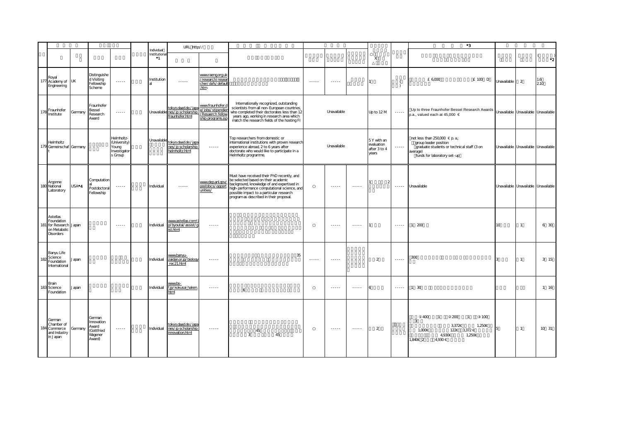|     |                                                                                      |                    |                                                                  |                                                                |                                     | URL http://                                                              |                                                                                                                                                                                                                                                                                                                                                                                                                                                                                        |                                                                                                                                                                                                                                                                       |                 |                                                                                                   |                 |                                                   |                                                                                                                                                                                                                                                                                                                                                                                                                                                                                        | $^{\ast}3$                                                                                                                                           |                 |                                     |            |
|-----|--------------------------------------------------------------------------------------|--------------------|------------------------------------------------------------------|----------------------------------------------------------------|-------------------------------------|--------------------------------------------------------------------------|----------------------------------------------------------------------------------------------------------------------------------------------------------------------------------------------------------------------------------------------------------------------------------------------------------------------------------------------------------------------------------------------------------------------------------------------------------------------------------------|-----------------------------------------------------------------------------------------------------------------------------------------------------------------------------------------------------------------------------------------------------------------------|-----------------|---------------------------------------------------------------------------------------------------|-----------------|---------------------------------------------------|----------------------------------------------------------------------------------------------------------------------------------------------------------------------------------------------------------------------------------------------------------------------------------------------------------------------------------------------------------------------------------------------------------------------------------------------------------------------------------------|------------------------------------------------------------------------------------------------------------------------------------------------------|-----------------|-------------------------------------|------------|
|     |                                                                                      |                    |                                                                  |                                                                | Individual<br>Institutiona<br>$^*1$ |                                                                          |                                                                                                                                                                                                                                                                                                                                                                                                                                                                                        |                                                                                                                                                                                                                                                                       |                 |                                                                                                   |                 | $\chi$                                            |                                                                                                                                                                                                                                                                                                                                                                                                                                                                                        |                                                                                                                                                      |                 |                                     | $^{\ast}2$ |
|     | Royal<br>177 Academy of<br>Engineering                                               | <b>UK</b>          | Distinguishe<br>d Visiting<br>Fellowship<br>Scheme               | $\sim$ $\sim$ $\sim$ $\sim$                                    | Institution                         |                                                                          | www.raeng.org.uk<br>research/resear<br>cher/dvfs/default<br>.htm                                                                                                                                                                                                                                                                                                                                                                                                                       |                                                                                                                                                                                                                                                                       | $\cdots$        | $\cdots$                                                                                          |                 |                                                   |                                                                                                                                                                                                                                                                                                                                                                                                                                                                                        | £ 6,000<br>£ 100 D                                                                                                                                   | Unavailable     | $\overline{2}$                      | 1.6<br>210 |
| 178 | Fraunhofer<br>Institute                                                              | Germany            | Fraunhofer<br>Bessel<br>Research<br>Award                        | $\cdots \cdots$                                                |                                     | tokyo.daad.de./japa<br>Unavailable nes/jp scholarship<br>fraunhofer.html | www.fraunhofer.c<br>e/jobs/stipendier<br>Resaerch fellov<br>ship programs.jsp                                                                                                                                                                                                                                                                                                                                                                                                          | Internationally recognized, outstanding<br>scientists from all non-European countries,<br>who completed their doctorates less than 12<br>years ago, working in research area which<br>match the research fields of the hosting FI                                     |                 | Unavailable                                                                                       |                 | Up to 12 M                                        | $\cdots \cdots$                                                                                                                                                                                                                                                                                                                                                                                                                                                                        | Up to three Fraunhofer Bessel Research Awards<br>p.a., valued each at $45,000 \in$                                                                   |                 | Unavailable Unavailable Unavailable |            |
|     | Helmholtz<br>179 Gemeinschaf Germany                                                 |                    |                                                                  | Helmholtz-<br>(University)<br>Young<br>Investigator<br>s Group | Unavailable                         | tokyo.daad.de./japa<br>nes/jp scholarship<br>helmholtz.html              | $\cdots$                                                                                                                                                                                                                                                                                                                                                                                                                                                                               | Top researchers from domestic or<br>international institutions with proven research<br>experience abroad, 2 to 6 years after<br>doctorate who would like to participate in a<br>Helmholtz programme.                                                                  |                 | Unavailable                                                                                       |                 | 5Y with an<br>evaluation<br>after 3 to 4<br>years | $\cdots \cdots$                                                                                                                                                                                                                                                                                                                                                                                                                                                                        | not less than $250,000 \in p$ . a;<br>group leader position<br>graduate students or technical staff (3 on<br>average)<br>funds for laboratory set-up |                 | Unavailable Unavailable Unavailable |            |
|     | Argonne<br>180 National<br>Laboratory                                                | USA <sup>*</sup> 4 | Computation<br>Postdoctora<br>Fellowship                         | $\cdots \cdots$                                                | Individual                          |                                                                          | www.dep.anl.gov<br>postdocs/opport<br>unities/                                                                                                                                                                                                                                                                                                                                                                                                                                         | Must have received their PhD recently, and<br>be selected based on their academic<br>background, knowledge of and expertised in<br>high-performance computational science, and<br>possible impact to a particular research<br>program as described in their proposal. |                 | $\begin{array}{cccccccccc} \bullet & \bullet & \bullet & \bullet & \bullet & \bullet \end{array}$ | 1.1.1.1         |                                                   | $\cdots$                                                                                                                                                                                                                                                                                                                                                                                                                                                                               | Unavailable                                                                                                                                          |                 | Unavailable Unavailable Unavailable |            |
|     | Astellas<br>Foundation<br>181 for Research Japan<br>on Metabolic<br><b>Disorders</b> |                    |                                                                  | $-22222$                                                       | Individual                          | www.astellas.com/j<br>p/byoutai/assist/g<br>ist.html                     | $\begin{array}{cccccccccc} \multicolumn{2}{c}{} & \multicolumn{2}{c}{} & \multicolumn{2}{c}{} & \multicolumn{2}{c}{} & \multicolumn{2}{c}{} & \multicolumn{2}{c}{} & \multicolumn{2}{c}{} & \multicolumn{2}{c}{} & \multicolumn{2}{c}{} & \multicolumn{2}{c}{} & \multicolumn{2}{c}{} & \multicolumn{2}{c}{} & \multicolumn{2}{c}{} & \multicolumn{2}{c}{} & \multicolumn{2}{c}{} & \multicolumn{2}{c}{} & \multicolumn{2}{c}{} & \multicolumn{2}{c}{} & \multicolumn{2}{c}{} & \mult$ |                                                                                                                                                                                                                                                                       |                 | $-22222$                                                                                          | $- - - - - -$   |                                                   | $\begin{array}{cccccccccc} \multicolumn{2}{c}{} & \multicolumn{2}{c}{} & \multicolumn{2}{c}{} & \multicolumn{2}{c}{} & \multicolumn{2}{c}{} & \multicolumn{2}{c}{} & \multicolumn{2}{c}{} & \multicolumn{2}{c}{} & \multicolumn{2}{c}{} & \multicolumn{2}{c}{} & \multicolumn{2}{c}{} & \multicolumn{2}{c}{} & \multicolumn{2}{c}{} & \multicolumn{2}{c}{} & \multicolumn{2}{c}{} & \multicolumn{2}{c}{} & \multicolumn{2}{c}{} & \multicolumn{2}{c}{} & \multicolumn{2}{c}{} & \mult$ | 1 200                                                                                                                                                | 10 <sup>°</sup> | $\mathbf{1}$                        | 6 30       |
| 182 | Banyu Life<br>Science<br>Foundation<br>International                                 | Japan              |                                                                  |                                                                | Individual                          | www.banyu-<br>zaidan.or.jp/biology<br>rec21.html                         | $\cdots \cdots$                                                                                                                                                                                                                                                                                                                                                                                                                                                                        | 35                                                                                                                                                                                                                                                                    | $\cdots \cdots$ | $\sim$ $\sim$ $\sim$ $\sim$                                                                       |                 | $\overline{2}$                                    | $\ldots$                                                                                                                                                                                                                                                                                                                                                                                                                                                                               | 300                                                                                                                                                  | 3               | $\mathbf{1}$                        | 3 15       |
|     | Brain<br>183 Science<br>Foundation                                                   | Japan              |                                                                  |                                                                | Individual                          | www.bs-<br>f.jp/kokusai haken.<br>html                                   | $\cdots \cdots$                                                                                                                                                                                                                                                                                                                                                                                                                                                                        | 6                                                                                                                                                                                                                                                                     |                 | $\sim$ $\sim$ $\sim$ $\sim$                                                                       | $\cdots \cdots$ | 6                                                 | $\cdots \cdots$                                                                                                                                                                                                                                                                                                                                                                                                                                                                        | $1 \quad 30$                                                                                                                                         |                 |                                     | 1 16       |
| 184 | German<br>Chamber of<br>Commerce<br>and Industry<br>in Japan                         | Germany            | German<br>Innovation<br>Award<br>(Gottfried<br>Wagener<br>Avard) | $\cdots$                                                       | Individual                          | tokyo.daad.de./japa<br>nes/jp scholarship<br>innovation.html             | $\begin{array}{cccccccccc} \multicolumn{2}{c}{} & \multicolumn{2}{c}{} & \multicolumn{2}{c}{} & \multicolumn{2}{c}{} & \multicolumn{2}{c}{} & \multicolumn{2}{c}{} & \multicolumn{2}{c}{} & \multicolumn{2}{c}{} & \multicolumn{2}{c}{} & \multicolumn{2}{c}{} & \multicolumn{2}{c}{} & \multicolumn{2}{c}{} & \multicolumn{2}{c}{} & \multicolumn{2}{c}{} & \multicolumn{2}{c}{} & \multicolumn{2}{c}{} & \multicolumn{2}{c}{} & \multicolumn{2}{c}{} & \multicolumn{2}{c}{} & \mult$ | 45<br>3<br>45                                                                                                                                                                                                                                                         |                 | $\sim$ $\sim$ $\sim$ $\sim$                                                                       | $\cdots$        | $\overline{2}$                                    |                                                                                                                                                                                                                                                                                                                                                                                                                                                                                        | 200<br>100<br>400<br>$\overline{1}$<br>$\overline{1}$<br>3<br>3,372€<br>1,250€<br>1,000€<br>122€ 3,372€<br>1.250€<br>4,930€<br>840€ 2<br>4,930€      | 5               | $\mathbf{1}$                        | 10 31      |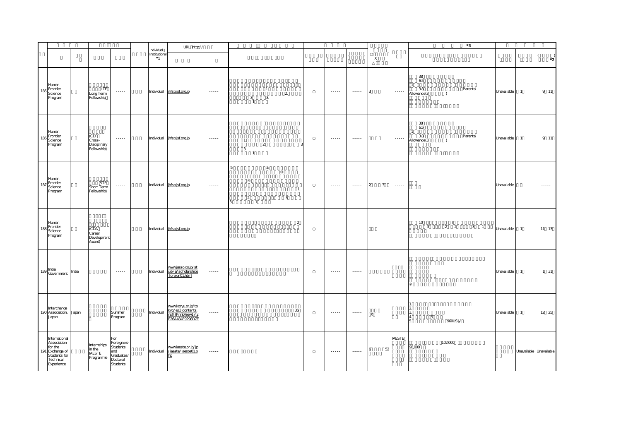|     |                                                                                                       |       |                                                     |                                                                                                             |                                            | URL http://                                                                          |                        |                                                                         |                  |                                    |                                                                                                                                                                                                                                                                                                                                                                                                                                                                                        |                              |                                                                                                                                                                                                                                                                                                                                                                                                                                                                                        | $^{\star}3$                                                                              |             |                |                                                                                                             |
|-----|-------------------------------------------------------------------------------------------------------|-------|-----------------------------------------------------|-------------------------------------------------------------------------------------------------------------|--------------------------------------------|--------------------------------------------------------------------------------------|------------------------|-------------------------------------------------------------------------|------------------|------------------------------------|----------------------------------------------------------------------------------------------------------------------------------------------------------------------------------------------------------------------------------------------------------------------------------------------------------------------------------------------------------------------------------------------------------------------------------------------------------------------------------------|------------------------------|----------------------------------------------------------------------------------------------------------------------------------------------------------------------------------------------------------------------------------------------------------------------------------------------------------------------------------------------------------------------------------------------------------------------------------------------------------------------------------------|------------------------------------------------------------------------------------------|-------------|----------------|-------------------------------------------------------------------------------------------------------------|
|     |                                                                                                       |       |                                                     |                                                                                                             | Individual<br>Institutional<br>$^{\circ}1$ |                                                                                      |                        |                                                                         |                  |                                    |                                                                                                                                                                                                                                                                                                                                                                                                                                                                                        | $\mathsf{X}$                 |                                                                                                                                                                                                                                                                                                                                                                                                                                                                                        |                                                                                          |             |                | $\left($<br>$\cdot$ <sup>2</sup>                                                                            |
|     | Human<br>185 Frontier<br>Science<br>Program                                                           |       | LTF<br>Long Term<br>Fellowship                      | $\sim$ $\sim$ $\sim$ $\sim$                                                                                 |                                            | Individual jhfsp.jsf.org.jp                                                          | $\ldots \ldots$        | 1.<br>$\overline{2}$<br>3.<br>$\mathbf{3}$<br>$\overline{1}$            |                  | $\sim$ $\sim$ $\sim$ $\sim$        | $\sim$ $\sim$ $\sim$ $\sim$                                                                                                                                                                                                                                                                                                                                                                                                                                                            | 3                            | 1.1.1.1                                                                                                                                                                                                                                                                                                                                                                                                                                                                                | 38<br>65<br>-1<br>38<br>Parental<br>Allowance(3<br>$\rightarrow$                         | Unavailable | $\overline{1}$ | 9 11                                                                                                        |
|     | Human<br>$186$ Frontier<br>Science<br>Program                                                         |       | (CDF<br>Cross-<br>Disciplinary<br>Fellowship)       | $\sim$ $\sim$ $\sim$ $\sim$                                                                                 |                                            | Individual jhfsp.jsf.org.jp                                                          | $\cdots \cdots$        | $\overline{1}$ .<br>$\overline{2}$<br>$\mathfrak{Z}$<br>$\overline{1}$  |                  | $\dots$                            | $\cdots$                                                                                                                                                                                                                                                                                                                                                                                                                                                                               |                              | $\cdots \cdots$                                                                                                                                                                                                                                                                                                                                                                                                                                                                        | 38<br>65<br>38<br>Parental<br>Allowance(3<br>$\rightarrow$                               | Unavailable | $\overline{1}$ | 9 11                                                                                                        |
| 187 | Human<br>Frontier<br>Science<br>Program                                                               |       | (STF<br>Short Term<br>Fellowship)                   | $\sim$ $\sim$ $\sim$ $\sim$                                                                                 |                                            | Individual ihfsp.jsf.org.jp                                                          | $\cdots$               | $\begin{array}{c} 2 \\ 1 \end{array}$<br>$\mathbf{3}$<br>$\mathfrak{Z}$ | $\overline{1}$ . | $\cdots$                           | $\begin{array}{cccccccccc} \multicolumn{2}{c}{} & \multicolumn{2}{c}{} & \multicolumn{2}{c}{} & \multicolumn{2}{c}{} & \multicolumn{2}{c}{} & \multicolumn{2}{c}{} & \multicolumn{2}{c}{} & \multicolumn{2}{c}{} & \multicolumn{2}{c}{} & \multicolumn{2}{c}{} & \multicolumn{2}{c}{} & \multicolumn{2}{c}{} & \multicolumn{2}{c}{} & \multicolumn{2}{c}{} & \multicolumn{2}{c}{} & \multicolumn{2}{c}{} & \multicolumn{2}{c}{} & \multicolumn{2}{c}{} & \multicolumn{2}{c}{} & \mult$ | 2<br>$\overline{\mathbf{3}}$ | $\begin{array}{cccccccccc} \bullet & \bullet & \bullet & \bullet & \bullet & \bullet & \bullet \end{array}$                                                                                                                                                                                                                                                                                                                                                                            |                                                                                          | Unavailable |                | $\begin{array}{cccccccccc} \bullet & \bullet & \bullet & \bullet & \bullet & \bullet & \bullet \end{array}$ |
|     | Human<br>Frontier<br>188 From:<br>Program                                                             |       | (CDA<br>Career<br>Development<br>Award)             | $\sim$ $\sim$ $\sim$ $\sim$ $\sim$                                                                          |                                            | Individual jhfsp.jsf.org.jp                                                          | $\cdots$               |                                                                         | $\overline{a}$   | 1.1.1.1                            | $- - - - -$                                                                                                                                                                                                                                                                                                                                                                                                                                                                            |                              | $\begin{array}{cccccccccc} \multicolumn{2}{c}{} & \multicolumn{2}{c}{} & \multicolumn{2}{c}{} & \multicolumn{2}{c}{} & \multicolumn{2}{c}{} & \multicolumn{2}{c}{} & \multicolumn{2}{c}{} & \multicolumn{2}{c}{} & \multicolumn{2}{c}{} & \multicolumn{2}{c}{} & \multicolumn{2}{c}{} & \multicolumn{2}{c}{} & \multicolumn{2}{c}{} & \multicolumn{2}{c}{} & \multicolumn{2}{c}{} & \multicolumn{2}{c}{} & \multicolumn{2}{c}{} & \multicolumn{2}{c}{} & \multicolumn{2}{c}{} & \mult$ | 10 <sup>°</sup><br>$\frac{1}{2}$ $\frac{1}{2}$<br>$\overline{\mathbf{3}}$<br>$3 \quad 1$ | Unavailable | $\overline{1}$ | 11 13                                                                                                       |
|     | 189 India<br>Government                                                                               | India |                                                     | $\begin{array}{cccccccccc} \bullet & \bullet & \bullet & \bullet & \bullet & \bullet & \bullet \end{array}$ | Individual                                 | www.jasso.go.jp/st<br>udy a/scholarships<br>foreign01.html                           | $\cdots \cdots$        |                                                                         |                  | $\cdots$                           | $\cdots$                                                                                                                                                                                                                                                                                                                                                                                                                                                                               |                              |                                                                                                                                                                                                                                                                                                                                                                                                                                                                                        |                                                                                          | Unavailable | $\overline{1}$ | 1 31                                                                                                        |
|     | Interchange<br>190 Association,<br>Japan                                                              | Japan |                                                     | Summer<br>Program                                                                                           | Individual                                 | www.koryu.or.jp/to<br>kyo/ez3 contents.<br>nsf/(PrintView1)/2<br>F 26A 484E 9298D 7E | $\cdots$               |                                                                         | 35               | $\sim$ $\sim$ $\sim$ $\sim$ $\sim$ | $\cdots \cdots \cdots$                                                                                                                                                                                                                                                                                                                                                                                                                                                                 | $\mathsf X$                  |                                                                                                                                                                                                                                                                                                                                                                                                                                                                                        | $\overline{5}$<br>960US\$/                                                               | Unavailable | $\overline{1}$ | 12 25                                                                                                       |
|     | International<br>Association<br>for the<br>191 Exchange of<br>Students for<br>Technical<br>Experience |       | Internships<br>in the<br><b>IAESTE</b><br>Programme | For<br>Foreigners-<br>Students<br>and<br>Graduates/<br>Doctoral<br>Students                                 |                                            | www.iaeste.or.jp/jp<br>Individual /iaeste/iaeste01.p<br>hp                           | $\cdots \cdots \cdots$ |                                                                         |                  |                                    | $\sim$ $\sim$ $\sim$ $\sim$ $\sim$                                                                                                                                                                                                                                                                                                                                                                                                                                                     | 52<br>6                      | <b>IAESTE</b>                                                                                                                                                                                                                                                                                                                                                                                                                                                                          | 102,000<br>98,000                                                                        |             |                | Unavailable Unavailable                                                                                     |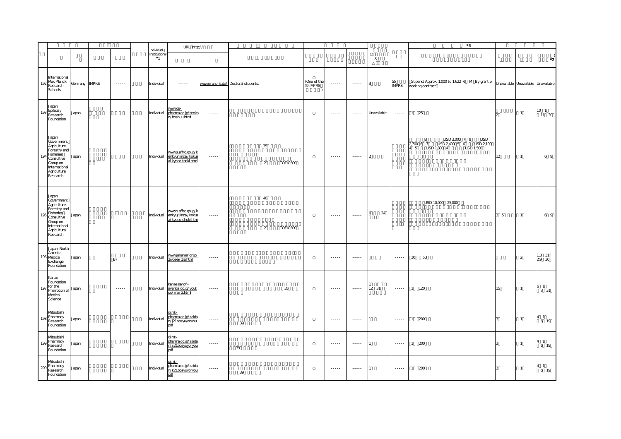|                 |                                                                                                                                         |               |                  |                                     | URL http://                                                      |                        |                                     |                      |          |                         |                                                                                                                                                                                                                                                                                                                                                                                                                                                                                        |                                                                                                                                                                                                                                                                                                                                                                                                                                                                                        |                |                                                                                                                                                                                                                                                                                                                                                                                                                                                                                        | $^*3$                                                                                                                   |                |                |                          |
|-----------------|-----------------------------------------------------------------------------------------------------------------------------------------|---------------|------------------|-------------------------------------|------------------------------------------------------------------|------------------------|-------------------------------------|----------------------|----------|-------------------------|----------------------------------------------------------------------------------------------------------------------------------------------------------------------------------------------------------------------------------------------------------------------------------------------------------------------------------------------------------------------------------------------------------------------------------------------------------------------------------------|----------------------------------------------------------------------------------------------------------------------------------------------------------------------------------------------------------------------------------------------------------------------------------------------------------------------------------------------------------------------------------------------------------------------------------------------------------------------------------------|----------------|----------------------------------------------------------------------------------------------------------------------------------------------------------------------------------------------------------------------------------------------------------------------------------------------------------------------------------------------------------------------------------------------------------------------------------------------------------------------------------------|-------------------------------------------------------------------------------------------------------------------------|----------------|----------------|--------------------------|
|                 |                                                                                                                                         |               |                  | Individual<br>Institutiona<br>$^*1$ |                                                                  |                        |                                     |                      |          |                         |                                                                                                                                                                                                                                                                                                                                                                                                                                                                                        |                                                                                                                                                                                                                                                                                                                                                                                                                                                                                        | $\mathsf X$    |                                                                                                                                                                                                                                                                                                                                                                                                                                                                                        |                                                                                                                         |                |                | $\cdot$ <sup>2</sup>     |
| 192             | International<br>Max Planck<br>Research<br>Schools                                                                                      | Germany IMPRS | $\sim$ - - - - - | Individual                          |                                                                  |                        | www.imprs-Is.de/ Doctoral students. |                      |          | (One of the<br>49 IMPRS |                                                                                                                                                                                                                                                                                                                                                                                                                                                                                        | $\sim$ - - - - - $\sim$                                                                                                                                                                                                                                                                                                                                                                                                                                                                | 3              | 55<br><b>IMPRS</b>                                                                                                                                                                                                                                                                                                                                                                                                                                                                     | Stipend: Approx. 1,000 to 1,622 € M By grant or Unavailable Unavailable Unavailable<br>working contract                 |                |                |                          |
|                 | Japan<br>193 Epilepsy<br>Research<br>Foundation                                                                                         | Japan         |                  | Individual                          | www.ds-<br>pharma.co.jp/tenka<br>n/boshuu.html                   | $\dots \dots$          |                                     |                      |          |                         | $\cdots$                                                                                                                                                                                                                                                                                                                                                                                                                                                                               | .                                                                                                                                                                                                                                                                                                                                                                                                                                                                                      | Unavailable    | $\cdots \cdots \cdots$                                                                                                                                                                                                                                                                                                                                                                                                                                                                 | 1 25                                                                                                                    | $\overline{2}$ | $\mathbf{1}$   | 10 <sub>1</sub><br>11 30 |
| 10 <sub>1</sub> | Japan<br>Government<br>Agriculture,<br>Forestry and<br>Fisheries<br>Consultive<br>Group on<br>International<br>Agricultural<br>Research | Japan         |                  | Individual                          | www.s.affrc.go.jp/k<br>enkyu/jinzai/kokus<br>ai kyodo tanki.html | $\dots$ .              |                                     | 35<br>$\overline{2}$ | TOEIC600 |                         | $\dots$ .                                                                                                                                                                                                                                                                                                                                                                                                                                                                              | $\ldots$                                                                                                                                                                                                                                                                                                                                                                                                                                                                               | $\overline{2}$ |                                                                                                                                                                                                                                                                                                                                                                                                                                                                                        | USD 3,000 7 8<br>8<br><b>USD</b><br>USD 2,400 5 6 USD 2,100<br>2,700 6 7 USD 2,4<br>4 5 USD 1,800 4<br><b>USD 1,500</b> | 12             | $\overline{1}$ | 6 9                      |
| 10 <sup>6</sup> | Japan<br>Government<br>Agriculture,<br>Forestry and<br>Fisheries<br>Consultive<br>Group on<br>International<br>Agricultural<br>Research | Japan         |                  | Individual                          | wwws.affrc.go.jp/k<br>enkyu/jinzai/kokus<br>ai kyodo chuki.html  | $\cdots \cdots$        |                                     | 40<br>2              | TOEIC600 |                         | $\cdots \cdots$                                                                                                                                                                                                                                                                                                                                                                                                                                                                        | $\cdots \cdots$                                                                                                                                                                                                                                                                                                                                                                                                                                                                        | 24<br>6        |                                                                                                                                                                                                                                                                                                                                                                                                                                                                                        | USD 10,000 25,000                                                                                                       | 3 <sub>5</sub> | $\mathbf{1}$   | 6 9                      |
|                 | Japan-North<br>America<br>196 Medical<br>Exchange<br>Foundation                                                                         | Japan         | B)               | Individual                          | www.janamef.or.jp/<br>2jyosei/1ja.html                           | $\cdots \cdots$        |                                     |                      |          |                         | $\sim$ $\sim$ $\sim$ $\sim$                                                                                                                                                                                                                                                                                                                                                                                                                                                            | $\cdots \cdots$                                                                                                                                                                                                                                                                                                                                                                                                                                                                        |                | $\cdots \cdots$                                                                                                                                                                                                                                                                                                                                                                                                                                                                        | 10 50                                                                                                                   |                | $\overline{2}$ | $1.3$ 31<br>29 30        |
|                 | Kanae<br>Foundation<br>for the<br>Promotion of Japan<br>Medical<br>Science                                                              |               | $\cdots$         | Individual                          | kanae.sanofi-<br>aventis.co.jp/youk<br>ou/main2html              | $\cdots \cdots \cdots$ |                                     |                      | 35       |                         | $\cdots$                                                                                                                                                                                                                                                                                                                                                                                                                                                                               | $\cdots$                                                                                                                                                                                                                                                                                                                                                                                                                                                                               | 12 31          | $\cdots \cdots \cdots$                                                                                                                                                                                                                                                                                                                                                                                                                                                                 | $1 \t120$                                                                                                               | 15             | $\mathbf{1}$   | 6 1<br>7 31              |
| 1Qf             | Mtsubishi<br>Pharmacy<br>Research<br>Foundation                                                                                         | Japan         |                  | Individual                          | <u>di.mt-</u><br>pharma.co.jp/zaida<br>n/j21bosyuyoryou.<br>pdf  | 1.1.1.1                | 39                                  |                      |          |                         | $\begin{array}{cccccccccc} \multicolumn{2}{c}{} & \multicolumn{2}{c}{} & \multicolumn{2}{c}{} & \multicolumn{2}{c}{} & \multicolumn{2}{c}{} & \multicolumn{2}{c}{} & \multicolumn{2}{c}{} & \multicolumn{2}{c}{} & \multicolumn{2}{c}{} & \multicolumn{2}{c}{} & \multicolumn{2}{c}{} & \multicolumn{2}{c}{} & \multicolumn{2}{c}{} & \multicolumn{2}{c}{} & \multicolumn{2}{c}{} & \multicolumn{2}{c}{} & \multicolumn{2}{c}{} & \multicolumn{2}{c}{} & \multicolumn{2}{c}{} & \mult$ | $\begin{array}{cccccccccc} \multicolumn{2}{c}{} & \multicolumn{2}{c}{} & \multicolumn{2}{c}{} & \multicolumn{2}{c}{} & \multicolumn{2}{c}{} & \multicolumn{2}{c}{} & \multicolumn{2}{c}{} & \multicolumn{2}{c}{} & \multicolumn{2}{c}{} & \multicolumn{2}{c}{} & \multicolumn{2}{c}{} & \multicolumn{2}{c}{} & \multicolumn{2}{c}{} & \multicolumn{2}{c}{} & \multicolumn{2}{c}{} & \multicolumn{2}{c}{} & \multicolumn{2}{c}{} & \multicolumn{2}{c}{} & \multicolumn{2}{c}{} & \mult$ |                | $\begin{array}{cccccccccc} \multicolumn{2}{c}{} & \multicolumn{2}{c}{} & \multicolumn{2}{c}{} & \multicolumn{2}{c}{} & \multicolumn{2}{c}{} & \multicolumn{2}{c}{} & \multicolumn{2}{c}{} & \multicolumn{2}{c}{} & \multicolumn{2}{c}{} & \multicolumn{2}{c}{} & \multicolumn{2}{c}{} & \multicolumn{2}{c}{} & \multicolumn{2}{c}{} & \multicolumn{2}{c}{} & \multicolumn{2}{c}{} & \multicolumn{2}{c}{} & \multicolumn{2}{c}{} & \multicolumn{2}{c}{} & \multicolumn{2}{c}{} & \mult$ | 1 200                                                                                                                   | 3              | $\mathbf{1}$   | $4 \quad 1$<br>6 19      |
| 10C             | Mtsubishi<br>Pharmacy<br>Research<br>Foundation                                                                                         | Japan         |                  | Individual                          | di.mt-<br>pharma.co.jp/zaida<br>n/s21bosyuyoryou.<br>pdf         | $\cdots \cdots$        | 39                                  |                      |          |                         | $\cdots$                                                                                                                                                                                                                                                                                                                                                                                                                                                                               | $\cdots$                                                                                                                                                                                                                                                                                                                                                                                                                                                                               |                | $\cdots \cdots$                                                                                                                                                                                                                                                                                                                                                                                                                                                                        | 1 200                                                                                                                   |                | $\mathbf{1}$   | 4 1<br>6 19              |
| 200             | Mtsubishi<br>Pharmacy<br>Research<br>Foundation                                                                                         | Japan         |                  | Individual                          | di.mt-<br>pharma.co.jp/zaida<br>n/k21bosyuyoryou.<br>pdf         | $\cdots \cdots$        | 39                                  |                      |          |                         | $\cdots \cdots$                                                                                                                                                                                                                                                                                                                                                                                                                                                                        | $\cdots \cdots$                                                                                                                                                                                                                                                                                                                                                                                                                                                                        | 11             | $\cdots \cdots$                                                                                                                                                                                                                                                                                                                                                                                                                                                                        | 200<br>$\overline{1}$                                                                                                   |                | $\mathbf{1}$   | 4 1<br>6 19              |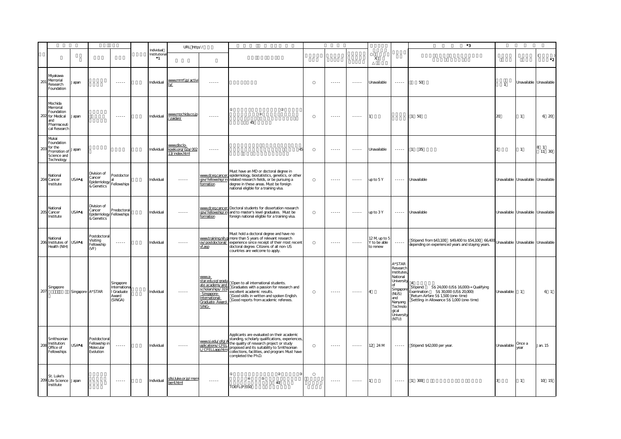|     |                                                                                        |                    |                                                                      |                                                           |                                    | URL http://                                      |                                                                                                                             |                                                                                                                                                                                                                                                                    |                                                                                                                                                                                                                                                                                                                                                                                                                                                                                        |                 |                                          |                                                                                                                                                     | $^{\ast}3$                                                                                                                                                                |                                     |                |                                     |
|-----|----------------------------------------------------------------------------------------|--------------------|----------------------------------------------------------------------|-----------------------------------------------------------|------------------------------------|--------------------------------------------------|-----------------------------------------------------------------------------------------------------------------------------|--------------------------------------------------------------------------------------------------------------------------------------------------------------------------------------------------------------------------------------------------------------------|----------------------------------------------------------------------------------------------------------------------------------------------------------------------------------------------------------------------------------------------------------------------------------------------------------------------------------------------------------------------------------------------------------------------------------------------------------------------------------------|-----------------|------------------------------------------|-----------------------------------------------------------------------------------------------------------------------------------------------------|---------------------------------------------------------------------------------------------------------------------------------------------------------------------------|-------------------------------------|----------------|-------------------------------------|
|     |                                                                                        |                    |                                                                      |                                                           | Individual<br>Institution<br>$^*1$ |                                                  |                                                                                                                             |                                                                                                                                                                                                                                                                    |                                                                                                                                                                                                                                                                                                                                                                                                                                                                                        |                 | $\mathsf X$                              |                                                                                                                                                     |                                                                                                                                                                           |                                     |                | $^{\star}2$                         |
| 201 | Miyakawa<br>Memorial<br>Research<br>Foundation                                         | Japan              |                                                                      | $- - - - -$                                               | Individual                         | www.mmrf.jp/activi                               | $- - - - -$                                                                                                                 |                                                                                                                                                                                                                                                                    | $- - - - -$                                                                                                                                                                                                                                                                                                                                                                                                                                                                            | $- - - - -$     | Unavailable                              | $- - - - -$                                                                                                                                         | $50\,$                                                                                                                                                                    | $\overline{1}$                      |                | Unavailable Unavailable             |
| 202 | Mochida<br>Memorial<br>Foundation<br>for Medical<br>and<br>Pharmaceuti<br>cal Research | apan               |                                                                      | $\cdots \cdots$                                           | Individual                         | www.mochida.co.jp<br>zaidan/                     | 1.1.1.1                                                                                                                     | 45                                                                                                                                                                                                                                                                 | 1.1.1.1                                                                                                                                                                                                                                                                                                                                                                                                                                                                                | $\cdots \cdots$ |                                          |                                                                                                                                                     | 1 50                                                                                                                                                                      | 20                                  |                | 6 20                                |
| 203 | Mukai<br>Foundation<br>for the<br>Promotion of<br>Science and<br>Technology            | Japan              |                                                                      |                                                           | Individual                         | www.disclo-<br>koeki.org/02a/002<br>3/index.html | 1.1.1.1                                                                                                                     |                                                                                                                                                                                                                                                                    | 1.1.1.1                                                                                                                                                                                                                                                                                                                                                                                                                                                                                | 1.1.1.1         | Unavailable                              | 1.1.1.1                                                                                                                                             | $\mathbf{1}$<br>35                                                                                                                                                        | $\overline{2}$                      |                | 81<br>11 30                         |
| 204 | National<br>Cancer<br>Institute                                                        | USA*4              | Division of<br>Cancer<br>Epidemiology<br>& Genetics                  | Postdoctor<br>Fellowships                                 | Individual                         | $\cdots \cdots$                                  | www.dceg.cance<br>gov/fellowship/in<br>formation                                                                            | Must have an MD or doctoral degree in<br>epidemiology, biostatistics, genetics, or other<br>related research fields, or be pursuing a<br>degree in these areas. Must be foreign<br>national eligible for a training visa.                                          | $\cdots$                                                                                                                                                                                                                                                                                                                                                                                                                                                                               | <b></b>         | up to 5Y                                 |                                                                                                                                                     | ----- Unavailable                                                                                                                                                         | Unavailable Unavailable Unavailable |                |                                     |
|     | National<br>205 Cancer<br>Institute                                                    | USA <sup>*</sup> 4 | Division of<br>Cancer<br>Epidemiology Fellowships<br>& Genetics      | Predoctoral                                               | Individual                         | $\cdots \cdots$                                  | www.dceg.cancer<br>gov/fellowship/in<br>formation                                                                           | Doctoral students for dissertation research<br>and to master's level graduates. Must be<br>foreign national eligible for a training visa.                                                                                                                          | $\cdots$                                                                                                                                                                                                                                                                                                                                                                                                                                                                               | 1.1.1.1         | up to 3Y                                 | $\cdots \cdots$                                                                                                                                     | Unavailable                                                                                                                                                               |                                     |                | Unavailable Unavailable Unavailable |
|     | National<br>206 Institutes of USA*4<br>Health (NIH)                                    |                    | Postdoctoral<br>Visiting<br>ellowship<br>(VF)                        | $\cdots \cdots \cdots$                                    | Individual                         |                                                  | ov/postdoctoral/<br>vf.asp                                                                                                  | Must hold a doctoral degree and have no<br>www.training.nih.g more than 5 years of relevant research<br>experience since receipt of their most recent<br>doctoral degree. Citizens of all non-US<br>countries are welcome to apply.                                | $\begin{array}{cccccccccc} \multicolumn{2}{c}{} & \multicolumn{2}{c}{} & \multicolumn{2}{c}{} & \multicolumn{2}{c}{} & \multicolumn{2}{c}{} & \multicolumn{2}{c}{} & \multicolumn{2}{c}{} & \multicolumn{2}{c}{} & \multicolumn{2}{c}{} & \multicolumn{2}{c}{} & \multicolumn{2}{c}{} & \multicolumn{2}{c}{} & \multicolumn{2}{c}{} & \multicolumn{2}{c}{} & \multicolumn{2}{c}{} & \multicolumn{2}{c}{} & \multicolumn{2}{c}{} & \multicolumn{2}{c}{} & \multicolumn{2}{c}{} & \mult$ | $\cdots$        | 12 M up to 5<br>Y to be able<br>to renew | 1.1.1.1                                                                                                                                             | Stipend: from \$43,100 \$49,400 to \$54,100 66,400 Unavailable Unavailable Unavailable<br>depending on experienced years and staying years.                               |                                     |                |                                     |
| 207 | Singapore                                                                              |                    | Singapore A*STAR                                                     | Singapore<br>Internationa<br>Graduate<br>Award<br>(SINGA) | Individual                         |                                                  | wwwa-<br>star.edu.sg/gradu<br>ate academy and<br>scholarships/319<br>Singapore-<br>nternational-<br>Graduate-Award<br>SING- | Open to all international students.<br>Graduates with a passion for research and<br>excellent academic results.<br>Good skills in written and spoken English.<br>Good reports from academic referees.                                                              | 1.1.1.1                                                                                                                                                                                                                                                                                                                                                                                                                                                                                | 1.1.1.1         | $\overline{A}$                           | A*STAR<br>Research<br>Institute:<br>National<br>University<br>nf<br>Singapor<br>(NUS)<br>and<br>Nanyang<br>Technolo<br>qical<br>University<br>(NTU) | Stipend: S\$ 24,000 (US\$ 16,000) Qualifying<br>Examination S\$30,000 (US\$20,000)<br>Return Airfare S\$ 1,500 (one-time)<br>Settling- in Allowance S\$ 1,000 (one- time) | Unavailable                         | $\mathbf{1}$   | 6 1                                 |
| 208 | Smithsonian<br>Institution:<br>Office of<br>Fellowships                                | USA <sup>*</sup> 4 | <b>Postdoctoral</b><br>ellowship in<br><b>Volecular</b><br>Evolution | $\cdots$                                                  | Individual                         | $- - - - -$                                      | www.si.edu/ofg/<br>pplications/CFEL<br>/CFELLapp.htn                                                                        | Applicants are evaluated on their academic<br>standing, scholarly qualifications, experiences,<br>the quality of research project or study<br>proposed and its suitability to Smithsonian<br>collections, facilities, and program Must have<br>completed the Ph.D. | .                                                                                                                                                                                                                                                                                                                                                                                                                                                                                      | 1.1.1.1         | 12 24 M                                  |                                                                                                                                                     | Stipend: \$42,000 per year.                                                                                                                                               | Unavailable                         | Once a<br>vear | Jan. 15                             |
|     | St. Luke's<br>209 Life Science Japan<br>Institute                                      |                    |                                                                      | $\sim$ $\sim$ $\sim$ $\sim$                               | Individual                         | sllsi.luke.or.jp/mem<br>per4.html                | 1.1.1.1                                                                                                                     | 40<br>TOEFL(P)550                                                                                                                                                                                                                                                  | $\cdots$                                                                                                                                                                                                                                                                                                                                                                                                                                                                               | $\cdots$        |                                          | 1.1.1.1                                                                                                                                             | 1 300                                                                                                                                                                     |                                     | $\mathbf{1}$   | 10 15                               |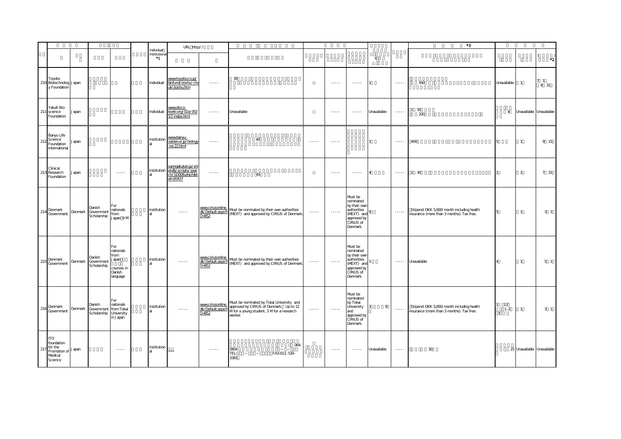|     |                                                                                |         |                                                                   |                                                                       |                                     | URL http://                                                                  |                                                     |                                                                                                                                              |                             |                        |                                                                                                           |             |                        | $^{\ast}3$                                                                             |                    |                            |                        |
|-----|--------------------------------------------------------------------------------|---------|-------------------------------------------------------------------|-----------------------------------------------------------------------|-------------------------------------|------------------------------------------------------------------------------|-----------------------------------------------------|----------------------------------------------------------------------------------------------------------------------------------------------|-----------------------------|------------------------|-----------------------------------------------------------------------------------------------------------|-------------|------------------------|----------------------------------------------------------------------------------------|--------------------|----------------------------|------------------------|
|     |                                                                                |         |                                                                   |                                                                       | Individual<br>Institutiona<br>$^*1$ |                                                                              |                                                     |                                                                                                                                              |                             |                        |                                                                                                           | X           |                        |                                                                                        |                    |                            | $\cdot$ <sub>2</sub>   |
|     | Toyobo<br>210 Biotechnolog Japan<br>y Foundation                               |         |                                                                   |                                                                       | Individual                          | www.toyobo.co.jp/<br>biofund/boshu/cho<br>uki boshu.htm                      | $\cdots$                                            | 39                                                                                                                                           |                             | $- - - - -$            | $\cdots$                                                                                                  |             | 1.1.1.1                | 450                                                                                    | Unavailable        | $\overline{1}$             | 7 <sub>1</sub><br>8 31 |
| 211 | Yakult Bio-<br>science<br>Foundation                                           | Japan   |                                                                   |                                                                       | Individual                          | www.disco-<br>koeki.org/02a/002                                              | $\cdots \cdots$                                     | Unavailable                                                                                                                                  |                             | $\cdots$               | $\cdots \cdots$                                                                                           | Unavailable | $\cdots$               | 50<br>200                                                                              | $\Delta$           | Unavailable Unavailable    |                        |
| 212 | Banyu Life<br>Science<br>Foundation<br>International                           | Japan   |                                                                   |                                                                       | Institution                         | www.banyu-<br>zaidan.or.jp/biology<br>rec22html                              | $\cdots$                                            | 40                                                                                                                                           | $\cdots$                    | $\cdots$               |                                                                                                           |             | 1.1.1.1                | 400                                                                                    | Б.                 | $\overline{1}$             | 9 15                   |
|     | Clinical<br>213 Research<br>Foundation                                         | Japan   |                                                                   | $\cdots \cdots$                                                       | Institution                         | sanngakukan.jp/shi<br>endb/scripts/sear<br>ch/SD006.php?det<br>$ail = 20437$ | $\cdots \cdots$                                     | 45                                                                                                                                           |                             | $\cdots \cdots$        | $\cdots \cdots \cdots$                                                                                    |             | $\cdots$               | 1 30                                                                                   |                    | $\overline{1}$             | 7 31                   |
|     | 214 Denmark<br>Government                                                      | Denmark | Danish<br>Government<br>Scholarship                               | For<br>nationals<br>from<br>lapan 9 M                                 | Institution                         | $\cdots \cdots$                                                              | www.ciriusonline.<br>dk/Default.aspx?I<br>$D = 852$ | Must be nominated by their own authorities<br>(MEXT) and approved by CIRIUS of Denmark.                                                      | $\cdots \cdots$             | $\cdots \cdots$        | Must be<br>nominated<br>by their own<br>authorities<br>(MEXT) and<br>approved by<br>CIRIUS of<br>Denmark. |             | $\cdots$               | Stipend: DKK 5,000/month including health<br>insurance (more than 3 months). Tax free. |                    | $\overline{1}$             | 3 <sub>1</sub>         |
| 215 | Denmark<br>Government                                                          | Denmark | Danish<br>Government<br>Scholarship                               | For<br>nationals<br>from<br>Japan<br>courses in<br>Danish<br>language | Institution                         | $\cdots \cdots$                                                              | www.ciriusonline.<br>$D = 852$                      | Must be nominated by their own authorities<br>dk/Default.aspx? (MEXT) and approved by CIRIUS of Denmark                                      | $\cdots \cdots \cdots$      | $\cdots \cdots \cdots$ | Must be<br>nominated<br>by their own<br>authorities<br>(MEXT) and<br>approved by<br>CIRIUS of<br>Denmark. |             | $\cdots \cdots \cdots$ | Unavailable                                                                            |                    | $\mathbf{1}$               | 5 <sub>1</sub>         |
| 216 | Denmark<br>Government                                                          |         | Danish<br>Denmark Government from Tokai<br>Scholarship University | For<br>nationals<br>in Japan                                          | Institution                         |                                                                              | www.ciriusonline.<br>dk/Default.aspx?l<br>$D = 852$ | Must be nominated by Tokai University and<br>approved by CIRIUS of Denmark. Up to 12<br>M for a young student. 3 M for a research<br>worker. | $\sim$ $\sim$ $\sim$ $\sim$ | $\cdots$               | Must be<br>nominated<br>by Tokai<br>University<br>and<br>approved by<br>CIRIUS of<br>Denmark.             | 9           | 1.1.1.1                | Stipend: DKK 5,000/month including health<br>insurance (more than 3 months). Tax free. | 12<br>$1 - 2$<br>3 | $\overline{1}$             | 3 <sub>1</sub>         |
| 217 | <b>TO</b><br>foundation<br>for the<br>Promotion of Japan<br>Medical<br>Science |         |                                                                   | $-22222$                                                              | Institution                         |                                                                              | $- - - - -$                                         | 064<br>0804<br>FAX:011-530-<br>TEL:<br>3381                                                                                                  |                             |                        | $- - - - -$                                                                                               | Unavailable | 1.1.1.1                | 30                                                                                     |                    | 25 Unavailable Unavailable |                        |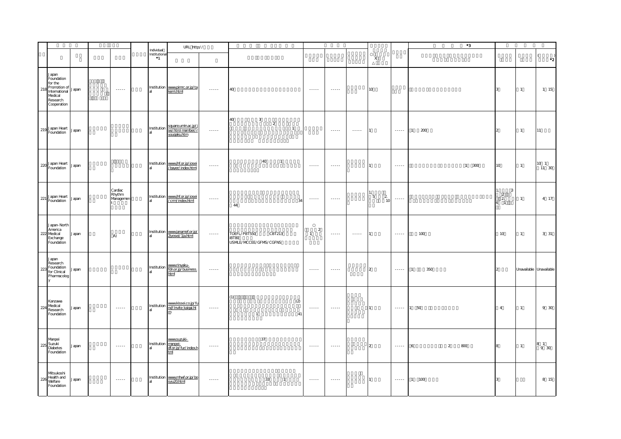|     |                                                                                                       |       |                                                                                                   |                                     | URL http://                                          |                 |                                                           |                                  |                                                                                                             |                             |                                       |                        | $^{\ast}3$                 |                                                        |                         |                                  |
|-----|-------------------------------------------------------------------------------------------------------|-------|---------------------------------------------------------------------------------------------------|-------------------------------------|------------------------------------------------------|-----------------|-----------------------------------------------------------|----------------------------------|-------------------------------------------------------------------------------------------------------------|-----------------------------|---------------------------------------|------------------------|----------------------------|--------------------------------------------------------|-------------------------|----------------------------------|
|     |                                                                                                       |       |                                                                                                   | Individual<br>Institutiona<br>$^*1$ |                                                      |                 |                                                           |                                  |                                                                                                             |                             | $\mathsf X$                           |                        |                            |                                                        |                         | $\left($<br>$\cdot$ <sup>2</sup> |
| 218 | Japan<br>Foundation<br>for the<br>Promotion of<br>International<br>Medical<br>Research<br>Cooperation | Japan | $\begin{array}{cccccccccc} \bullet & \bullet & \bullet & \bullet & \bullet & \bullet \end{array}$ |                                     | Institution www.pimrc.or.jp/ta<br>kemi.html          | $\cdots \cdots$ | 40                                                        | 1.1.1.1                          | $\begin{array}{cccccccccc} \bullet & \bullet & \bullet & \bullet & \bullet & \bullet & \bullet \end{array}$ |                             | 10 <sub>o</sub>                       |                        |                            | $\mathbf{r}$                                           | $\mathbf{1}$            | 1 15                             |
|     | 219 Japan Heart                                                                                       | Japan |                                                                                                   | Institution                         | square.umin.ac.jp/j<br>se/htm/member/<br>yuugaku.htm | $\cdots \cdots$ | 40<br>$\mathbf{3}$<br>$\overline{a}$<br>$\overline{1}$    |                                  | $\dots$                                                                                                     | $\cdots \cdots$             |                                       | $\cdots \cdots$        | 200<br>$\mathbf{1}$        |                                                        | $\mathbf{1}$            | 11                               |
|     | 220 Japan Heart                                                                                       | Japan |                                                                                                   |                                     | Institution www.jhf.or.jp/josei<br>/bayer/index.html | $\cdots \cdots$ | 40<br>$\overline{1}$                                      | $\cdots \cdots$                  | $\sim$ $\sim$ $\sim$ $\sim$                                                                                 |                             |                                       | $\cdots \cdots$        | 1 300                      | 10                                                     | $\mathbf{1}$            | 10 <sub>1</sub><br>$11 \quad 30$ |
|     | 221 Japan Heart                                                                                       | Japan | Cardiac<br>Rhythm<br>Managemen                                                                    |                                     | Institution www.jhf.or.jp/josei<br>/crm/index.html   | $\cdots$        | 34<br>44                                                  | $\cdots$                         | $- - - - - -$                                                                                               |                             | $\overline{2}$<br>5<br>1 <sup>c</sup> | $\cdots$               |                            | $\overline{3}$<br>$\frac{2}{2}$<br>$\overline{1}$<br>6 | $\mathbf{1}$            | 4 17                             |
|     | Japan-North<br>America<br>222 Medical<br>Exchange<br>Foundation                                       | Japan | A)                                                                                                |                                     | Institution www.janamef.or.jp/<br>2jyosei/1ja.htm    | $\cdots \cdots$ | TOEFL/PBT550<br>CBT213<br>iBT80<br>USMLE/MCCEE/GFMS/CGFNS | $\overline{a}$<br>$\overline{1}$ | $\begin{array}{cccccccccc} \bullet & \bullet & \bullet & \bullet & \bullet & \bullet & \bullet \end{array}$ | $\sim$ $\sim$ $\sim$ $\sim$ |                                       | $\cdots \cdots \cdots$ | 100                        | 10                                                     | $\overline{1}$          | 3 31                             |
| 223 | Japan<br>Research<br>Foundation<br>for Clinical<br>Pharmacolog                                        | Japan |                                                                                                   |                                     | Institution <b>www.rinyaku-</b><br>al<br>html        | $\cdots$        |                                                           | $\cdots$                         | $\cdots$                                                                                                    |                             | $\overline{2}$                        | 1.1.1.1                | 350<br>$\overline{1}$      | $\mathcal{D}$                                          | Unavailable Unavailable |                                  |
| 224 | Kanzawa<br>Medical<br>Research<br>Foundation                                                          | Japan | $-$ - - - - -                                                                                     |                                     | Institution <b>www.kissei.co.jp/fu</b><br>al<br>m    | $\cdots \cdots$ | (1)<br>(2)<br>41<br>$\mathbf{1}$                          | $\cdots$                         | $\cdots$                                                                                                    |                             |                                       | $\cdots$               | 50                         | $\overline{4}$                                         | $\mathbf{1}$            | 9 30                             |
| 225 | Manpei<br>Suzuki<br>Diabetes<br>Foundation                                                            | Japan | $\sim$ $\sim$ $\sim$ $\sim$                                                                       | Institution manpei-                 | www.suzuki-<br>df.or.jp/fur/index.h<br>tml           | $\cdots \cdots$ | $37\,$                                                    | $\cdots \cdots \cdots \cdots$    | $\cdots \cdots$                                                                                             |                             | $\overline{a}$                        | $\cdots \cdots$        | $\overline{2}$<br>800<br>6 |                                                        | $\overline{1}$          | $819$ 30                         |
| 226 | Mtsukoshi<br>Health and<br>Welfare<br>Foundation                                                      | Japan | $\sim$ - - - - -                                                                                  |                                     | Institution www.mhwf.or.jp/bo<br>syu20.html          | $\cdots$        | 33<br>$\overline{1}$                                      | $\cdots$                         | $\cdots$                                                                                                    |                             |                                       | $\cdots\cdots\cdots$   | 1 100                      | 13.                                                    |                         | 8 15                             |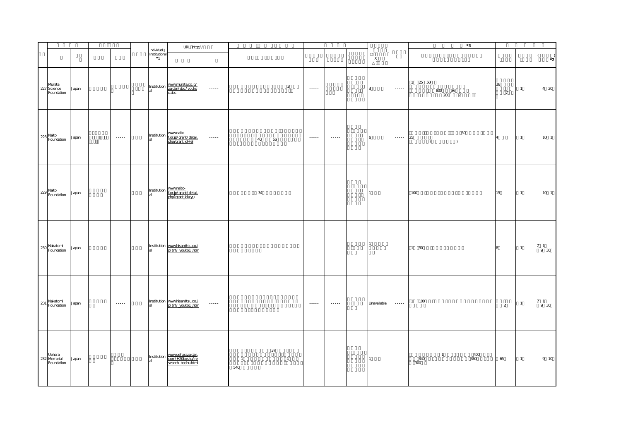|                                      |       |                             |                                      | URL http://                                                                    |                             |                       |                      |                                    |                                                                                                                                                                                                                                                                                                                                                                                                                                                                                        |              |                             | $^{\ast}3$                                                                 |                      |                |                                                           |
|--------------------------------------|-------|-----------------------------|--------------------------------------|--------------------------------------------------------------------------------|-----------------------------|-----------------------|----------------------|------------------------------------|----------------------------------------------------------------------------------------------------------------------------------------------------------------------------------------------------------------------------------------------------------------------------------------------------------------------------------------------------------------------------------------------------------------------------------------------------------------------------------------|--------------|-----------------------------|----------------------------------------------------------------------------|----------------------|----------------|-----------------------------------------------------------|
|                                      |       |                             | Individual<br>Institutional<br>$^*1$ |                                                                                |                             |                       |                      |                                    |                                                                                                                                                                                                                                                                                                                                                                                                                                                                                        | $\mathsf{X}$ |                             |                                                                            |                      |                | $\left($<br>$^{\ast}2$                                    |
| Murata<br>227 Science<br>Foundation  | Japan |                             |                                      | Institution <b>www.murata.co.jp/</b><br>al zaidan/doc/youko<br>u.doc           | $\sim$ $\sim$ $\sim$ $\sim$ |                       | $\mathbf{3}$         |                                    |                                                                                                                                                                                                                                                                                                                                                                                                                                                                                        | 3            | $\dots$ .                   | $1\quad 25\quad 50$<br>$\begin{smallmatrix}800&36\\200&7\end{smallmatrix}$ | 36<br>$\overline{7}$ | $\overline{1}$ | 4 20                                                      |
| 228 Naito<br>Foundation              | Japan | $\dots$ .<br><br>.<br><br>. |                                      | Institution www.naito-<br>al f <u>.or.jp/grant/detail.</u><br>php?grant.id=fel | $\dots$                     | 40                    | 55                   | $\sim$ - - - -                     | $\dots$ .<br><br>.                                                                                                                                                                                                                                                                                                                                                                                                                                                                     | 6            | $\cdots \cdots$             | 50<br>25<br>$\left($<br>$\rightarrow$                                      | $\overline{4}$       | $\overline{1}$ | 10 <sub>1</sub>                                           |
| 229 Naito<br>Foundation              | Japan | $\sim$ $\sim$ $\sim$ $\sim$ |                                      | Institution www.naito-<br>al f.or.jp/grant/detail.<br>php?grant.id=ryu         | $\sim$ $\sim$ $\sim$ $\sim$ | 34                    |                      | $\sim$ $\sim$ $\sim$ $\sim$        | $\sim$ $\sim$ $\sim$ $\sim$                                                                                                                                                                                                                                                                                                                                                                                                                                                            |              | $\cdots \cdots$             | 100                                                                        | 15                   | $\overline{1}$ | 10 <sub>1</sub>                                           |
| 230 Nakatomi<br>Foundation           | Japan | $\sim$ $\sim$               |                                      | Institution www.hisamitsu.co.j<br>p/tnf/ youko1 .htm                           | $\sim$ $\sim$ $\sim$ $\sim$ |                       |                      | $\sim$ $\sim$ $\sim$ $\sim$ $\sim$ | $\sim$ $\sim$ $\sim$ $\sim$ $\sim$                                                                                                                                                                                                                                                                                                                                                                                                                                                     |              | $\dots$ .                   | 1 50                                                                       | 8                    | $\overline{1}$ | $\begin{smallmatrix} 7 & 1 \\ & 9 & 30 \end{smallmatrix}$ |
| 231 Nakatomi<br>Foundation           | Japan | $\sim$ $\sim$ $\sim$ $\sim$ |                                      | Institution www.hisamitsu.co.j<br>p/tnf/ youko1 .htm                           | $\sim$ $\sim$ $\sim$        |                       |                      | $\sim$ $\sim$ $\sim$ $\sim$ $\sim$ | $\begin{array}{cccccccccc} \multicolumn{2}{c}{} & \multicolumn{2}{c}{} & \multicolumn{2}{c}{} & \multicolumn{2}{c}{} & \multicolumn{2}{c}{} & \multicolumn{2}{c}{} & \multicolumn{2}{c}{} & \multicolumn{2}{c}{} & \multicolumn{2}{c}{} & \multicolumn{2}{c}{} & \multicolumn{2}{c}{} & \multicolumn{2}{c}{} & \multicolumn{2}{c}{} & \multicolumn{2}{c}{} & \multicolumn{2}{c}{} & \multicolumn{2}{c}{} & \multicolumn{2}{c}{} & \multicolumn{2}{c}{} & \multicolumn{2}{c}{} & \mult$ | Unavailable  | $\sim$ $\sim$ $\sim$ $\sim$ | $1 100$                                                                    | 2                    | $\overline{1}$ | $\begin{smallmatrix}7 & 1\\9 & 30\end{smallmatrix}$       |
| Uehara<br>232 Memorial<br>Foundation | Japan |                             |                                      | Institution www.ueharazaidan.<br>al<br>search-boshu.html                       | $\dots$ .                   | $\overline{1}$<br>540 | 37<br>$\overline{1}$ | $\sim$ - - - - -                   | $\sim$ - - - - -                                                                                                                                                                                                                                                                                                                                                                                                                                                                       |              | $\dots$ .                   | $\overline{1}$<br>400<br>340<br>360<br>300                                 | 65                   | $\overline{1}$ | 9 10                                                      |